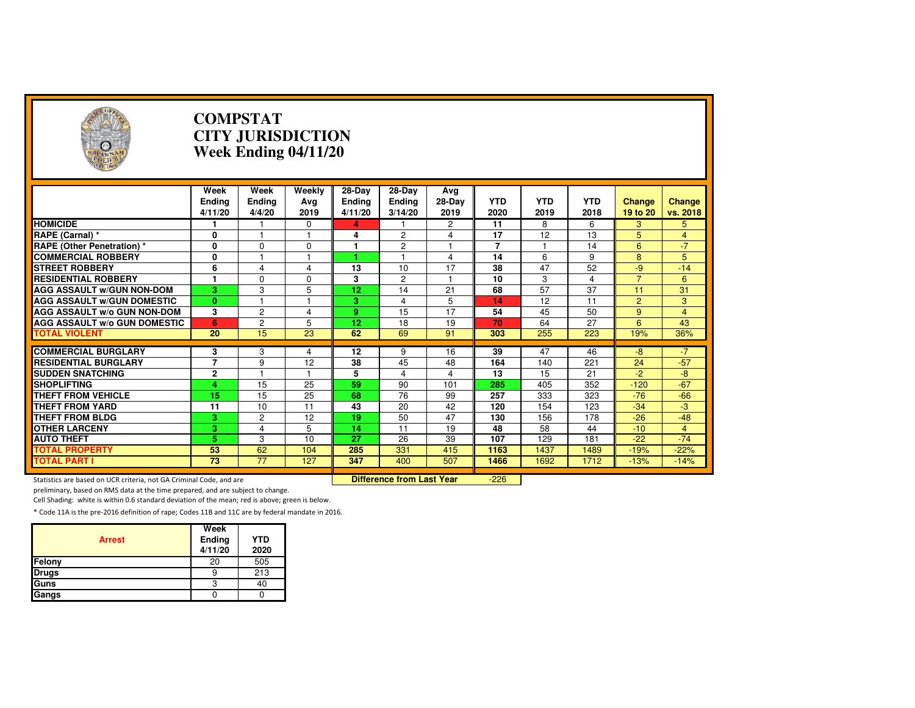| Э                                                                                                                 |                                  | <b>COMPSTAT</b><br><b>CITY JURISDICTION</b><br>Week Ending 04/11/20 |                         |                                    |                                    |                       |                    |                    |                    |                           |                    |  |
|-------------------------------------------------------------------------------------------------------------------|----------------------------------|---------------------------------------------------------------------|-------------------------|------------------------------------|------------------------------------|-----------------------|--------------------|--------------------|--------------------|---------------------------|--------------------|--|
|                                                                                                                   | Week<br><b>Ending</b><br>4/11/20 | Week<br><b>Ending</b><br>4/4/20                                     | Weekly<br>Avg<br>2019   | 28-Day<br><b>Ending</b><br>4/11/20 | 28-Day<br><b>Ending</b><br>3/14/20 | Avg<br>28-Day<br>2019 | <b>YTD</b><br>2020 | <b>YTD</b><br>2019 | <b>YTD</b><br>2018 | <b>Change</b><br>19 to 20 | Change<br>vs. 2018 |  |
| <b>HOMICIDE</b>                                                                                                   |                                  |                                                                     | 0                       | 4                                  |                                    | 2                     | 11                 | 8                  | 6                  | 3                         | 5                  |  |
| RAPE (Carnal) *                                                                                                   | 0                                |                                                                     | 1                       | 4                                  | 2                                  | 4                     | 17                 | 12                 | 13                 | 5                         | $\overline{4}$     |  |
| <b>RAPE (Other Penetration) *</b>                                                                                 | $\overline{\mathbf{0}}$          | $\Omega$                                                            | $\Omega$                | 1                                  | $\overline{2}$                     | 1                     | $\overline{7}$     | 1                  | $\overline{14}$    | 6                         | $-7$               |  |
| <b>COMMERCIAL ROBBERY</b>                                                                                         | 0                                |                                                                     | $\overline{\mathbf{1}}$ | 4                                  | $\overline{1}$                     | 4                     | $\overline{14}$    | 6                  | 9                  | 8                         | 5                  |  |
| <b>STREET ROBBERY</b>                                                                                             | 6                                | 4                                                                   | $\overline{4}$          | 13                                 | 10                                 | 17                    | 38                 | 47                 | 52                 | $-9$                      | $-14$              |  |
| <b>RESIDENTIAL ROBBERY</b>                                                                                        | $\mathbf{1}$                     | $\Omega$                                                            | $\Omega$                | 3                                  | $\overline{2}$                     | $\overline{1}$        | 10                 | 3                  | 4                  | $\overline{7}$            | 6                  |  |
| <b>AGG ASSAULT W/GUN NON-DOM</b>                                                                                  | $\overline{\mathbf{3}}$          | 3                                                                   | 5                       | $\overline{12}$                    | 14                                 | 21                    | 68                 | $\overline{57}$    | $\overline{37}$    | 11                        | 31                 |  |
| <b>AGG ASSAULT W/GUN DOMESTIC</b>                                                                                 | $\mathbf{0}$                     |                                                                     | 1                       | 3                                  | 4                                  | 5                     | 14                 | 12                 | 11                 | $\overline{2}$            | 3                  |  |
| <b>AGG ASSAULT W/o GUN NON-DOM</b>                                                                                | 3                                | 2                                                                   | 4                       | 9                                  | 15                                 | 17                    | 54                 | 45                 | 50                 | 9                         | $\overline{4}$     |  |
| <b>AGG ASSAULT W/o GUN DOMESTIC</b>                                                                               | 6                                | $\overline{2}$                                                      | 5                       | 12                                 | 18                                 | 19                    | 70                 | 64                 | 27                 | 6                         | 43                 |  |
| <b>TOTAL VIOLENT</b>                                                                                              | 20                               | 15                                                                  | 23                      | 62                                 | 69                                 | 91                    | 303                | 255                | 223                | 19%                       | 36%                |  |
|                                                                                                                   |                                  |                                                                     |                         |                                    |                                    |                       |                    |                    |                    |                           |                    |  |
| <b>COMMERCIAL BURGLARY</b>                                                                                        | 3                                | 3                                                                   | 4                       | 12                                 | 9                                  | 16                    | 39                 | 47                 | 46                 | $-8$                      | $-7$               |  |
| <b>RESIDENTIAL BURGLARY</b>                                                                                       | $\overline{7}$                   | 9                                                                   | 12                      | 38                                 | 45                                 | 48                    | 164                | 140                | 221                | 24                        | $-57$              |  |
| <b>SUDDEN SNATCHING</b>                                                                                           | $\overline{2}$                   |                                                                     | 1                       | 5                                  | 4                                  | 4                     | 13                 | 15                 | 21                 | $-2$                      | $-8$               |  |
| <b>SHOPLIFTING</b>                                                                                                | 4                                | $\overline{15}$                                                     | $\overline{25}$         | 59                                 | 90                                 | 101                   | 285                | 405                | 352                | $-120$                    | $-67$              |  |
| <b>THEFT FROM VEHICLE</b>                                                                                         | 15                               | 15                                                                  | 25                      | 68                                 | 76                                 | 99                    | 257                | 333                | 323                | $-76$                     | $-66$              |  |
| <b>THEFT FROM YARD</b>                                                                                            | 11                               | 10                                                                  | 11                      | 43                                 | 20                                 | 42                    | 120                | 154                | 123                | $-34$                     | $-3$               |  |
| <b>THEFT FROM BLDG</b>                                                                                            | 3                                | 2                                                                   | 12                      | 19                                 | 50                                 | 47                    | 130                | 156                | 178                | $-26$                     | $-48$              |  |
| <b>OTHER LARCENY</b>                                                                                              | 3                                | $\overline{4}$                                                      | 5                       | 14                                 | 11                                 | 19                    | 48                 | 58                 | 44                 | $-10$                     | $\overline{4}$     |  |
| <b>AUTO THEFT</b>                                                                                                 | 5                                | 3                                                                   | 10                      | 27                                 | 26                                 | 39                    | 107                | 129                | 181                | $-22$                     | $-74$              |  |
| <b>TOTAL PROPERTY</b>                                                                                             | 53                               | 62                                                                  | 104                     | 285                                | 331                                | 415                   | 1163               | 1437               | 1489               | $-19%$                    | $-22%$             |  |
| <b>TOTAL PART I</b>                                                                                               | $\overline{73}$                  | $\overline{77}$                                                     | 127                     | 347                                | 400                                | 507                   | 1466               | 1692               | 1712               | $-13%$                    | $-14%$             |  |
| $-226$<br><b>Difference from Last Year</b><br>Statistics are based on UCR criteria, not GA Criminal Code, and are |                                  |                                                                     |                         |                                    |                                    |                       |                    |                    |                    |                           |                    |  |

Statistics are based on UCR criteria, not GA Criminal Code, and are **Difference from Last Year** 

preliminary, based on RMS data at the time prepared, and are subject to change.

Cell Shading: white is within 0.6 standard deviation of the mean; red is above; green is below.

| <b>Arrest</b> | Week<br>Ending<br>4/11/20 | <b>YTD</b><br>2020 |
|---------------|---------------------------|--------------------|
| Felony        | 20                        | 505                |
| <b>Drugs</b>  |                           | 213                |
| Guns          |                           | 40                 |
| Gangs         |                           |                    |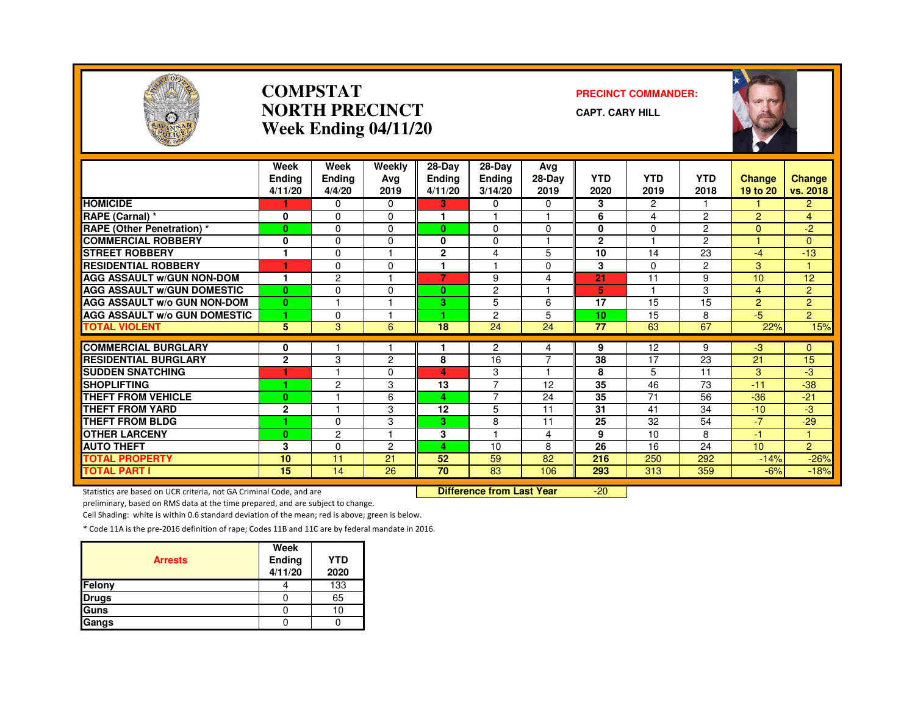

#### **COMPSTATNORTH PRECINCTWeek Ending 04/11/20**

**PRECINCT COMMANDER:**

**CAPT. CARY HILL**



|                                     | Week<br><b>Endina</b><br>4/11/20 | Week<br><b>Ending</b><br>4/4/20 | Weekly<br>Avg<br>2019 | $28 - Day$<br><b>Ending</b><br>4/11/20 | 28-Day<br><b>Ending</b><br>3/14/20 | Avg<br>28-Day<br>2019   | <b>YTD</b><br>2020 | <b>YTD</b><br>2019 | <b>YTD</b><br>2018 | Change<br>19 to 20 | <b>Change</b><br>vs. 2018 |
|-------------------------------------|----------------------------------|---------------------------------|-----------------------|----------------------------------------|------------------------------------|-------------------------|--------------------|--------------------|--------------------|--------------------|---------------------------|
| <b>HOMICIDE</b>                     |                                  | $\Omega$                        | $\Omega$              | 3                                      | 0                                  | $\Omega$                | 3                  | $\overline{c}$     |                    |                    | $\overline{2}$            |
| RAPE (Carnal) *                     | 0                                | $\Omega$                        | $\Omega$              |                                        |                                    |                         | 6                  | 4                  | $\overline{2}$     | $\overline{2}$     | $\overline{4}$            |
| <b>RAPE (Other Penetration) *</b>   | $\bf{0}$                         | $\Omega$                        | $\Omega$              | 0                                      | $\Omega$                           | $\Omega$                | 0                  | $\Omega$           | $\overline{2}$     | $\Omega$           | $-2$                      |
| <b>COMMERCIAL ROBBERY</b>           | 0                                | 0                               | 0                     | 0                                      | $\Omega$                           |                         | $\mathbf{2}$       |                    | $\overline{2}$     |                    | $\Omega$                  |
| <b>STREET ROBBERY</b>               | ۴                                | 0                               |                       | $\overline{2}$                         | 4                                  | 5                       | 10                 | 14                 | 23                 | $-4$               | $-13$                     |
| <b>RESIDENTIAL ROBBERY</b>          | и                                | $\Omega$                        | <sup>0</sup>          |                                        |                                    | 0                       | 3                  | $\Omega$           | $\overline{2}$     | 3                  |                           |
| <b>AGG ASSAULT w/GUN NON-DOM</b>    | 1                                | $\overline{c}$                  |                       | 7                                      | 9                                  | 4                       | 21                 | 11                 | 9                  | 10                 | 12                        |
| <b>AGG ASSAULT W/GUN DOMESTIC</b>   | $\bf{0}$                         | $\Omega$                        | 0                     | 0                                      | $\overline{c}$                     | $\overline{\mathbf{1}}$ | 5                  |                    | 3                  | 4                  | $\overline{2}$            |
| <b>AGG ASSAULT W/o GUN NON-DOM</b>  | $\bf{0}$                         | -1                              |                       | 3.                                     | 5                                  | 6                       | 17                 | 15                 | 15                 | $\overline{2}$     | $\overline{2}$            |
| <b>AGG ASSAULT W/o GUN DOMESTIC</b> | 1                                | $\Omega$                        |                       | 4.                                     | 2                                  | 5                       | 10                 | 15                 | 8                  | $-5$               | $\overline{2}$            |
| <b>TOTAL VIOLENT</b>                | 5                                | 3                               | 6                     | 18                                     | 24                                 | 24                      | 77                 | 63                 | 67                 | 22%                | 15%                       |
|                                     |                                  |                                 |                       |                                        |                                    |                         |                    |                    |                    |                    |                           |
| <b>COMMERCIAL BURGLARY</b>          | 0                                |                                 |                       |                                        | $\overline{2}$                     | 4                       | 9                  | 12                 | 9                  | $-3$               | $\overline{0}$            |
| <b>RESIDENTIAL BURGLARY</b>         | $\mathbf{2}$                     | 3                               | $\overline{2}$        | 8                                      | 16                                 | $\overline{7}$          | 38                 | 17                 | 23                 | 21                 | 15                        |
| <b>SUDDEN SNATCHING</b>             |                                  |                                 | $\Omega$              | 4                                      | 3                                  | $\overline{\mathbf{1}}$ | 8                  | 5                  | 11                 | 3                  | -3                        |
| <b>SHOPLIFTING</b>                  | 1                                | $\overline{c}$                  | 3                     | 13                                     | 7                                  | 12                      | 35                 | 46                 | 73                 | $-11$              | $-38$                     |
| <b>THEFT FROM VEHICLE</b>           | $\bf{0}$                         |                                 | 6                     | 4                                      | 7                                  | 24                      | 35                 | 71                 | 56                 | $-36$              | $-21$                     |
| <b>THEFT FROM YARD</b>              | $\overline{2}$                   |                                 | 3                     | 12                                     | 5                                  | 11                      | 31                 | 41                 | 34                 | $-10$              | -3                        |
| <b>THEFT FROM BLDG</b>              | 4                                | $\Omega$                        | 3                     | 3                                      | 8                                  | 11                      | 25                 | 32                 | 54                 | $-7$               | $-29$                     |
| <b>OTHER LARCENY</b>                | $\bf{0}$                         | $\overline{c}$                  |                       | 3                                      |                                    | 4                       | 9                  | 10                 | 8                  | 47                 | $\mathbf{1}$              |
| <b>AUTO THEFT</b>                   | 3                                | $\Omega$                        | 2                     | 4                                      | 10                                 | 8                       | 26                 | 16                 | 24                 | 10 <sup>10</sup>   | $\overline{2}$            |
| <b>TOTAL PROPERTY</b>               | 10                               | 11                              | 21                    | 52                                     | 59                                 | 82                      | 216                | 250                | 292                | $-14%$             | $-26%$                    |
| <b>TOTAL PART I</b>                 | $\overline{15}$                  | 14                              | $\overline{26}$       | $\overline{70}$                        | 83                                 | 106                     | 293                | 313                | 359                | $-6%$              | $-18%$                    |

Statistics are based on UCR criteria, not GA Criminal Code, and are **Difference from Last Year** 

-20

preliminary, based on RMS data at the time prepared, and are subject to change.

Cell Shading: white is within 0.6 standard deviation of the mean; red is above; green is below.

| <b>Arrests</b> | Week<br><b>Ending</b><br>4/11/20 | <b>YTD</b><br>2020 |
|----------------|----------------------------------|--------------------|
| Felony         |                                  | 133                |
| <b>Drugs</b>   |                                  | 65                 |
| Guns           |                                  | 10                 |
| Gangs          |                                  |                    |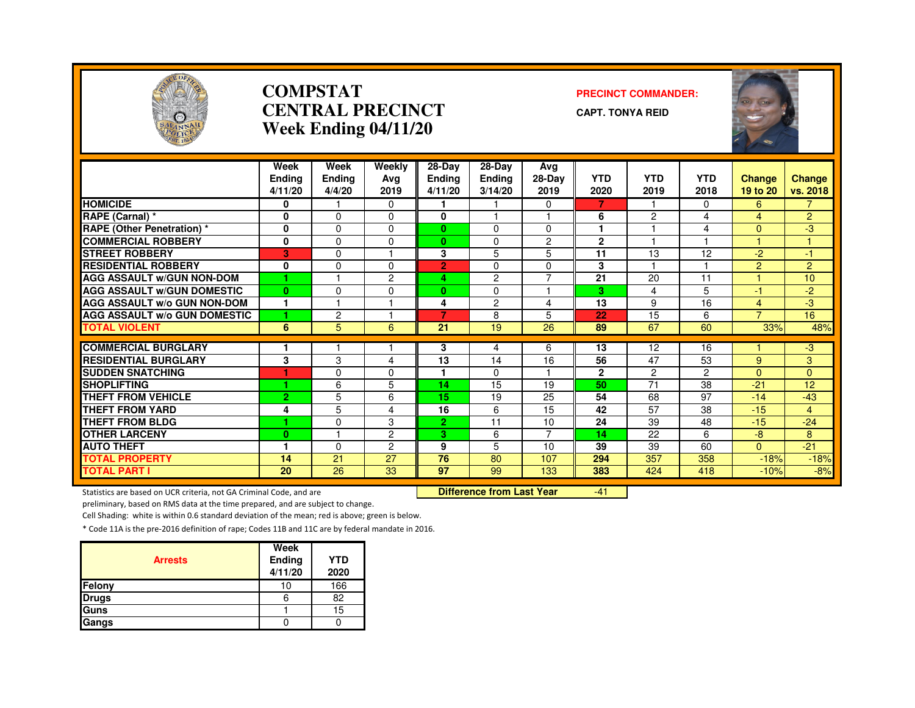

#### **COMPSTATCENTRAL PRECINCTWeek Ending 04/11/20**

#### **PRECINCT COMMANDER:**

**CAPT. TONYA REID**



|                                     | Week<br><b>Ending</b><br>4/11/20 | Week<br><b>Ending</b><br>4/4/20 | Weekly<br>Ava<br>2019 | 28-Day<br><b>Ending</b><br>4/11/20 | $28-Dav$<br><b>Ending</b><br>3/14/20 | Avg<br>28-Day<br>2019 | <b>YTD</b><br>2020 | <b>YTD</b><br>2019 | <b>YTD</b><br>2018 | <b>Change</b><br>19 to 20 | <b>Change</b><br>vs. 2018 |
|-------------------------------------|----------------------------------|---------------------------------|-----------------------|------------------------------------|--------------------------------------|-----------------------|--------------------|--------------------|--------------------|---------------------------|---------------------------|
| <b>HOMICIDE</b>                     | 0                                |                                 | $\Omega$              |                                    |                                      | $\Omega$              | 7                  |                    | $\Omega$           | 6                         | $\overline{7}$            |
| RAPE (Carnal) *                     | 0                                | $\Omega$                        | $\Omega$              | 0                                  |                                      |                       | 6                  | 2                  | 4                  | 4                         | $\overline{2}$            |
| <b>RAPE (Other Penetration) *</b>   | $\bf{0}$                         | $\Omega$                        | 0                     | $\mathbf{0}$                       | $\Omega$                             | $\Omega$              |                    |                    | 4                  | $\overline{0}$            | -3                        |
| <b>COMMERCIAL ROBBERY</b>           | 0                                | $\Omega$                        | 0                     | $\mathbf{0}$                       | 0                                    | $\overline{c}$        | $\mathbf{2}$       |                    |                    |                           |                           |
| <b>STREET ROBBERY</b>               | в                                | $\Omega$                        |                       | 3                                  | 5                                    | 5                     | 11                 | 13                 | 12                 | $-2$                      | 47                        |
| <b>RESIDENTIAL ROBBERY</b>          | $\mathbf{0}$                     | $\Omega$                        | $\Omega$              | $\overline{2}$                     | $\Omega$                             | $\Omega$              | 3                  |                    |                    | $\overline{2}$            | $\overline{2}$            |
| <b>AGG ASSAULT W/GUN NON-DOM</b>    | 4                                | -4                              | $\overline{2}$        | 4                                  | $\overline{2}$                       | $\overline{7}$        | 21                 | 20                 | 11                 |                           | 10 <sup>10</sup>          |
| <b>AGG ASSAULT W/GUN DOMESTIC</b>   | $\mathbf{0}$                     | $\Omega$                        | $\Omega$              | $\bf{0}$                           | $\Omega$                             | 1                     | 3                  | 4                  | 5                  | $-1$                      | $-2$                      |
| <b>AGG ASSAULT W/o GUN NON-DOM</b>  | 1                                |                                 |                       | 4                                  | $\overline{c}$                       | 4                     | 13                 | 9                  | 16                 | 4                         | $-3$                      |
| <b>AGG ASSAULT w/o GUN DOMESTIC</b> | 1                                | $\overline{c}$                  |                       | 7                                  | 8                                    | 5                     | 22                 | 15                 | 6                  | $\overline{7}$            | 16                        |
| <b>TOTAL VIOLENT</b>                | 6                                | 5                               | 6                     | 21                                 | 19                                   | 26                    | 89                 | 67                 | 60                 | 33%                       | 48%                       |
|                                     |                                  |                                 |                       |                                    |                                      |                       |                    |                    |                    |                           |                           |
| <b>COMMERCIAL BURGLARY</b>          | 1                                |                                 |                       | 3                                  | 4                                    | 6                     | 13                 | 12                 | 16                 |                           | $-3$                      |
| <b>RESIDENTIAL BURGLARY</b>         | 3                                | 3                               | 4                     | 13                                 | 14                                   | 16                    | 56                 | 47                 | 53                 | 9                         | 3                         |
| <b>SUDDEN SNATCHING</b>             | и                                | $\Omega$                        | 0                     |                                    | $\Omega$                             |                       | $\mathbf{2}$       | $\overline{c}$     | 2                  | $\Omega$                  | $\Omega$                  |
| <b>SHOPLIFTING</b>                  | 1                                | 6                               | 5                     | 14                                 | 15                                   | 19                    | 50                 | 71                 | 38                 | $-21$                     | 12                        |
| <b>THEFT FROM VEHICLE</b>           | $\overline{2}$                   | 5                               | 6                     | 15                                 | 19                                   | 25                    | 54                 | 68                 | 97                 | $-14$                     | $-43$                     |
| <b>THEFT FROM YARD</b>              | 4                                | 5                               | 4                     | 16                                 | 6                                    | 15                    | 42                 | 57                 | 38                 | $-15$                     | 4                         |
| <b>THEFT FROM BLDG</b>              | 4                                | $\Omega$                        | 3                     | $\overline{2}$                     | 11                                   | 10                    | 24                 | 39                 | 48                 | $-15$                     | $-24$                     |
| <b>OTHER LARCENY</b>                | $\bf{0}$                         |                                 | 2                     | 3                                  | 6                                    | $\overline{7}$        | 14                 | 22                 | 6                  | $-8$                      | 8                         |
| <b>AUTO THEFT</b>                   | ٠                                | $\Omega$                        | $\overline{c}$        | 9                                  | 5                                    | 10                    | 39                 | 39                 | 60                 | $\Omega$                  | $-21$                     |
| <b>TOTAL PROPERTY</b>               | 14                               | 21                              | 27                    | 76                                 | 80                                   | 107                   | 294                | 357                | 358                | $-18%$                    | $-18%$                    |
| <b>TOTAL PART I</b>                 | 20                               | 26                              | 33                    | 97                                 | 99                                   | 133                   | 383                | 424                | 418                | $-10%$                    | $-8%$                     |

Statistics are based on UCR criteria, not GA Criminal Code, and are **Difference from Last Year** 

-41

preliminary, based on RMS data at the time prepared, and are subject to change.

Cell Shading: white is within 0.6 standard deviation of the mean; red is above; green is below.

|                | Week    |                    |
|----------------|---------|--------------------|
| <b>Arrests</b> | Ending  | <b>YTD</b><br>2020 |
|                | 4/11/20 |                    |
| Felony         | 10      | 166                |
| <b>Drugs</b>   |         | 82                 |
| Guns           |         | 15                 |
| Gangs          |         |                    |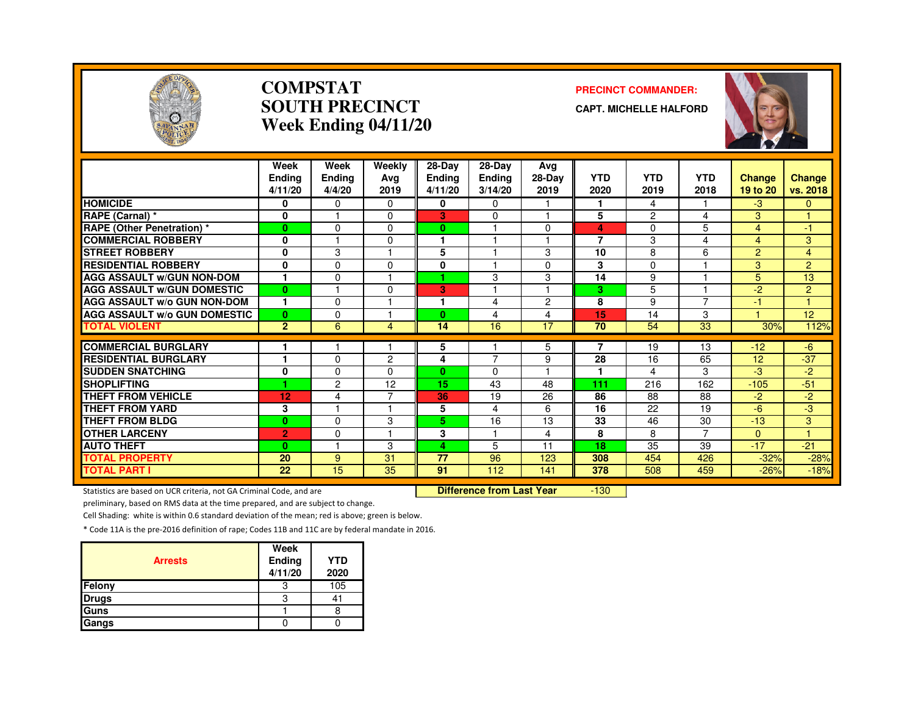

#### **COMPSTATSOUTH PRECINCTWeek Ending 04/11/20**

#### **PRECINCT COMMANDER:**

**CAPT. MICHELLE HALFORD**



|                                     | Week<br><b>Ending</b><br>4/11/20 | Week<br>Ending<br>4/4/20 | Weekly<br>Avg<br>2019 | 28-Day<br><b>Ending</b><br>4/11/20 | $28$ -Day<br><b>Ending</b><br>3/14/20 | Ava<br>28-Day<br>2019 | <b>YTD</b><br>2020 | <b>YTD</b><br>2019 | <b>YTD</b><br>2018 | <b>Change</b><br>19 to 20 | Change<br>vs. 2018 |
|-------------------------------------|----------------------------------|--------------------------|-----------------------|------------------------------------|---------------------------------------|-----------------------|--------------------|--------------------|--------------------|---------------------------|--------------------|
| <b>HOMICIDE</b>                     | 0                                | $\Omega$                 | $\Omega$              | 0                                  | $\Omega$                              |                       | 1                  | 4                  |                    | $-3$                      | $\mathbf{0}$       |
| RAPE (Carnal) *                     | $\mathbf 0$                      |                          | $\Omega$              | 3                                  | $\Omega$                              |                       | 5                  | $\overline{2}$     | 4                  | 3                         | $\overline{1}$     |
| <b>RAPE (Other Penetration)</b> *   | $\mathbf{0}$                     | $\Omega$                 | $\Omega$              | 0                                  |                                       | $\Omega$              | 4                  | 0                  | 5                  | 4                         | -1                 |
| <b>COMMERCIAL ROBBERY</b>           | 0                                |                          | $\Omega$              |                                    |                                       |                       | 7                  | 3                  | 4                  | 4                         | 3                  |
| <b>STREET ROBBERY</b>               | $\mathbf 0$                      | 3                        |                       | 5                                  |                                       | 3                     | 10                 | 8                  | 6                  | 2                         | $\overline{4}$     |
| <b>RESIDENTIAL ROBBERY</b>          | $\mathbf{0}$                     | $\mathbf{0}$             | $\Omega$              | 0                                  |                                       | $\Omega$              | 3                  | $\Omega$           |                    | 3                         | $\overline{2}$     |
| <b>AGG ASSAULT W/GUN NON-DOM</b>    |                                  | $\mathbf 0$              |                       |                                    | 3                                     | 3                     | 14                 | 9                  |                    | 5                         | 13                 |
| <b>AGG ASSAULT W/GUN DOMESTIC</b>   | $\bf{0}$                         |                          | $\Omega$              | 3                                  |                                       |                       | 3                  | 5                  |                    | $-2$                      | 2                  |
| <b>AGG ASSAULT w/o GUN NON-DOM</b>  | 1                                | $\Omega$                 |                       |                                    | 4                                     | $\overline{2}$        | 8                  | 9                  | 7                  | -1                        |                    |
| <b>AGG ASSAULT w/o GUN DOMESTIC</b> | $\mathbf{0}$                     | $\Omega$                 |                       | 0                                  | 4                                     | $\overline{4}$        | 15                 | 14                 | 3                  |                           | 12                 |
| <b>TOTAL VIOLENT</b>                | $\overline{2}$                   | 6                        | 4                     | 14                                 | 16                                    | 17                    | 70                 | 54                 | 33                 | 30%                       | 112%               |
|                                     |                                  |                          |                       |                                    |                                       |                       |                    |                    |                    |                           |                    |
| <b>COMMERCIAL BURGLARY</b>          | и                                |                          |                       | 5                                  | 7                                     | 5                     | 7                  | 19                 | 13                 | $-12$                     | $-6$               |
| <b>RESIDENTIAL BURGLARY</b>         |                                  | $\Omega$                 | $\overline{2}$        | 4                                  |                                       | 9                     | 28                 | 16                 | 65                 | 12                        | $-37$              |
| <b>SUDDEN SNATCHING</b>             | 0                                | 0                        | 0                     | 0                                  | $\Omega$                              |                       | 1                  | 4                  | 3                  | -3                        | -2                 |
| <b>SHOPLIFTING</b>                  | 1                                | 2                        | 12<br>⇁               | 15                                 | 43                                    | 48                    | 111                | 216                | 162                | $-105$                    | $-51$              |
| THEFT FROM VEHICLE                  | 12                               | 4                        |                       | 36                                 | 19                                    | 26                    | 86                 | 88                 | 88                 | $-2$                      | -2                 |
| <b>THEFT FROM YARD</b>              | 3                                |                          |                       | 5                                  | 4                                     | 6                     | 16                 | 22                 | 19                 | $-6$                      | -3                 |
| <b>THEFT FROM BLDG</b>              | $\mathbf{0}$                     | $\Omega$                 | 3                     | 5.                                 | 16                                    | 13                    | 33                 | 46                 | 30                 | $-13$                     | 3                  |
| <b>OTHER LARCENY</b>                | $\overline{2}$                   | $\Omega$                 |                       | 3                                  |                                       | 4                     | 8                  | 8                  | $\overline{7}$     | $\Omega$                  | и                  |
| <b>AUTO THEFT</b>                   | $\bf{0}$                         |                          | 3                     | 4                                  | 5                                     | 11                    | 18                 | 35                 | 39                 | $-17$                     | $-21$              |
| <b>TOTAL PROPERTY</b>               | 20                               | 9                        | 31                    | 77                                 | 96                                    | 123                   | 308                | 454                | 426                | $-32%$                    | $-28%$             |
| <b>TOTAL PART I</b>                 | 22                               | 15                       | 35                    | 91                                 | 112                                   | 141                   | 378                | 508                | 459                | $-26%$                    | $-18%$             |

Statistics are based on UCR criteria, not GA Criminal Code, and are **Difference from Last Year** 

-130

preliminary, based on RMS data at the time prepared, and are subject to change.

Cell Shading: white is within 0.6 standard deviation of the mean; red is above; green is below.

| <b>Arrests</b> | Week<br>Ending<br>4/11/20 | <b>YTD</b><br>2020 |
|----------------|---------------------------|--------------------|
| Felony         | 3                         | 105                |
| <b>Drugs</b>   | 3                         |                    |
| Guns           |                           |                    |
| Gangs          |                           |                    |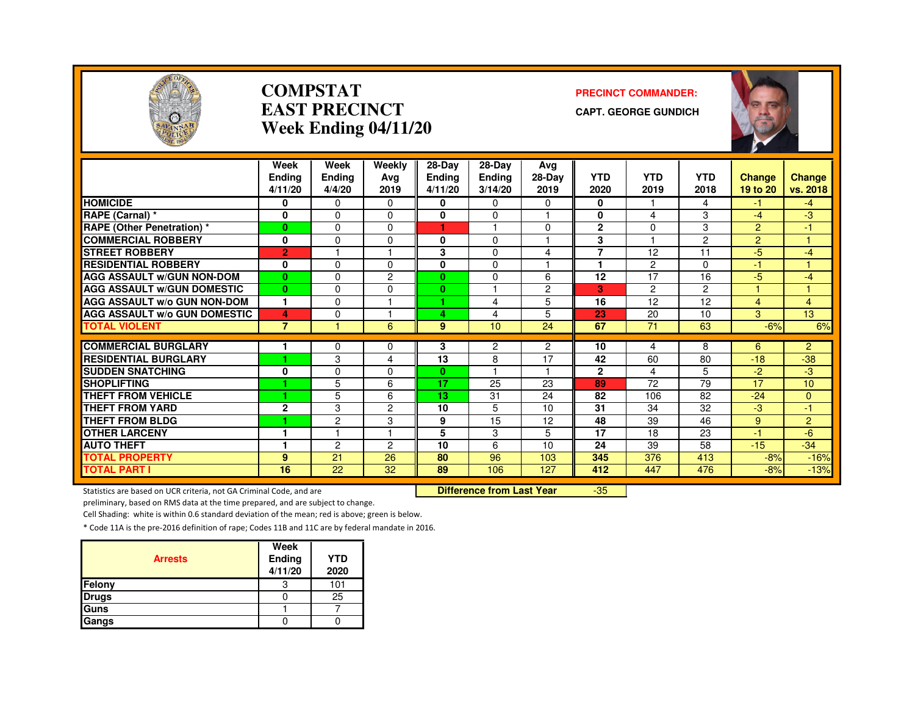

#### **COMPSTATEAST PRECINCTWeek Ending 04/11/20**

#### **PRECINCT COMMANDER:**

**CAPT. GEORGE GUNDICH**



|                                     | Week<br>Endina<br>4/11/20 | Week<br><b>Ending</b><br>4/4/20 | Weekly<br>Avg<br>2019 | $28$ -Day<br><b>Ending</b><br>4/11/20 | $28-Dav$<br>Ending<br>3/14/20 | Ava<br>28-Day<br>2019 | <b>YTD</b><br>2020 | <b>YTD</b><br>2019 | <b>YTD</b><br>2018 | Change<br>19 to 20 | Change<br>vs. 2018 |
|-------------------------------------|---------------------------|---------------------------------|-----------------------|---------------------------------------|-------------------------------|-----------------------|--------------------|--------------------|--------------------|--------------------|--------------------|
| <b>HOMICIDE</b>                     | 0                         | $\Omega$                        | $\Omega$              | 0                                     | 0                             | 0                     | 0                  |                    | 4                  | $-1$               | $-4$               |
| RAPE (Carnal) *                     | 0                         | $\Omega$                        | $\Omega$              | $\bf{0}$                              | 0                             | 1                     | $\bf{0}$           | 4                  | 3                  | $-4$               | $-3$               |
| <b>RAPE (Other Penetration) *</b>   | $\bf{0}$                  | $\Omega$                        | $\Omega$              | 1                                     | $\blacktriangleleft$          | $\Omega$              | $\mathbf{2}$       | $\Omega$           | 3                  | $\overline{2}$     | 47                 |
| <b>COMMERCIAL ROBBERY</b>           | 0                         | $\Omega$                        | $\Omega$              | 0                                     | 0                             |                       | 3                  |                    | $\overline{2}$     | $\overline{2}$     |                    |
| <b>STREET ROBBERY</b>               | $\overline{2}$            |                                 |                       | 3                                     | 0                             | 4                     | $\overline{7}$     | 12                 | 11                 | $-5$               | $-4$               |
| <b>RESIDENTIAL ROBBERY</b>          | 0                         | $\Omega$                        | $\Omega$              | 0                                     | 0                             |                       |                    | 2                  | $\Omega$           | $-1$               |                    |
| <b>AGG ASSAULT w/GUN NON-DOM</b>    | $\mathbf{0}$              | $\Omega$                        | 2                     | $\bf{0}$                              | 0                             | 6                     | 12                 | 17                 | 16                 | $-5$               | $-4$               |
| <b>AGG ASSAULT W/GUN DOMESTIC</b>   | $\mathbf{0}$              | $\Omega$                        | $\Omega$              | $\bf{0}$                              |                               | $\overline{c}$        | 3                  | $\overline{c}$     | $\overline{2}$     |                    |                    |
| <b>AGG ASSAULT w/o GUN NON-DOM</b>  | $\mathbf{1}$              | $\Omega$                        |                       | и                                     | 4                             | 5                     | 16                 | 12 <sup>2</sup>    | 12                 | 4                  | $\overline{4}$     |
| <b>AGG ASSAULT W/o GUN DOMESTIC</b> | 4                         | $\Omega$                        |                       | 4                                     | 4                             | 5                     | 23                 | 20                 | 10                 | 3                  | 13                 |
| <b>TOTAL VIOLENT</b>                | $\overline{7}$            |                                 | 6                     | 9 <sup>°</sup>                        | 10                            | 24                    | 67                 | 71                 | 63                 | $-6%$              | 6%                 |
| <b>COMMERCIAL BURGLARY</b>          |                           | $\Omega$                        |                       |                                       |                               | $\overline{2}$        | 10                 |                    | 8                  |                    | $\overline{2}$     |
| <b>RESIDENTIAL BURGLARY</b>         | ٠                         | 3                               | 0<br>4                | 3<br>13                               | 2<br>8                        | 17                    | 42                 | 4<br>60            | 80                 | 6<br>$-18$         | $-38$              |
| <b>SUDDEN SNATCHING</b>             | 0                         | $\Omega$                        | $\Omega$              | $\mathbf{0}$                          |                               | 1                     | $\mathbf{2}$       | 4                  | 5.                 | $-2$               | -3                 |
| <b>SHOPLIFTING</b>                  | и                         | 5                               | 6                     | 17                                    | 25                            | 23                    | 89                 | 72                 | $\overline{79}$    | 17                 | 10 <sup>10</sup>   |
| <b>THEFT FROM VEHICLE</b>           | ٠                         | 5                               | 6                     | 13                                    | 31                            | 24                    | 82                 | 106                | 82                 | $-24$              | $\Omega$           |
| <b>THEFT FROM YARD</b>              | $\mathbf 2$               | 3                               | 2                     | 10                                    | 5                             | 10                    | 31                 | 34                 | 32                 | -3                 | -17                |
| <b>THEFT FROM BLDG</b>              | ٠                         | $\overline{c}$                  | 3                     | 9                                     | 15                            | 12                    | 48                 | 39                 | 46                 | 9                  | $\overline{2}$     |
| <b>OTHER LARCENY</b>                |                           |                                 |                       | 5                                     | 3                             | 5                     | 17                 | 18                 | 23                 | 47                 | $-6$               |
| <b>AUTO THEFT</b>                   |                           | $\mathbf{2}$                    | 2                     | 10                                    | 6                             | 10                    | 24                 | 39                 | 58                 | $-15$              | $-34$              |
| <b>TOTAL PROPERTY</b>               | 9                         | 21                              | 26                    | 80                                    | 96                            | 103                   | 345                | 376                | 413                | $-8%$              | $-16%$             |
| <b>TOTAL PART I</b>                 | 16                        | 22                              | 32                    | 89                                    | 106                           | 127                   | 412                | 447                | 476                | $-8%$              | $-13%$             |

Statistics are based on UCR criteria, not GA Criminal Code, and are **Difference from Last Year** 

-35

preliminary, based on RMS data at the time prepared, and are subject to change.

Cell Shading: white is within 0.6 standard deviation of the mean; red is above; green is below.

| <b>Arrests</b> | Week<br>Ending<br>4/11/20 | <b>YTD</b><br>2020 |
|----------------|---------------------------|--------------------|
| Felony         | З                         | 101                |
| <b>Drugs</b>   |                           | 25                 |
| Guns           |                           |                    |
| Gangs          |                           |                    |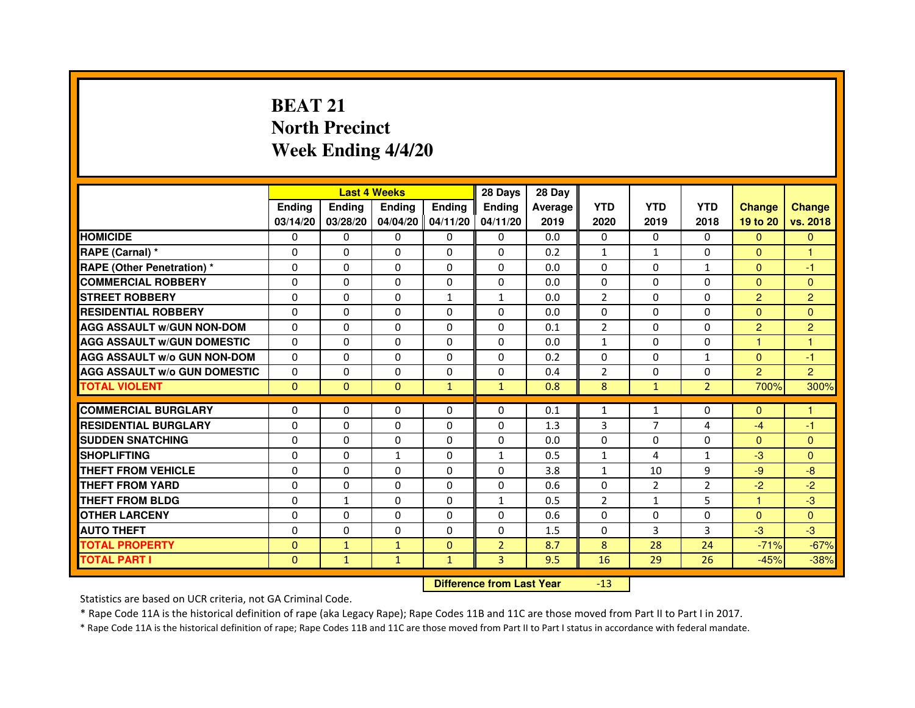# **BEAT 21 North PrecinctWeek Ending 4/4/20**

|                                     |               | <b>Last 4 Weeks</b>              |                   |               | 28 Days        | 28 Day  |                |                |                |                      |                |
|-------------------------------------|---------------|----------------------------------|-------------------|---------------|----------------|---------|----------------|----------------|----------------|----------------------|----------------|
|                                     | <b>Endina</b> | <b>Endina</b>                    | <b>Ending</b>     | <b>Ending</b> | <b>Endina</b>  | Average | <b>YTD</b>     | <b>YTD</b>     | <b>YTD</b>     | <b>Change</b>        | <b>Change</b>  |
|                                     | 03/14/20      | 03/28/20                         | 04/04/20 04/11/20 |               | 04/11/20       | 2019    | 2020           | 2019           | 2018           | 19 to 20             | vs. 2018       |
| <b>HOMICIDE</b>                     | 0             | $\Omega$                         | $\Omega$          | $\Omega$      | $\Omega$       | 0.0     | $\Omega$       | $\Omega$       | $\Omega$       | $\overline{0}$       | $\mathbf{0}$   |
| RAPE (Carnal) *                     | 0             | 0                                | 0                 | $\mathbf{0}$  | 0              | 0.2     | 1              | $\mathbf{1}$   | 0              | $\Omega$             | 1              |
| <b>RAPE (Other Penetration) *</b>   | $\mathbf 0$   | 0                                | 0                 | $\Omega$      | $\Omega$       | 0.0     | $\Omega$       | $\Omega$       | $\mathbf{1}$   | $\Omega$             | -1             |
| <b>COMMERCIAL ROBBERY</b>           | 0             | 0                                | $\Omega$          | $\mathbf{0}$  | $\Omega$       | 0.0     | $\Omega$       | $\Omega$       | $\Omega$       | $\Omega$             | $\mathbf{0}$   |
| <b>STREET ROBBERY</b>               | 0             | 0                                | 0                 | $\mathbf{1}$  | $\mathbf{1}$   | 0.0     | $\overline{2}$ | $\Omega$       | $\Omega$       | $\overline{2}$       | $\overline{2}$ |
| <b>RESIDENTIAL ROBBERY</b>          | $\Omega$      | 0                                | 0                 | $\mathbf{0}$  | 0              | 0.0     | $\Omega$       | 0              | $\Omega$       | $\Omega$             | $\mathbf{0}$   |
| <b>AGG ASSAULT w/GUN NON-DOM</b>    | $\Omega$      | 0                                | $\Omega$          | $\Omega$      | $\Omega$       | 0.1     | $\overline{2}$ | $\Omega$       | $\Omega$       | $\overline{c}$       | $\overline{c}$ |
| <b>AGG ASSAULT W/GUN DOMESTIC</b>   | $\Omega$      | $\Omega$                         | $\Omega$          | $\Omega$      | $\Omega$       | 0.0     | $\mathbf{1}$   | $\Omega$       | $\Omega$       | $\blacktriangleleft$ | $\mathbf{1}$   |
| <b>AGG ASSAULT w/o GUN NON-DOM</b>  | 0             | 0                                | 0                 | 0             | 0              | 0.2     | 0              | 0              | $\mathbf{1}$   | $\overline{0}$       | -1             |
| <b>AGG ASSAULT w/o GUN DOMESTIC</b> | $\Omega$      | 0                                | 0                 | 0             | $\Omega$       | 0.4     | $\overline{2}$ | 0              | 0              | $\overline{2}$       | $\overline{2}$ |
| <b>TOTAL VIOLENT</b>                | $\mathbf{0}$  | $\mathbf{0}$                     | $\mathbf{0}$      | $\mathbf{1}$  | $\mathbf{1}$   | 0.8     | 8              | $\mathbf{1}$   | $\overline{2}$ | 700%                 | 300%           |
| <b>COMMERCIAL BURGLARY</b>          | 0             | 0                                | 0                 | 0             | 0              | 0.1     | $\mathbf{1}$   | $\mathbf{1}$   | 0              | $\mathbf{0}$         | 1              |
| <b>RESIDENTIAL BURGLARY</b>         | 0             | $\Omega$                         | $\Omega$          | $\Omega$      | $\Omega$       | 1.3     | 3              | $\overline{7}$ | 4              | $-4$                 | $-1$           |
| <b>SUDDEN SNATCHING</b>             | 0             | $\Omega$                         | $\Omega$          | $\Omega$      | $\Omega$       | 0.0     | $\Omega$       | $\Omega$       | $\Omega$       | $\Omega$             | $\mathbf{0}$   |
| <b>SHOPLIFTING</b>                  | $\Omega$      | 0                                | $\mathbf{1}$      | $\mathbf{0}$  | $\mathbf{1}$   | 0.5     | 1              | 4              | 1              | $-3$                 | $\mathbf{0}$   |
| <b>THEFT FROM VEHICLE</b>           | $\Omega$      | $\Omega$                         | $\Omega$          | $\Omega$      | $\Omega$       | 3.8     | $\mathbf{1}$   | 10             | 9              | $-9$                 | $-8$           |
| <b>THEFT FROM YARD</b>              | $\Omega$      | $\mathbf 0$                      | $\Omega$          | $\mathbf{0}$  | $\mathbf{0}$   | 0.6     | $\Omega$       | $\overline{2}$ | $\overline{2}$ | $-2$                 | $-2$           |
| <b>THEFT FROM BLDG</b>              | 0             | $\mathbf{1}$                     | 0                 | $\mathbf{0}$  | $\mathbf{1}$   | 0.5     | 2              | $\mathbf{1}$   | 5              | $\mathbf{1}$         | $-3$           |
| <b>OTHER LARCENY</b>                | 0             | 0                                | 0                 | $\Omega$      | $\Omega$       | 0.6     | $\Omega$       | $\Omega$       | 0              | $\mathbf{0}$         | $\Omega$       |
| <b>AUTO THEFT</b>                   | $\mathbf 0$   | 0                                | 0                 | 0             | $\Omega$       | 1.5     | 0              | 3              | 3              | $-3$                 | $-3$           |
| <b>TOTAL PROPERTY</b>               | $\Omega$      | $\mathbf{1}$                     | $\mathbf{1}$      | $\mathbf{0}$  | $\overline{2}$ | 8.7     | 8              | 28             | 24             | $-71%$               | $-67%$         |
| <b>TOTAL PART I</b>                 | $\mathbf{0}$  | $\mathbf{1}$                     | $\mathbf{1}$      | $\mathbf{1}$  | 3              | 9.5     | 16             | 29             | 26             | $-45%$               | $-38%$         |
|                                     |               | <b>Difference from Last Year</b> |                   | $-13$         |                |         |                |                |                |                      |                |

Statistics are based on UCR criteria, not GA Criminal Code.

\* Rape Code 11A is the historical definition of rape (aka Legacy Rape); Rape Codes 11B and 11C are those moved from Part II to Part I in 2017.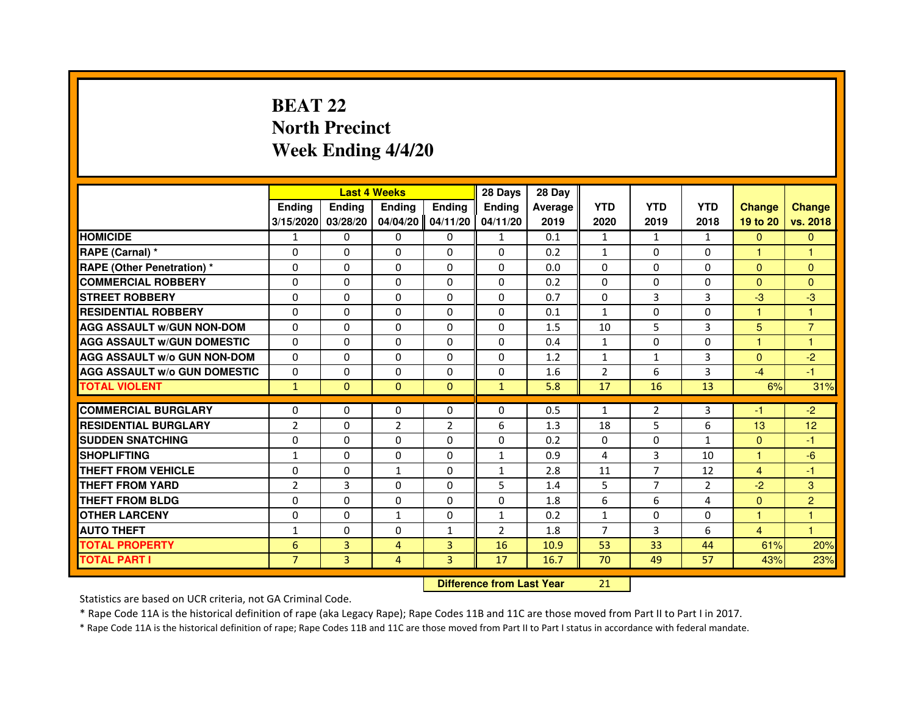# **BEAT 22 North PrecinctWeek Ending 4/4/20**

|                                     |                |                                  | <b>Last 4 Weeks</b> |                | 28 Days        | 28 Day  |                |                |                |                |                |
|-------------------------------------|----------------|----------------------------------|---------------------|----------------|----------------|---------|----------------|----------------|----------------|----------------|----------------|
|                                     | <b>Ending</b>  | <b>Ending</b>                    | <b>Ending</b>       | <b>Ending</b>  | <b>Endina</b>  | Average | <b>YTD</b>     | <b>YTD</b>     | <b>YTD</b>     | <b>Change</b>  | <b>Change</b>  |
|                                     | 3/15/2020      | 03/28/20                         | 04/04/20            | 04/11/20       | 04/11/20       | 2019    | 2020           | 2019           | 2018           | 19 to 20       | vs. 2018       |
| <b>HOMICIDE</b>                     | 1              | $\Omega$                         | $\Omega$            | $\Omega$       | $\mathbf{1}$   | 0.1     | $\mathbf{1}$   | $\mathbf{1}$   | $\mathbf{1}$   | $\Omega$       | $\mathbf{0}$   |
| RAPE (Carnal) *                     | 0              | 0                                | 0                   | $\Omega$       | 0              | 0.2     | $\mathbf{1}$   | 0              | 0              | 1              | 1              |
| <b>RAPE (Other Penetration) *</b>   | $\Omega$       | $\Omega$                         | $\Omega$            | $\Omega$       | $\Omega$       | 0.0     | $\Omega$       | $\Omega$       | $\Omega$       | $\Omega$       | $\Omega$       |
| <b>COMMERCIAL ROBBERY</b>           | $\Omega$       | $\Omega$                         | $\Omega$            | $\Omega$       | $\Omega$       | 0.2     | $\Omega$       | $\Omega$       | $\Omega$       | $\Omega$       | $\Omega$       |
| <b>STREET ROBBERY</b>               | $\Omega$       | $\Omega$                         | $\Omega$            | $\Omega$       | $\Omega$       | 0.7     | $\Omega$       | 3              | 3              | $-3$           | $-3$           |
| <b>RESIDENTIAL ROBBERY</b>          | $\Omega$       | $\Omega$                         | $\Omega$            | $\Omega$       | $\Omega$       | 0.1     | $\mathbf{1}$   | $\Omega$       | $\Omega$       | 1              | 1              |
| <b>AGG ASSAULT W/GUN NON-DOM</b>    | $\Omega$       | $\Omega$                         | $\Omega$            | $\Omega$       | $\Omega$       | 1.5     | 10             | 5              | 3              | 5              | $\overline{7}$ |
| <b>AGG ASSAULT W/GUN DOMESTIC</b>   | $\Omega$       | $\Omega$                         | $\Omega$            | $\Omega$       | $\Omega$       | 0.4     | $\mathbf{1}$   | $\Omega$       | $\Omega$       | $\mathbf{1}$   | $\mathbf{1}$   |
| <b>AGG ASSAULT W/o GUN NON-DOM</b>  | $\Omega$       | 0                                | 0                   | 0              | 0              | 1.2     | $\mathbf{1}$   | $\mathbf{1}$   | 3              | $\Omega$       | $-2$           |
| <b>AGG ASSAULT W/o GUN DOMESTIC</b> | $\Omega$       | 0                                | 0                   | $\Omega$       | $\Omega$       | 1.6     | $\overline{2}$ | 6              | 3              | $-4$           | $-1$           |
| <b>TOTAL VIOLENT</b>                | $\mathbf{1}$   | $\mathbf{0}$                     | $\mathbf{0}$        | $\mathbf{0}$   | $\mathbf{1}$   | 5.8     | 17             | 16             | 13             | 6%             | 31%            |
| <b>COMMERCIAL BURGLARY</b>          | 0              | 0                                | 0                   | 0              | 0              | 0.5     | $\mathbf{1}$   | 2              | 3              | -1             | $-2$           |
| <b>RESIDENTIAL BURGLARY</b>         | $\overline{2}$ | $\Omega$                         | $\overline{2}$      | $\overline{2}$ | 6              | 1.3     | 18             | 5              | 6              | 13             | 12             |
| <b>SUDDEN SNATCHING</b>             | $\Omega$       | $\Omega$                         | $\Omega$            | $\Omega$       | $\Omega$       | 0.2     | $\Omega$       | $\Omega$       | 1              | $\Omega$       | $-1$           |
| <b>SHOPLIFTING</b>                  | $\mathbf{1}$   | 0                                | 0                   | 0              | $\mathbf{1}$   | 0.9     | 4              | 3              | 10             | 1              | $-6$           |
| THEFT FROM VEHICLE                  | $\Omega$       | $\Omega$                         | $\mathbf{1}$        | $\Omega$       | $\mathbf{1}$   | 2.8     | 11             | $\overline{7}$ | 12             | $\overline{4}$ | $-1$           |
| <b>THEFT FROM YARD</b>              | $\overline{2}$ | 3                                | $\Omega$            | 0              | 5              | 1.4     | 5              | $\overline{7}$ | $\overline{2}$ | $-2$           | 3              |
| <b>THEFT FROM BLDG</b>              | $\Omega$       | $\Omega$                         | $\Omega$            | $\Omega$       | $\Omega$       | 1.8     | 6              | 6              | $\overline{a}$ | $\Omega$       | $\overline{2}$ |
| <b>OTHER LARCENY</b>                | $\Omega$       | $\Omega$                         | $\mathbf{1}$        | $\Omega$       | $\mathbf{1}$   | 0.2     | $\mathbf{1}$   | $\Omega$       | $\Omega$       | 1              | 1              |
| <b>AUTO THEFT</b>                   | $\mathbf{1}$   | $\Omega$                         | $\Omega$            | $\mathbf{1}$   | $\overline{2}$ | 1.8     | $\overline{7}$ | 3              | 6              | $\overline{4}$ | $\mathbf{1}$   |
| <b>TOTAL PROPERTY</b>               | 6              | 3                                | $\overline{4}$      | 3              | 16             | 10.9    | 53             | 33             | 44             | 61%            | 20%            |
| <b>TOTAL PART I</b>                 | $\overline{7}$ | 3                                | 4                   | 3              | 17             | 16.7    | 70             | 49             | 57             | 43%            | 23%            |
|                                     |                |                                  |                     |                |                |         |                |                |                |                |                |
|                                     |                | <b>Difference from Last Year</b> |                     | 21             |                |         |                |                |                |                |                |

 **Difference from Last Year**

Statistics are based on UCR criteria, not GA Criminal Code.

\* Rape Code 11A is the historical definition of rape (aka Legacy Rape); Rape Codes 11B and 11C are those moved from Part II to Part I in 2017.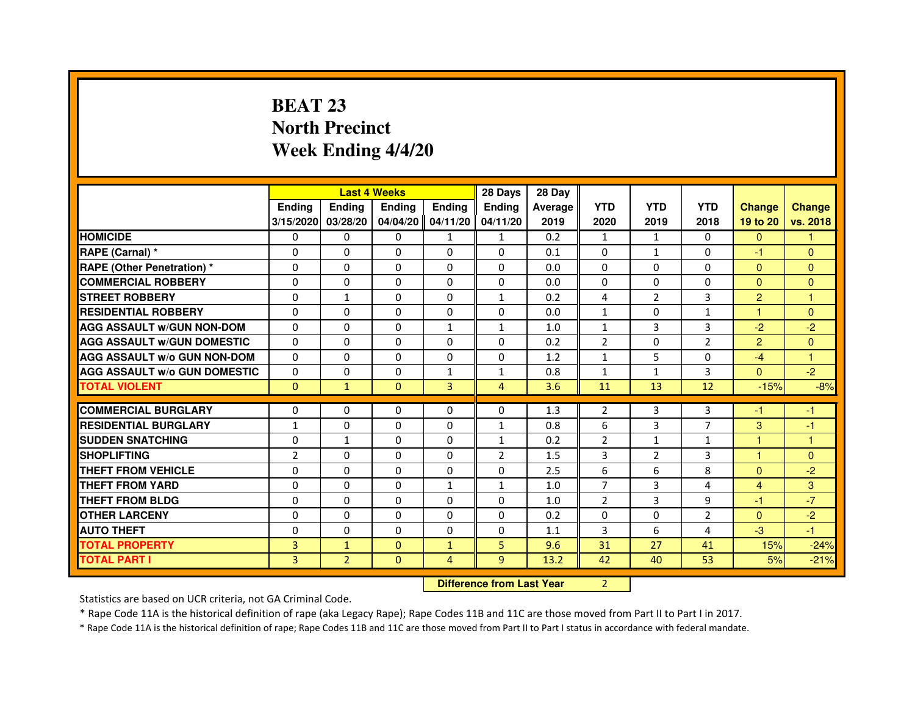# **BEAT 23 North PrecinctWeek Ending 4/4/20**

|                                     |                | <b>Last 4 Weeks</b>              |               |                | 28 Days        | 28 Day  |                |                |                |                      |               |
|-------------------------------------|----------------|----------------------------------|---------------|----------------|----------------|---------|----------------|----------------|----------------|----------------------|---------------|
|                                     | <b>Ending</b>  | Ending                           | <b>Ending</b> | <b>Ending</b>  | Ending         | Average | <b>YTD</b>     | <b>YTD</b>     | <b>YTD</b>     | <b>Change</b>        | <b>Change</b> |
|                                     | 3/15/2020      | 03/28/20                         | 04/04/20      | 04/11/20       | 04/11/20       | 2019    | 2020           | 2019           | 2018           | 19 to 20             | vs. 2018      |
| <b>HOMICIDE</b>                     | $\Omega$       | $\Omega$                         | $\Omega$      | $\mathbf{1}$   | 1              | 0.2     | $\mathbf{1}$   | 1              | $\Omega$       | $\Omega$             | 1.            |
| RAPE (Carnal) *                     | 0              | $\Omega$                         | $\Omega$      | $\Omega$       | $\Omega$       | 0.1     | $\Omega$       | $\mathbf{1}$   | 0              | $-1$                 | $\mathbf{0}$  |
| <b>RAPE (Other Penetration) *</b>   | $\Omega$       | $\Omega$                         | $\Omega$      | $\Omega$       | $\Omega$       | 0.0     | $\Omega$       | $\Omega$       | $\Omega$       | $\Omega$             | $\mathbf{0}$  |
| <b>COMMERCIAL ROBBERY</b>           | $\Omega$       | 0                                | $\Omega$      | $\Omega$       | $\Omega$       | 0.0     | $\Omega$       | $\Omega$       | $\Omega$       | $\Omega$             | $\mathbf{0}$  |
| <b>STREET ROBBERY</b>               | $\Omega$       | $\mathbf{1}$                     | $\Omega$      | $\Omega$       | $\mathbf{1}$   | 0.2     | 4              | 2              | 3              | $\overline{2}$       | $\mathbf{1}$  |
| <b>RESIDENTIAL ROBBERY</b>          | $\Omega$       | $\Omega$                         | $\Omega$      | $\Omega$       | $\Omega$       | 0.0     | $\mathbf{1}$   | $\Omega$       | $\mathbf{1}$   | $\blacktriangleleft$ | $\mathbf{0}$  |
| <b>AGG ASSAULT w/GUN NON-DOM</b>    | $\Omega$       | $\Omega$                         | $\Omega$      | $\mathbf{1}$   | $\mathbf{1}$   | 1.0     | $\mathbf{1}$   | 3              | 3              | $-2$                 | $-2$          |
| <b>AGG ASSAULT w/GUN DOMESTIC</b>   | $\Omega$       | $\Omega$                         | $\Omega$      | $\Omega$       | $\Omega$       | 0.2     | $\overline{2}$ | $\Omega$       | $\overline{2}$ | $\overline{2}$       | $\Omega$      |
| <b>AGG ASSAULT W/o GUN NON-DOM</b>  | $\Omega$       | $\Omega$                         | $\Omega$      | 0              | 0              | 1.2     | $\mathbf{1}$   | 5              | 0              | $-4$                 | 1             |
| <b>AGG ASSAULT W/o GUN DOMESTIC</b> | $\Omega$       | 0                                | $\Omega$      | $\mathbf{1}$   | $\mathbf{1}$   | 0.8     | $\mathbf{1}$   | $\mathbf{1}$   | 3              | $\overline{0}$       | $-2$          |
| <b>TOTAL VIOLENT</b>                | $\mathbf{0}$   | $\mathbf{1}$                     | $\mathbf{0}$  | 3              | $\overline{4}$ | 3.6     | 11             | 13             | 12             | $-15%$               | $-8%$         |
| <b>COMMERCIAL BURGLARY</b>          | $\Omega$       | 0                                | 0             | 0              | $\Omega$       | 1.3     | 2              | 3              | 3              | $-1$                 | $-1$          |
| <b>RESIDENTIAL BURGLARY</b>         | $\mathbf{1}$   | $\Omega$                         | $\Omega$      | $\Omega$       | $\mathbf{1}$   | 0.8     | 6              | 3              | $\overline{7}$ | 3                    | -1            |
| <b>SUDDEN SNATCHING</b>             | $\Omega$       | $\mathbf{1}$                     | $\Omega$      | $\Omega$       | $\mathbf{1}$   | 0.2     | $\overline{2}$ | $\mathbf{1}$   | $\mathbf{1}$   | 1                    | 1             |
| <b>SHOPLIFTING</b>                  | 2              | 0                                | 0             | 0              | $\overline{2}$ | 1.5     | 3              | $\overline{2}$ | 3              | $\mathbf{1}$         | $\mathbf{0}$  |
| <b>THEFT FROM VEHICLE</b>           | $\Omega$       | $\Omega$                         | $\Omega$      | $\Omega$       | $\Omega$       | 2.5     | 6              | 6              | 8              | $\Omega$             | $-2$          |
| <b>THEFT FROM YARD</b>              | 0              | $\Omega$                         | $\Omega$      | $\mathbf{1}$   | $\mathbf{1}$   | 1.0     | $\overline{7}$ | 3              | 4              | 4                    | 3             |
| <b>THEFT FROM BLDG</b>              | $\Omega$       | $\Omega$                         | $\Omega$      | $\Omega$       | $\Omega$       | 1.0     | $\overline{2}$ | 3              | 9              | $-1$                 | $-7$          |
| <b>OTHER LARCENY</b>                | $\Omega$       | $\Omega$                         | $\Omega$      | $\Omega$       | $\Omega$       | 0.2     | $\Omega$       | $\Omega$       | $\overline{2}$ | $\Omega$             | $-2$          |
| <b>AUTO THEFT</b>                   | $\Omega$       | $\Omega$                         | $\Omega$      | $\Omega$       | $\Omega$       | 1.1     | 3              | 6              | 4              | $-3$                 | $-1$          |
| <b>TOTAL PROPERTY</b>               | $\overline{3}$ | $\mathbf{1}$                     | $\Omega$      | $\mathbf{1}$   | 5              | 9.6     | 31             | 27             | 41             | 15%                  | $-24%$        |
| <b>TOTAL PART I</b>                 | $\overline{3}$ | $\overline{2}$                   | $\mathbf{0}$  | 4              | 9              | 13.2    | 42             | 40             | 53             | 5%                   | $-21%$        |
|                                     |                | <b>Difference from Last Year</b> |               | $\overline{2}$ |                |         |                |                |                |                      |               |

 **Difference from Last Year**

Statistics are based on UCR criteria, not GA Criminal Code.

\* Rape Code 11A is the historical definition of rape (aka Legacy Rape); Rape Codes 11B and 11C are those moved from Part II to Part I in 2017.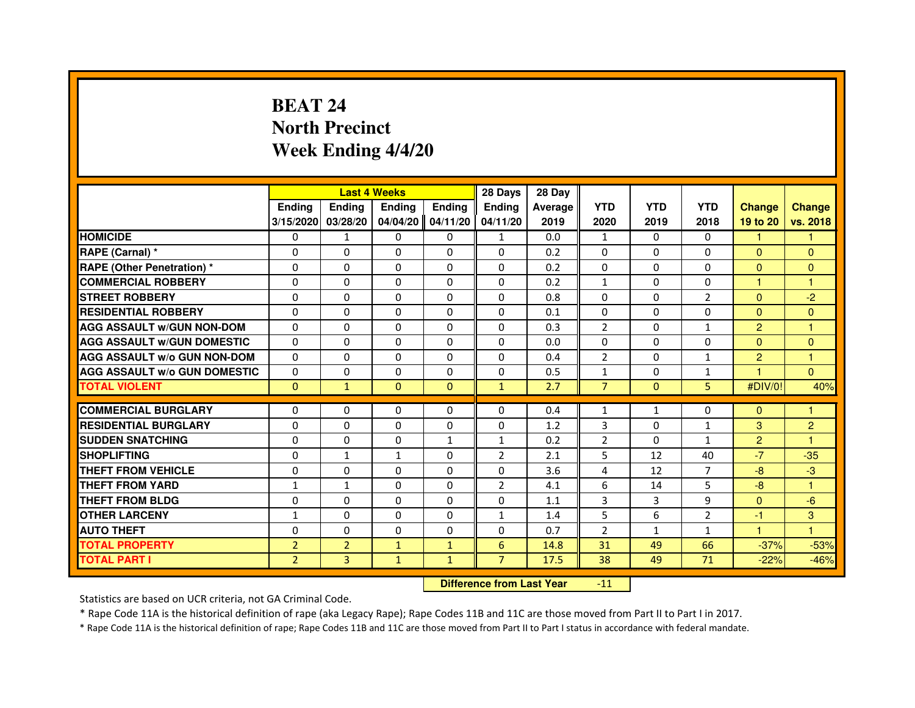# **BEAT 24 North PrecinctWeek Ending 4/4/20**

|                                     |                |                | <b>Last 4 Weeks</b> |               | 28 Days                          | 28 Day  |                |              |                |                      |                |
|-------------------------------------|----------------|----------------|---------------------|---------------|----------------------------------|---------|----------------|--------------|----------------|----------------------|----------------|
|                                     | <b>Ending</b>  | <b>Ending</b>  | <b>Ending</b>       | <b>Ending</b> | <b>Ending</b>                    | Average | <b>YTD</b>     | <b>YTD</b>   | <b>YTD</b>     | <b>Change</b>        | <b>Change</b>  |
|                                     | 3/15/2020      | 03/28/20       | 04/04/20            | 04/11/20      | 04/11/20                         | 2019    | 2020           | 2019         | 2018           | 19 to 20             | vs. 2018       |
| <b>HOMICIDE</b>                     | 0              | $\mathbf{1}$   | $\Omega$            | $\Omega$      | $\mathbf{1}$                     | 0.0     | $\mathbf{1}$   | $\Omega$     | $\Omega$       | 1                    | 1.             |
| RAPE (Carnal) *                     | 0              | 0              | 0                   | $\Omega$      | 0                                | 0.2     | 0              | 0            | 0              | $\mathbf{0}$         | $\Omega$       |
| <b>RAPE (Other Penetration) *</b>   | $\Omega$       | $\Omega$       | $\Omega$            | $\Omega$      | $\Omega$                         | 0.2     | $\Omega$       | $\Omega$     | $\Omega$       | $\Omega$             | $\mathbf{0}$   |
| <b>COMMERCIAL ROBBERY</b>           | $\Omega$       | $\Omega$       | $\Omega$            | $\Omega$      | $\Omega$                         | 0.2     | $\mathbf{1}$   | $\Omega$     | $\Omega$       | $\mathbf{1}$         | $\mathbf{1}$   |
| <b>STREET ROBBERY</b>               | $\Omega$       | $\Omega$       | $\Omega$            | $\Omega$      | $\Omega$                         | 0.8     | $\Omega$       | $\Omega$     | 2              | $\Omega$             | $-2$           |
| <b>RESIDENTIAL ROBBERY</b>          | $\Omega$       | $\Omega$       | $\Omega$            | $\Omega$      | $\Omega$                         | 0.1     | $\Omega$       | $\Omega$     | $\Omega$       | $\Omega$             | $\Omega$       |
| <b>AGG ASSAULT W/GUN NON-DOM</b>    | $\Omega$       | $\Omega$       | $\Omega$            | $\Omega$      | $\Omega$                         | 0.3     | $\overline{2}$ | $\Omega$     | $\mathbf{1}$   | $\overline{2}$       | $\mathbf{1}$   |
| <b>AGG ASSAULT W/GUN DOMESTIC</b>   | $\Omega$       | $\Omega$       | $\Omega$            | $\Omega$      | $\Omega$                         | 0.0     | $\Omega$       | $\Omega$     | $\Omega$       | $\Omega$             | $\Omega$       |
| <b>AGG ASSAULT W/o GUN NON-DOM</b>  | $\Omega$       | 0              | 0                   | 0             | 0                                | 0.4     | $\overline{2}$ | 0            | $\mathbf{1}$   | $\overline{2}$       | 1              |
| <b>AGG ASSAULT W/o GUN DOMESTIC</b> | $\Omega$       | 0              | 0                   | $\Omega$      | $\Omega$                         | 0.5     | $\mathbf{1}$   | 0            | 1              | $\blacktriangleleft$ | $\Omega$       |
| <b>TOTAL VIOLENT</b>                | $\mathbf{0}$   | $\mathbf{1}$   | $\mathbf{0}$        | $\mathbf{0}$  | $\mathbf{1}$                     | 2.7     | $\overline{7}$ | $\mathbf{0}$ | 5              | #DIV/0!              | 40%            |
| <b>COMMERCIAL BURGLARY</b>          | 0              | 0              | 0                   | 0             | 0                                | 0.4     | 1              | $\mathbf{1}$ | 0              | $\Omega$             | 1              |
| <b>RESIDENTIAL BURGLARY</b>         | $\Omega$       | $\Omega$       | $\Omega$            | $\Omega$      | $\Omega$                         | 1.2     | 3              | $\Omega$     | $\mathbf{1}$   | 3                    | $\overline{c}$ |
| <b>SUDDEN SNATCHING</b>             | $\Omega$       | $\Omega$       | $\Omega$            | $\mathbf{1}$  | $\mathbf{1}$                     | 0.2     | $\overline{2}$ | $\Omega$     | $\mathbf{1}$   | 2                    | 1              |
| <b>SHOPLIFTING</b>                  | 0              | 1              | 1                   | 0             | 2                                | 2.1     | 5              | 12           | 40             | $-7$                 | $-35$          |
| THEFT FROM VEHICLE                  | $\Omega$       | $\Omega$       | $\Omega$            | $\Omega$      | $\Omega$                         | 3.6     | 4              | 12           | 7              | $-8$                 | $-3$           |
| <b>THEFT FROM YARD</b>              | $\mathbf{1}$   | $\mathbf{1}$   | $\Omega$            | 0             | $\overline{2}$                   | 4.1     | 6              | 14           | 5              | $-8$                 | $\mathbf{1}$   |
| <b>THEFT FROM BLDG</b>              | $\Omega$       | $\Omega$       | $\Omega$            | $\Omega$      | $\Omega$                         | 1.1     | 3              | 3            | 9              | $\Omega$             | $-6$           |
| <b>OTHER LARCENY</b>                | $\mathbf{1}$   | $\Omega$       | $\Omega$            | $\Omega$      | $\mathbf{1}$                     | 1.4     | 5              | 6            | $\overline{2}$ | $-1$                 | 3              |
| <b>AUTO THEFT</b>                   | $\Omega$       | $\Omega$       | $\Omega$            | $\Omega$      | $\Omega$                         | 0.7     | $\overline{2}$ | $\mathbf{1}$ | $\mathbf{1}$   | $\mathbf{1}$         | $\mathbf{1}$   |
| <b>TOTAL PROPERTY</b>               | $\overline{2}$ | $\overline{2}$ | $\mathbf{1}$        | $\mathbf{1}$  | $6\phantom{1}$                   | 14.8    | 31             | 49           | 66             | $-37%$               | $-53%$         |
| <b>TOTAL PART I</b>                 | $\overline{2}$ | 3              | $\mathbf{1}$        | $\mathbf{1}$  | $\overline{7}$                   | 17.5    | 38             | 49           | 71             | $-22%$               | $-46%$         |
|                                     |                |                |                     |               | <b>Difference from Last Year</b> |         | $-11$          |              |                |                      |                |

 **Difference from Last Year**

Statistics are based on UCR criteria, not GA Criminal Code.

\* Rape Code 11A is the historical definition of rape (aka Legacy Rape); Rape Codes 11B and 11C are those moved from Part II to Part I in 2017.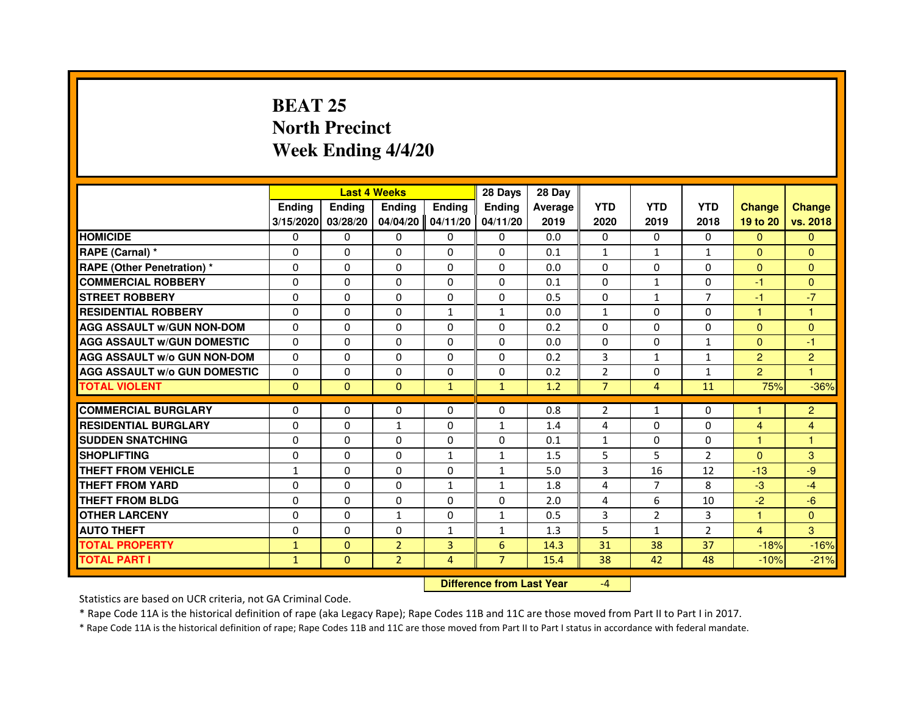### **BEAT 25 North PrecinctWeek Ending 4/4/20**

|                                     |               |              | <b>Last 4 Weeks</b> |               | 28 Days        | 28 Day  |                |                |                |                |                |
|-------------------------------------|---------------|--------------|---------------------|---------------|----------------|---------|----------------|----------------|----------------|----------------|----------------|
|                                     | <b>Ending</b> | Ending       | <b>Endina</b>       | <b>Ending</b> | <b>Endina</b>  | Average | <b>YTD</b>     | <b>YTD</b>     | <b>YTD</b>     | <b>Change</b>  | <b>Change</b>  |
|                                     | 3/15/2020     | 03/28/20     | 04/04/20            | 04/11/20      | 04/11/20       | 2019    | 2020           | 2019           | 2018           | 19 to 20       | vs. 2018       |
| <b>HOMICIDE</b>                     | 0             | 0            | 0                   | 0             | 0              | 0.0     | 0              | 0              | $\mathbf{0}$   | $\Omega$       | $\mathbf{0}$   |
| RAPE (Carnal) *                     | $\Omega$      | $\Omega$     | $\Omega$            | $\Omega$      | $\Omega$       | 0.1     | $\mathbf{1}$   | $\mathbf{1}$   | $\mathbf{1}$   | $\Omega$       | $\Omega$       |
| <b>RAPE (Other Penetration) *</b>   | 0             | $\Omega$     | $\Omega$            | $\Omega$      | $\Omega$       | 0.0     | $\Omega$       | $\Omega$       | $\Omega$       | $\Omega$       | $\Omega$       |
| <b>COMMERCIAL ROBBERY</b>           | 0             | $\mathbf{0}$ | 0                   | 0             | 0              | 0.1     | 0              | $\mathbf{1}$   | $\Omega$       | $-1$           | $\Omega$       |
| <b>STREET ROBBERY</b>               | $\Omega$      | $\Omega$     | $\Omega$            | $\Omega$      | $\Omega$       | 0.5     | $\Omega$       | $\mathbf{1}$   | $\overline{7}$ | $-1$           | $-7$           |
| <b>RESIDENTIAL ROBBERY</b>          | 0             | $\Omega$     | $\Omega$            | $\mathbf{1}$  | $\mathbf{1}$   | 0.0     | $\mathbf{1}$   | $\Omega$       | $\Omega$       | 1              | 1              |
| <b>AGG ASSAULT w/GUN NON-DOM</b>    | $\Omega$      | $\Omega$     | $\Omega$            | $\Omega$      | $\Omega$       | 0.2     | $\Omega$       | $\Omega$       | $\Omega$       | $\Omega$       | $\mathbf 0$    |
| <b>AGG ASSAULT W/GUN DOMESTIC</b>   | $\Omega$      | $\Omega$     | $\Omega$            | $\Omega$      | $\Omega$       | 0.0     | $\Omega$       | 0              | $\mathbf{1}$   | $\Omega$       | $-1$           |
| <b>AGG ASSAULT W/o GUN NON-DOM</b>  | 0             | $\mathbf{0}$ | 0                   | $\Omega$      | $\Omega$       | 0.2     | 3              | $\mathbf{1}$   | $\mathbf{1}$   | $\overline{2}$ | $\overline{2}$ |
| <b>AGG ASSAULT W/o GUN DOMESTIC</b> | $\Omega$      | $\mathbf{0}$ | 0                   | 0             | 0              | 0.2     | $\overline{2}$ | 0              | $\mathbf{1}$   | $\overline{2}$ | 1              |
| <b>TOTAL VIOLENT</b>                | $\mathbf{0}$  | $\mathbf{0}$ | $\Omega$            | $\mathbf{1}$  | $\mathbf{1}$   | 1.2     | $\overline{7}$ | $\overline{4}$ | 11             | 75%            | $-36%$         |
|                                     |               |              |                     |               |                |         |                |                |                |                |                |
| <b>COMMERCIAL BURGLARY</b>          | 0             | $\mathbf{0}$ | $\mathbf{0}$        | 0             | $\Omega$       | 0.8     | 2              | $\mathbf{1}$   | 0              | 1              | $\overline{2}$ |
| <b>RESIDENTIAL BURGLARY</b>         | 0             | $\mathbf{0}$ | $\mathbf{1}$        | 0             | 1              | 1.4     | $\overline{4}$ | 0              | 0              | $\overline{4}$ | 4              |
| <b>SUDDEN SNATCHING</b>             | 0             | $\Omega$     | $\Omega$            | $\Omega$      | $\Omega$       | 0.1     | $\mathbf{1}$   | $\Omega$       | $\Omega$       | 1              | 1              |
| <b>SHOPLIFTING</b>                  | 0             | $\Omega$     | $\Omega$            | $\mathbf{1}$  | $\mathbf{1}$   | 1.5     | 5              | 5              | $\overline{2}$ | $\mathbf{0}$   | 3              |
| <b>THEFT FROM VEHICLE</b>           | 1             | $\Omega$     | $\Omega$            | $\Omega$      | 1              | 5.0     | 3              | 16             | 12             | $-13$          | $-9$           |
| <b>THEFT FROM YARD</b>              | $\Omega$      | $\Omega$     | $\Omega$            | $\mathbf{1}$  | $\mathbf{1}$   | 1.8     | $\overline{4}$ | $\overline{7}$ | 8              | $-3$           | $-4$           |
| <b>THEFT FROM BLDG</b>              | 0             | $\Omega$     | $\Omega$            | $\Omega$      | $\Omega$       | 2.0     | 4              | 6              | 10             | $-2$           | $-6$           |
| <b>OTHER LARCENY</b>                | 0             | $\mathbf{0}$ | $\mathbf{1}$        | $\Omega$      | $\mathbf{1}$   | 0.5     | 3              | 2              | 3              | 1              | $\Omega$       |
| <b>AUTO THEFT</b>                   | $\Omega$      | $\Omega$     | $\Omega$            | $\mathbf{1}$  | $\mathbf{1}$   | 1.3     | 5              | $\mathbf{1}$   | $\overline{2}$ | $\overline{4}$ | 3              |
| <b>TOTAL PROPERTY</b>               | $\mathbf{1}$  | $\mathbf{0}$ | $\overline{2}$      | 3             | 6              | 14.3    | 31             | 38             | 37             | $-18%$         | $-16%$         |
| <b>TOTAL PART I</b>                 | $\mathbf{1}$  | $\mathbf{0}$ | $\overline{2}$      | 4             | $\overline{7}$ | 15.4    | 38             | 42             | 48             | $-10%$         | $-21%$         |

 **Difference from Last Year**

-4

Statistics are based on UCR criteria, not GA Criminal Code.

\* Rape Code 11A is the historical definition of rape (aka Legacy Rape); Rape Codes 11B and 11C are those moved from Part II to Part I in 2017.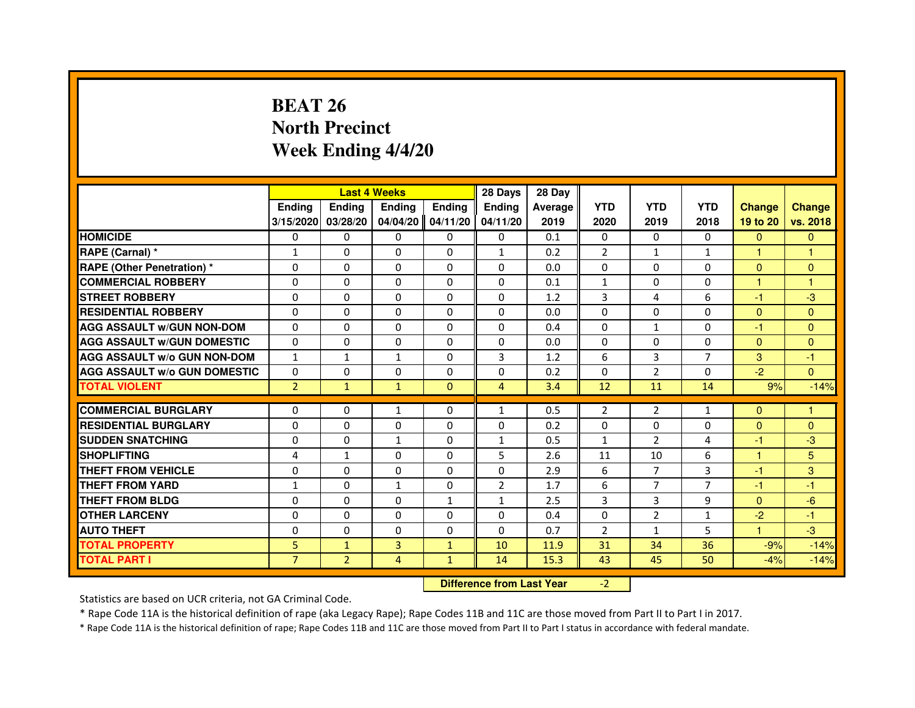# **BEAT 26 North PrecinctWeek Ending 4/4/20**

|                                     |                |                | <b>Last 4 Weeks</b> |               | 28 Days                          | 28 Day  |                |                |                |               |               |
|-------------------------------------|----------------|----------------|---------------------|---------------|----------------------------------|---------|----------------|----------------|----------------|---------------|---------------|
|                                     | <b>Ending</b>  | <b>Ending</b>  | <b>Ending</b>       | <b>Ending</b> | <b>Ending</b>                    | Average | <b>YTD</b>     | <b>YTD</b>     | <b>YTD</b>     | <b>Change</b> | <b>Change</b> |
|                                     | 3/15/2020      | 03/28/20       | 04/04/20            | 04/11/20      | 04/11/20                         | 2019    | 2020           | 2019           | 2018           | 19 to 20      | vs. 2018      |
| <b>HOMICIDE</b>                     | $\Omega$       | $\Omega$       | $\Omega$            | $\Omega$      | 0                                | 0.1     | $\Omega$       | $\Omega$       | $\Omega$       | $\Omega$      | $\mathbf{0}$  |
| RAPE (Carnal) *                     | $\mathbf{1}$   | 0              | 0                   | 0             | $\mathbf{1}$                     | 0.2     | $\overline{2}$ | $\mathbf{1}$   | $\mathbf{1}$   | 1             | 1             |
| <b>RAPE (Other Penetration) *</b>   | $\Omega$       | $\Omega$       | $\Omega$            | $\Omega$      | $\Omega$                         | 0.0     | $\Omega$       | $\Omega$       | $\Omega$       | $\Omega$      | $\mathbf{0}$  |
| <b>COMMERCIAL ROBBERY</b>           | $\Omega$       | $\Omega$       | $\Omega$            | $\Omega$      | $\Omega$                         | 0.1     | $\mathbf{1}$   | $\Omega$       | $\Omega$       | $\mathbf{1}$  | $\mathbf{1}$  |
| <b>STREET ROBBERY</b>               | $\Omega$       | $\Omega$       | $\Omega$            | $\Omega$      | $\Omega$                         | 1.2     | 3              | 4              | 6              | $-1$          | $-3$          |
| <b>RESIDENTIAL ROBBERY</b>          | $\Omega$       | $\Omega$       | $\Omega$            | $\Omega$      | $\Omega$                         | 0.0     | $\Omega$       | $\Omega$       | 0              | $\Omega$      | $\Omega$      |
| <b>AGG ASSAULT W/GUN NON-DOM</b>    | $\Omega$       | $\Omega$       | $\Omega$            | $\Omega$      | $\Omega$                         | 0.4     | $\Omega$       | $\mathbf{1}$   | $\Omega$       | $-1$          | $\Omega$      |
| <b>AGG ASSAULT W/GUN DOMESTIC</b>   | $\Omega$       | $\Omega$       | $\Omega$            | $\Omega$      | $\Omega$                         | 0.0     | $\Omega$       | $\Omega$       | $\Omega$       | $\Omega$      | $\Omega$      |
| <b>AGG ASSAULT W/o GUN NON-DOM</b>  | $\mathbf{1}$   | 1              | $\mathbf{1}$        | 0             | 3                                | 1.2     | 6              | 3              | $\overline{7}$ | 3             | $-1$          |
| <b>AGG ASSAULT W/o GUN DOMESTIC</b> | $\Omega$       | 0              | $\Omega$            | $\Omega$      | $\Omega$                         | 0.2     | $\Omega$       | $\overline{2}$ | $\Omega$       | $-2$          | $\Omega$      |
| <b>TOTAL VIOLENT</b>                | $\overline{2}$ | $\mathbf{1}$   | $\mathbf{1}$        | $\mathbf{0}$  | $\overline{4}$                   | 3.4     | 12             | 11             | 14             | 9%            | $-14%$        |
| <b>COMMERCIAL BURGLARY</b>          | $\Omega$       | 0              | 1                   | 0             | $\mathbf{1}$                     | 0.5     | $\overline{2}$ | 2              | 1              | $\Omega$      | 1             |
| <b>RESIDENTIAL BURGLARY</b>         | $\Omega$       | $\Omega$       | $\Omega$            | $\Omega$      | $\Omega$                         | 0.2     | $\Omega$       | $\Omega$       | $\Omega$       | $\Omega$      | $\Omega$      |
| <b>SUDDEN SNATCHING</b>             | $\Omega$       | $\Omega$       | $\mathbf{1}$        | $\Omega$      | $\mathbf{1}$                     | 0.5     | $\mathbf{1}$   | $\mathcal{P}$  | 4              | $-1$          | $-3$          |
| <b>SHOPLIFTING</b>                  | 4              | 1              | 0                   | 0             | 5                                | 2.6     | 11             | 10             | 6              | $\mathbf{1}$  | 5             |
| THEFT FROM VEHICLE                  | $\Omega$       | $\Omega$       | $\Omega$            | $\Omega$      | $\Omega$                         | 2.9     | 6              | $\overline{7}$ | 3              | $-1$          | 3             |
| <b>THEFT FROM YARD</b>              | $\mathbf{1}$   | 0              | $\mathbf{1}$        | 0             | $\overline{2}$                   | 1.7     | 6              | $\overline{7}$ | $\overline{7}$ | $-1$          | $-1$          |
| <b>THEFT FROM BLDG</b>              | $\Omega$       | $\Omega$       | $\Omega$            | $\mathbf{1}$  | $\mathbf{1}$                     | 2.5     | 3              | 3              | 9              | $\Omega$      | $-6$          |
| <b>OTHER LARCENY</b>                | $\Omega$       | $\Omega$       | $\Omega$            | $\Omega$      | $\Omega$                         | 0.4     | $\Omega$       | $\overline{2}$ | $\mathbf{1}$   | $-2$          | $-1$          |
| <b>AUTO THEFT</b>                   | $\Omega$       | $\Omega$       | $\Omega$            | $\Omega$      | $\Omega$                         | 0.7     | $\overline{2}$ | $\mathbf{1}$   | 5              | $\mathbf{1}$  | $-3$          |
| <b>TOTAL PROPERTY</b>               | 5              | $\mathbf{1}$   | $\overline{3}$      | $\mathbf{1}$  | 10                               | 11.9    | 31             | 34             | 36             | $-9%$         | $-14%$        |
| <b>TOTAL PART I</b>                 | $\overline{7}$ | $\overline{2}$ | 4                   | $\mathbf{1}$  | 14                               | 15.3    | 43             | 45             | 50             | $-4%$         | $-14%$        |
|                                     |                |                |                     |               | <b>Difference from Last Year</b> |         | $-2$           |                |                |               |               |

 **Difference from Last Year**

Statistics are based on UCR criteria, not GA Criminal Code.

\* Rape Code 11A is the historical definition of rape (aka Legacy Rape); Rape Codes 11B and 11C are those moved from Part II to Part I in 2017.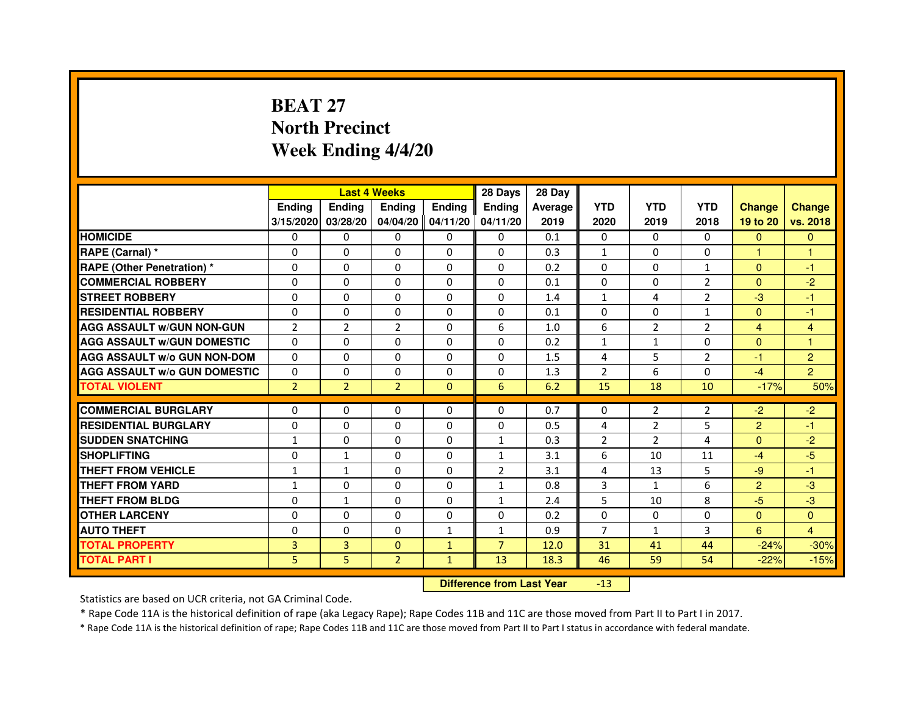# **BEAT 27 North PrecinctWeek Ending 4/4/20**

|                                     |                |                | <b>Last 4 Weeks</b> |              | 28 Days        | 28 Day  |                |                |                |                |                |
|-------------------------------------|----------------|----------------|---------------------|--------------|----------------|---------|----------------|----------------|----------------|----------------|----------------|
|                                     | <b>Ending</b>  | <b>Endina</b>  | <b>Ending</b>       | Ending       | <b>Endina</b>  | Average | <b>YTD</b>     | <b>YTD</b>     | <b>YTD</b>     | <b>Change</b>  | <b>Change</b>  |
|                                     | 3/15/2020      | 03/28/20       | 04/04/20 04/11/20   |              | 04/11/20       | 2019    | 2020           | 2019           | 2018           | 19 to 20       | vs. 2018       |
| <b>HOMICIDE</b>                     | 0              | 0              | $\mathbf{0}$        | 0            | $\mathbf{0}$   | 0.1     | $\mathbf{0}$   | $\Omega$       | $\Omega$       | $\mathbf{0}$   | $\mathbf{0}$   |
| RAPE (Carnal) *                     | $\Omega$       | $\Omega$       | $\Omega$            | $\Omega$     | $\Omega$       | 0.3     | $\mathbf{1}$   | $\Omega$       | $\Omega$       | $\mathbf{1}$   | $\mathbf{1}$   |
| <b>RAPE (Other Penetration)*</b>    | 0              | 0              | 0                   | 0            | 0              | 0.2     | $\Omega$       | $\mathbf{0}$   | $\mathbf{1}$   | $\Omega$       | $-1$           |
| <b>COMMERCIAL ROBBERY</b>           | $\Omega$       | $\Omega$       | $\Omega$            | $\Omega$     | 0              | 0.1     | $\Omega$       | 0              | $\overline{2}$ | $\mathbf{0}$   | $-2$           |
| <b>STREET ROBBERY</b>               | $\Omega$       | 0              | $\Omega$            | 0            | 0              | 1.4     | $\mathbf{1}$   | 4              | $\overline{2}$ | $-3$           | $-1$           |
| <b>RESIDENTIAL ROBBERY</b>          | $\Omega$       | $\Omega$       | $\Omega$            | $\Omega$     | $\Omega$       | 0.1     | $\Omega$       | $\Omega$       | $\mathbf{1}$   | $\Omega$       | $-1$           |
| <b>AGG ASSAULT w/GUN NON-GUN</b>    | $\overline{2}$ | $\overline{2}$ | $\overline{2}$      | $\Omega$     | 6              | 1.0     | 6              | $\overline{2}$ | $\overline{2}$ | $\overline{4}$ | $\overline{4}$ |
| <b>AGG ASSAULT W/GUN DOMESTIC</b>   | $\Omega$       | $\Omega$       | 0                   | 0            | 0              | 0.2     | $\mathbf{1}$   | $\mathbf{1}$   | $\Omega$       | $\mathbf{0}$   | 1              |
| <b>AGG ASSAULT W/o GUN NON-DOM</b>  | $\Omega$       | 0              | $\Omega$            | $\Omega$     | 0              | 1.5     | 4              | 5              | $\overline{2}$ | $-1$           | $\overline{2}$ |
| <b>AGG ASSAULT W/o GUN DOMESTIC</b> | $\Omega$       | 0              | $\Omega$            | 0            | 0              | 1.3     | $\overline{2}$ | 6              | $\Omega$       | $-4$           | $\overline{2}$ |
| <b>TOTAL VIOLENT</b>                | $\overline{2}$ | $\overline{2}$ | $\overline{2}$      | $\mathbf{0}$ | 6              | 6.2     | 15             | 18             | 10             | $-17%$         | 50%            |
|                                     |                |                |                     |              |                |         |                |                |                |                |                |
| <b>COMMERCIAL BURGLARY</b>          | 0              | 0              | 0                   | 0            | 0              | 0.7     | 0              | 2              | 2              | $-2$           | $-2$           |
| <b>RESIDENTIAL BURGLARY</b>         | 0              | 0              | 0                   | 0            | 0              | 0.5     | 4              | $\overline{2}$ | 5              | $\overline{2}$ | $-1$           |
| <b>SUDDEN SNATCHING</b>             | $\mathbf{1}$   | 0              | 0                   | 0            | $\mathbf{1}$   | 0.3     | $\overline{2}$ | 2              | 4              | $\Omega$       | $-2$           |
| <b>SHOPLIFTING</b>                  | $\mathbf 0$    | $\mathbf 1$    | $\Omega$            | $\Omega$     | $\mathbf{1}$   | 3.1     | 6              | 10             | 11             | $-4$           | $-5$           |
| THEFT FROM VEHICLE                  | 1              | $\mathbf{1}$   | $\Omega$            | 0            | $\overline{2}$ | 3.1     | 4              | 13             | 5              | $-9$           | $-1$           |
| <b>THEFT FROM YARD</b>              | 1              | $\Omega$       | $\Omega$            | $\Omega$     | 1              | 0.8     | 3              | $\mathbf{1}$   | 6              | $\overline{2}$ | -3             |
| <b>THEFT FROM BLDG</b>              | $\Omega$       | $\mathbf{1}$   | $\Omega$            | 0            | 1              | 2.4     | 5              | 10             | 8              | $-5$           | $-3$           |
| <b>OTHER LARCENY</b>                | 0              | $\Omega$       | $\Omega$            | $\Omega$     | 0              | 0.2     | 0              | $\mathbf{0}$   | 0              | $\mathbf{0}$   | $\Omega$       |
| <b>AUTO THEFT</b>                   | $\Omega$       | $\Omega$       | $\Omega$            | $\mathbf{1}$ | $\mathbf{1}$   | 0.9     | $\overline{7}$ | $\mathbf{1}$   | 3              | 6              | $\overline{4}$ |
| <b>TOTAL PROPERTY</b>               | 3              | 3              | $\Omega$            | $\mathbf{1}$ | $\overline{7}$ | 12.0    | 31             | 41             | 44             | $-24%$         | $-30%$         |
| <b>TOTAL PART I</b>                 | 5              | 5              | $\overline{2}$      | $\mathbf{1}$ | 13             | 18.3    | 46             | 59             | 54             | $-22%$         | $-15%$         |

 **Difference from Last Year**-13

Statistics are based on UCR criteria, not GA Criminal Code.

\* Rape Code 11A is the historical definition of rape (aka Legacy Rape); Rape Codes 11B and 11C are those moved from Part II to Part I in 2017.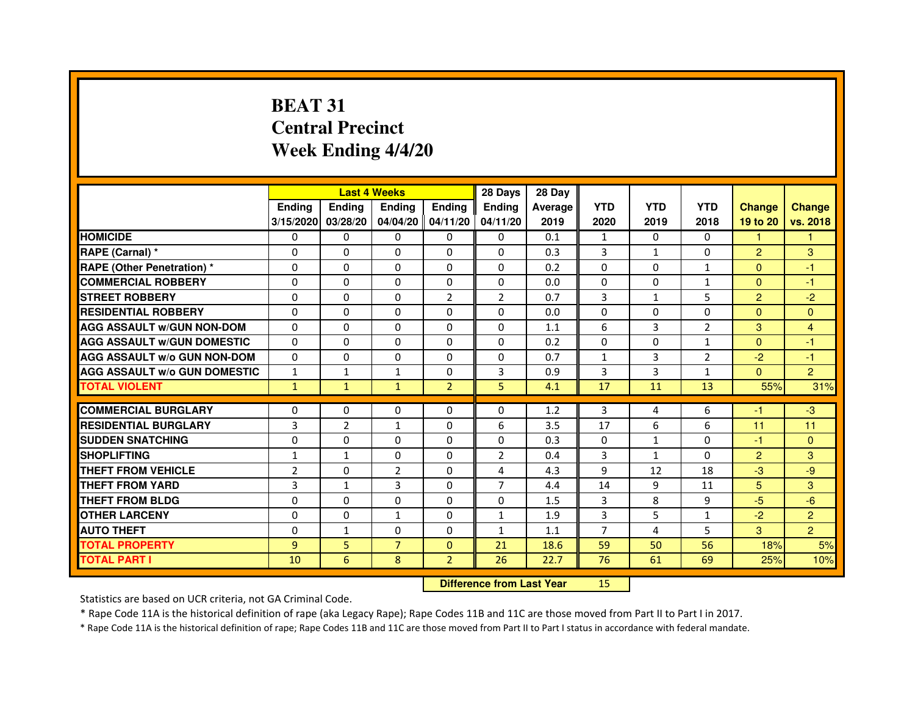# **BEAT 31 Central PrecinctWeek Ending 4/4/20**

|                                     |                | <b>Last 4 Weeks</b> |                |                   | 28 Days                          | 28 Day  |                |              |                |                |                |
|-------------------------------------|----------------|---------------------|----------------|-------------------|----------------------------------|---------|----------------|--------------|----------------|----------------|----------------|
|                                     | Ending         | Ending              | Ending         | <b>Ending</b>     | <b>Ending</b>                    | Average | <b>YTD</b>     | <b>YTD</b>   | <b>YTD</b>     | <b>Change</b>  | <b>Change</b>  |
|                                     | 3/15/2020      | 03/28/20            |                | 04/04/20 04/11/20 | 04/11/20                         | 2019    | 2020           | 2019         | 2018           | 19 to 20       | vs. 2018       |
| <b>HOMICIDE</b>                     | 0              | 0                   | $\mathbf{0}$   | 0                 | 0                                | 0.1     | $\mathbf{1}$   | $\Omega$     | $\Omega$       | $\mathbf{1}$   | 1.             |
| RAPE (Carnal) *                     | 0              | 0                   | 0              | 0                 | 0                                | 0.3     | 3              | $\mathbf{1}$ | $\Omega$       | $\overline{2}$ | 3              |
| <b>RAPE (Other Penetration) *</b>   | $\Omega$       | $\mathbf 0$         | $\Omega$       | 0                 | 0                                | 0.2     | $\Omega$       | $\mathbf{0}$ | $\mathbf{1}$   | $\mathbf{0}$   | $-1$           |
| <b>COMMERCIAL ROBBERY</b>           | $\Omega$       | 0                   | $\Omega$       | 0                 | $\Omega$                         | 0.0     | $\mathbf{0}$   | $\mathbf{0}$ | $\mathbf{1}$   | $\Omega$       | $-1$           |
| <b>STREET ROBBERY</b>               | $\Omega$       | $\Omega$            | $\Omega$       | $\overline{2}$    | $\overline{2}$                   | 0.7     | 3              | $\mathbf{1}$ | 5              | $\overline{2}$ | $-2$           |
| <b>RESIDENTIAL ROBBERY</b>          | $\Omega$       | $\mathbf 0$         | 0              | 0                 | 0                                | 0.0     | $\Omega$       | $\mathbf{0}$ | 0              | $\Omega$       | $\Omega$       |
| <b>AGG ASSAULT w/GUN NON-DOM</b>    | $\Omega$       | $\Omega$            | $\Omega$       | $\Omega$          | 0                                | 1.1     | 6              | 3            | $\overline{2}$ | 3              | $\overline{4}$ |
| <b>AGG ASSAULT W/GUN DOMESTIC</b>   | $\Omega$       | $\Omega$            | $\mathbf 0$    | $\Omega$          | $\Omega$                         | 0.2     | $\Omega$       | $\mathbf{0}$ | $\mathbf{1}$   | $\Omega$       | $-1$           |
| <b>AGG ASSAULT W/o GUN NON-DOM</b>  | $\Omega$       | $\Omega$            | $\Omega$       | $\Omega$          | $\Omega$                         | 0.7     | $\mathbf{1}$   | 3            | 2              | $-2$           | $-1$           |
| <b>AGG ASSAULT W/o GUN DOMESTIC</b> | $\mathbf{1}$   | $\mathbf{1}$        | $\mathbf{1}$   | $\Omega$          | 3                                | 0.9     | 3              | 3            | $\mathbf{1}$   | $\Omega$       | $\overline{2}$ |
| <b>TOTAL VIOLENT</b>                | $\mathbf{1}$   | $\mathbf{1}$        | $\mathbf{1}$   | $\overline{2}$    | 5                                | 4.1     | 17             | 11           | 13             | 55%            | 31%            |
| <b>COMMERCIAL BURGLARY</b>          | 0              | 0                   | 0              | 0                 | 0                                | 1.2     | 3              | 4            | 6              | $-1$           | $-3$           |
| <b>RESIDENTIAL BURGLARY</b>         | 3              | $\overline{2}$      | $\mathbf{1}$   | 0                 | 6                                | 3.5     | 17             | 6            | 6              | 11             | 11             |
| <b>SUDDEN SNATCHING</b>             | $\mathbf 0$    | $\Omega$            | $\Omega$       | $\Omega$          | $\Omega$                         | 0.3     | $\Omega$       | $\mathbf{1}$ | $\Omega$       | $-1$           | $\Omega$       |
| <b>SHOPLIFTING</b>                  | $\mathbf{1}$   | $\mathbf{1}$        | 0              | 0                 | $\overline{2}$                   | 0.4     | 3              | $\mathbf{1}$ | 0              | $\overline{2}$ | 3              |
| THEFT FROM VEHICLE                  | $\overline{2}$ | 0                   | $\overline{2}$ | 0                 | 4                                | 4.3     | 9              | 12           | 18             | $-3$           | -9             |
| <b>THEFT FROM YARD</b>              | 3              | $\mathbf 1$         | 3              | 0                 | $\overline{7}$                   | 4.4     | 14             | 9            | 11             | 5 <sup>5</sup> | 3              |
| <b>THEFT FROM BLDG</b>              | $\Omega$       | $\Omega$            | $\mathbf 0$    | $\Omega$          | 0                                | 1.5     | 3              | 8            | 9              | $-5$           | $-6$           |
| <b>OTHER LARCENY</b>                | $\Omega$       | $\Omega$            | $\mathbf{1}$   | $\Omega$          | $\mathbf{1}$                     | 1.9     | 3              | 5            | $\mathbf{1}$   | $-2$           | $\overline{2}$ |
| <b>AUTO THEFT</b>                   | $\Omega$       | $\mathbf{1}$        | $\mathbf 0$    | $\Omega$          | $\mathbf{1}$                     | 1.1     | $\overline{7}$ | 4            | 5              | 3              | $\overline{2}$ |
| <b>TOTAL PROPERTY</b>               | 9              | 5                   | $\overline{7}$ | $\mathbf{0}$      | 21                               | 18.6    | 59             | 50           | 56             | 18%            | 5%             |
| <b>TOTAL PART I</b>                 | 10             | 6                   | 8              | $\overline{2}$    | 26                               | 22.7    | 76             | 61           | 69             | 25%            | 10%            |
|                                     |                |                     |                |                   | <b>Difference from Last Year</b> |         | 15             |              |                |                |                |

#### **Difference from Last Year**

Statistics are based on UCR criteria, not GA Criminal Code.

\* Rape Code 11A is the historical definition of rape (aka Legacy Rape); Rape Codes 11B and 11C are those moved from Part II to Part I in 2017.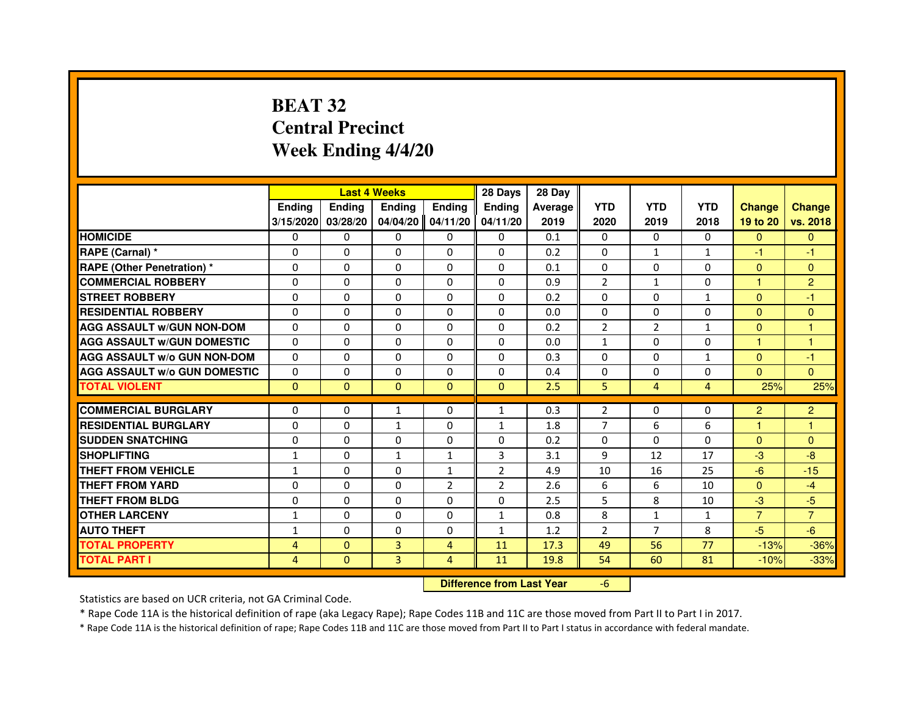# **BEAT 32 Central PrecinctWeek Ending 4/4/20**

|                                     |                | <b>Last 4 Weeks</b>              |                |                | 28 Days        | 28 Day  |                |                |                |                |                |
|-------------------------------------|----------------|----------------------------------|----------------|----------------|----------------|---------|----------------|----------------|----------------|----------------|----------------|
|                                     | <b>Ending</b>  | <b>Ending</b>                    | <b>Ending</b>  | <b>Ending</b>  | <b>Ending</b>  | Average | <b>YTD</b>     | <b>YTD</b>     | <b>YTD</b>     | <b>Change</b>  | <b>Change</b>  |
|                                     | 3/15/2020      | 03/28/20                         | 04/04/20       | 04/11/20       | 04/11/20       | 2019    | 2020           | 2019           | 2018           | 19 to 20       | vs. 2018       |
| <b>HOMICIDE</b>                     | 0              | $\mathbf{0}$                     | $\mathbf{0}$   | 0              | $\mathbf{0}$   | 0.1     | $\mathbf{0}$   | 0              | $\Omega$       | $\Omega$       | $\mathbf{0}$   |
| RAPE (Carnal) *                     | 0              | 0                                | 0              | 0              | 0              | 0.2     | 0              | 1              | $\mathbf{1}$   | $-1$           | -1             |
| <b>RAPE (Other Penetration) *</b>   | $\Omega$       | $\Omega$                         | $\Omega$       | $\Omega$       | $\Omega$       | 0.1     | $\Omega$       | $\Omega$       | $\Omega$       | $\Omega$       | $\mathbf{0}$   |
| <b>COMMERCIAL ROBBERY</b>           | 0              | $\Omega$                         | $\Omega$       | $\Omega$       | 0              | 0.9     | $\overline{2}$ | $\mathbf{1}$   | 0              | $\mathbf{1}$   | $\overline{2}$ |
| <b>STREET ROBBERY</b>               | $\Omega$       | $\Omega$                         | $\Omega$       | $\Omega$       | $\Omega$       | 0.2     | $\Omega$       | $\Omega$       | $\mathbf{1}$   | $\Omega$       | -1             |
| <b>RESIDENTIAL ROBBERY</b>          | 0              | 0                                | 0              | 0              | $\Omega$       | 0.0     | 0              | 0              | $\Omega$       | $\Omega$       | $\mathbf{0}$   |
| <b>AGG ASSAULT W/GUN NON-DOM</b>    | $\Omega$       | $\Omega$                         | 0              | $\Omega$       | $\Omega$       | 0.2     | $\overline{2}$ | $\overline{2}$ | $\mathbf{1}$   | $\mathbf{0}$   | $\mathbf{1}$   |
| <b>AGG ASSAULT W/GUN DOMESTIC</b>   | $\Omega$       | $\Omega$                         | 0              | $\Omega$       | $\Omega$       | 0.0     | $\mathbf{1}$   | $\Omega$       | 0              | $\mathbf{1}$   | $\mathbf{1}$   |
| <b>AGG ASSAULT W/o GUN NON-DOM</b>  | $\Omega$       | $\Omega$                         | $\Omega$       | $\Omega$       | $\Omega$       | 0.3     | $\Omega$       | $\Omega$       | $\mathbf{1}$   | $\Omega$       | -1             |
| <b>AGG ASSAULT W/o GUN DOMESTIC</b> | 0              | $\Omega$                         | 0              | $\Omega$       | $\Omega$       | 0.4     | 0              | $\Omega$       | 0              | $\Omega$       | $\Omega$       |
| <b>TOTAL VIOLENT</b>                | $\mathbf{0}$   | $\mathbf{0}$                     | $\mathbf{0}$   | $\mathbf{0}$   | $\mathbf{0}$   | 2.5     | 5              | $\overline{4}$ | $\overline{4}$ | 25%            | 25%            |
| <b>COMMERCIAL BURGLARY</b>          | 0              | 0                                | 1              | 0              | 1              | 0.3     | $\overline{2}$ | 0              | 0              | $\overline{2}$ | $\overline{2}$ |
| <b>RESIDENTIAL BURGLARY</b>         | $\Omega$       | $\Omega$                         | $\mathbf{1}$   | $\Omega$       | $\mathbf{1}$   | 1.8     | $\overline{7}$ | 6              | 6              | 1              | $\mathbf{1}$   |
| <b>SUDDEN SNATCHING</b>             | $\Omega$       | $\Omega$                         | $\Omega$       | $\Omega$       | $\Omega$       | 0.2     | $\Omega$       | $\Omega$       | $\Omega$       | $\Omega$       | $\mathbf{0}$   |
| <b>SHOPLIFTING</b>                  | $\mathbf{1}$   | $\mathbf{0}$                     | $\mathbf{1}$   | $\mathbf{1}$   | 3              | 3.1     | 9              | 12             | 17             | $-3$           | $-8$           |
| THEFT FROM VEHICLE                  | 1              | $\Omega$                         | 0              | $\mathbf{1}$   | $\overline{2}$ | 4.9     | 10             | 16             | 25             | $-6$           | $-15$          |
| <b>THEFT FROM YARD</b>              | $\Omega$       | $\Omega$                         | $\Omega$       | $\overline{2}$ | $\overline{2}$ | 2.6     | 6              | 6              | 10             | $\Omega$       | $-4$           |
| <b>THEFT FROM BLDG</b>              | $\Omega$       | $\Omega$                         | $\Omega$       | $\Omega$       | $\Omega$       | 2.5     | 5              | 8              | 10             | $-3$           | $-5$           |
| <b>OTHER LARCENY</b>                | 1              | $\Omega$                         | 0              | $\Omega$       | $\mathbf{1}$   | 0.8     | 8              | $\mathbf{1}$   | 1              | $\overline{7}$ | $\overline{7}$ |
| <b>AUTO THEFT</b>                   | $\mathbf{1}$   | $\Omega$                         | $\Omega$       | $\Omega$       | $\mathbf{1}$   | 1.2     | $\overline{2}$ | $\overline{7}$ | 8              | $-5$           | $-6$           |
| <b>TOTAL PROPERTY</b>               | 4              | $\mathbf{0}$                     | $\overline{3}$ | 4              | 11             | 17.3    | 49             | 56             | 77             | $-13%$         | $-36%$         |
| <b>TOTAL PART I</b>                 | $\overline{4}$ | $\mathbf{0}$                     | 3              | 4              | 11             | 19.8    | 54             | 60             | 81             | $-10%$         | $-33%$         |
|                                     |                | <b>Difference from Last Year</b> |                | $-6$           |                |         |                |                |                |                |                |

 **Difference from Last Year**

Statistics are based on UCR criteria, not GA Criminal Code.

\* Rape Code 11A is the historical definition of rape (aka Legacy Rape); Rape Codes 11B and 11C are those moved from Part II to Part I in 2017.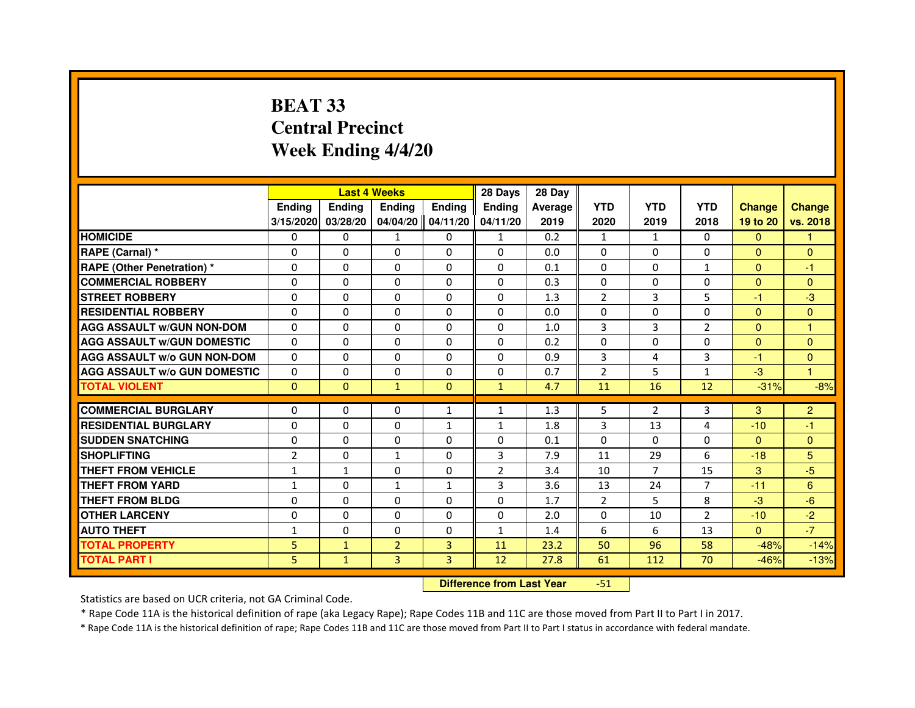# **BEAT 33 Central PrecinctWeek Ending 4/4/20**

|                                     |                | <b>Last 4 Weeks</b>              |                |                   | 28 Days        | 28 Day  |                |                |                |               |                      |
|-------------------------------------|----------------|----------------------------------|----------------|-------------------|----------------|---------|----------------|----------------|----------------|---------------|----------------------|
|                                     | <b>Ending</b>  | Ending                           | <b>Ending</b>  | <b>Ending</b>     | <b>Ending</b>  | Average | <b>YTD</b>     | <b>YTD</b>     | <b>YTD</b>     | <b>Change</b> | <b>Change</b>        |
|                                     | 3/15/2020      | 03/28/20                         |                | 04/04/20 04/11/20 | 04/11/20       | 2019    | 2020           | 2019           | 2018           | 19 to 20      | vs. 2018             |
| <b>HOMICIDE</b>                     | 0              | $\mathbf{0}$                     | $\mathbf{1}$   | 0                 | $\mathbf{1}$   | 0.2     | $\mathbf{1}$   | $\mathbf{1}$   | $\Omega$       | $\Omega$      | $\mathbf{1}$         |
| RAPE (Carnal) *                     | 0              | 0                                | 0              | 0                 | $\Omega$       | 0.0     | 0              | 0              | 0              | $\mathbf{0}$  | $\mathbf{0}$         |
| <b>RAPE (Other Penetration)*</b>    | $\Omega$       | 0                                | $\Omega$       | $\Omega$          | $\Omega$       | 0.1     | $\Omega$       | $\Omega$       | $\mathbf{1}$   | $\Omega$      | $-1$                 |
| <b>COMMERCIAL ROBBERY</b>           | $\mathbf 0$    | 0                                | $\Omega$       | $\mathbf{0}$      | $\mathbf{0}$   | 0.3     | $\Omega$       | $\Omega$       | $\Omega$       | $\mathbf{0}$  | $\mathbf{0}$         |
| <b>STREET ROBBERY</b>               | 0              | $\Omega$                         | $\Omega$       | $\Omega$          | $\Omega$       | 1.3     | 2              | 3              | 5              | $-1$          | $-3$                 |
| <b>RESIDENTIAL ROBBERY</b>          | 0              | 0                                | $\Omega$       | $\Omega$          | $\Omega$       | 0.0     | $\Omega$       | $\Omega$       | $\Omega$       | $\mathbf{0}$  | $\mathbf{0}$         |
| <b>AGG ASSAULT w/GUN NON-DOM</b>    | $\Omega$       | $\Omega$                         | 0              | $\Omega$          | $\Omega$       | 1.0     | 3              | 3              | $\overline{2}$ | $\Omega$      | $\mathbf{1}$         |
| <b>AGG ASSAULT W/GUN DOMESTIC</b>   | $\Omega$       | $\Omega$                         | $\Omega$       | $\Omega$          | $\Omega$       | 0.2     | $\Omega$       | $\Omega$       | 0              | $\Omega$      | $\mathbf{0}$         |
| <b>AGG ASSAULT W/o GUN NON-DOM</b>  | $\Omega$       | $\Omega$                         | $\Omega$       | $\Omega$          | $\Omega$       | 0.9     | 3              | 4              | 3              | $-1$          | $\Omega$             |
| <b>AGG ASSAULT w/o GUN DOMESTIC</b> | $\Omega$       | 0                                | 0              | $\mathbf{0}$      | 0              | 0.7     | $\overline{2}$ | 5              | $\mathbf{1}$   | $-3$          | $\blacktriangleleft$ |
| <b>TOTAL VIOLENT</b>                | $\mathbf{0}$   | $\mathbf{0}$                     | $\mathbf{1}$   | $\mathbf{0}$      | $\mathbf{1}$   | 4.7     | 11             | 16             | 12             | $-31%$        | $-8%$                |
| <b>COMMERCIAL BURGLARY</b>          | 0              | 0                                | 0              | 1                 | $\mathbf{1}$   | 1.3     | 5              | 2              | 3              | 3             | $\overline{2}$       |
| <b>RESIDENTIAL BURGLARY</b>         | $\mathbf 0$    | 0                                | $\Omega$       | 1                 | $\mathbf{1}$   | 1.8     | 3              | 13             | 4              | $-10$         | $-1$                 |
| <b>SUDDEN SNATCHING</b>             | $\Omega$       | $\Omega$                         | $\Omega$       | $\Omega$          | $\Omega$       | 0.1     | $\Omega$       | $\Omega$       | $\Omega$       | $\Omega$      | $\mathbf{0}$         |
| <b>SHOPLIFTING</b>                  | $\overline{2}$ | $\Omega$                         | $\mathbf{1}$   | $\mathbf{0}$      | 3              | 7.9     | 11             | 29             | 6              | $-18$         | 5 <sup>5</sup>       |
| <b>THEFT FROM VEHICLE</b>           | $\mathbf{1}$   | $\mathbf{1}$                     | 0              | 0                 | $\overline{2}$ | 3.4     | 10             | $\overline{7}$ | 15             | 3             | $-5$                 |
| <b>THEFT FROM YARD</b>              | $\mathbf{1}$   | $\mathbf 0$                      | $\mathbf{1}$   | $\mathbf{1}$      | 3              | 3.6     | 13             | 24             | $\overline{7}$ | $-11$         | 6                    |
| <b>THEFT FROM BLDG</b>              | 0              | $\Omega$                         | 0              | $\mathbf{0}$      | $\Omega$       | 1.7     | $\overline{2}$ | 5              | 8              | $-3$          | $-6$                 |
| <b>OTHER LARCENY</b>                | $\Omega$       | $\Omega$                         | $\Omega$       | $\mathbf{0}$      | $\Omega$       | 2.0     | $\Omega$       | 10             | $\overline{2}$ | $-10$         | $-2$                 |
| <b>AUTO THEFT</b>                   | $\mathbf{1}$   | 0                                | $\Omega$       | $\mathbf{0}$      | $\mathbf{1}$   | 1.4     | 6              | 6              | 13             | $\Omega$      | $-7$                 |
| <b>TOTAL PROPERTY</b>               | 5              | $\mathbf{1}$                     | $\overline{2}$ | 3                 | 11             | 23.2    | 50             | 96             | 58             | $-48%$        | $-14%$               |
| <b>TOTAL PART I</b>                 | 5              | $\mathbf{1}$                     | 3              | 3                 | 12             | 27.8    | 61             | 112            | 70             | $-46%$        | $-13%$               |
|                                     |                | <b>Difference from Last Year</b> |                | $-51$             |                |         |                |                |                |               |                      |

 **Difference from Last Year**

Statistics are based on UCR criteria, not GA Criminal Code.

\* Rape Code 11A is the historical definition of rape (aka Legacy Rape); Rape Codes 11B and 11C are those moved from Part II to Part I in 2017.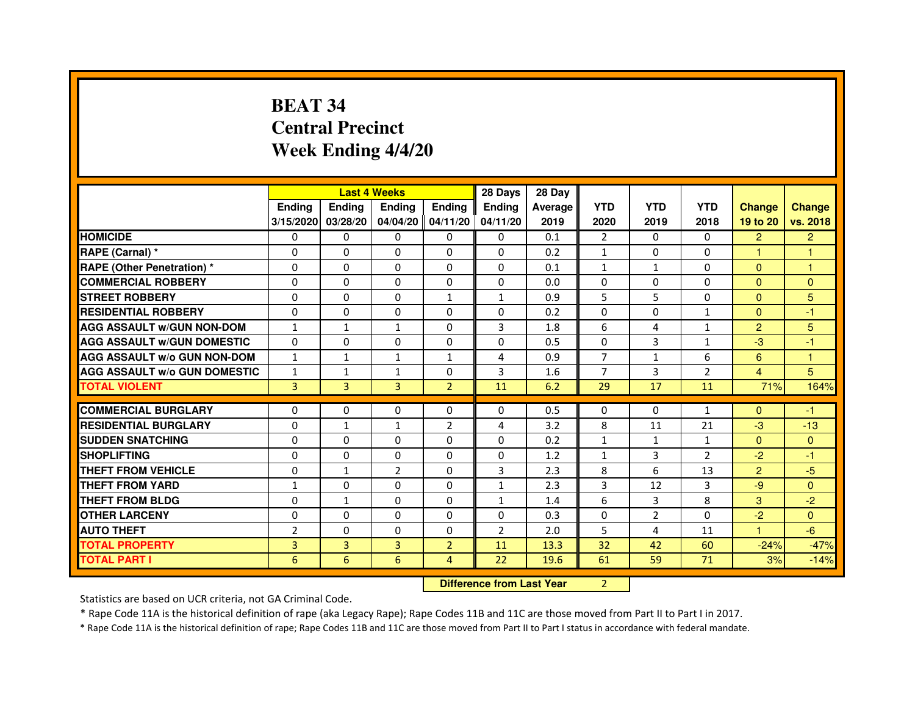# **BEAT 34 Central PrecinctWeek Ending 4/4/20**

|                                     |                | <b>Last 4 Weeks</b> |                |                | 28 Days        | 28 Day                           |                |                |                |                |                |
|-------------------------------------|----------------|---------------------|----------------|----------------|----------------|----------------------------------|----------------|----------------|----------------|----------------|----------------|
|                                     | <b>Ending</b>  | <b>Ending</b>       | <b>Ending</b>  | <b>Ending</b>  | <b>Ending</b>  | Average                          | <b>YTD</b>     | <b>YTD</b>     | <b>YTD</b>     | <b>Change</b>  | <b>Change</b>  |
|                                     | 3/15/2020      | 03/28/20            | 04/04/20       | 04/11/20       | 04/11/20       | 2019                             | 2020           | 2019           | 2018           | 19 to 20       | vs. 2018       |
| <b>HOMICIDE</b>                     | 0              | $\Omega$            | $\Omega$       | $\Omega$       | $\Omega$       | 0.1                              | $\overline{2}$ | $\Omega$       | $\Omega$       | $\overline{2}$ | $\overline{2}$ |
| RAPE (Carnal) *                     | 0              | 0                   | 0              | $\mathbf{0}$   | 0              | 0.2                              | $\mathbf{1}$   | 0              | 0              | 1              | 1              |
| <b>RAPE (Other Penetration) *</b>   | 0              | 0                   | $\Omega$       | $\mathbf{0}$   | $\Omega$       | 0.1                              | $\mathbf{1}$   | $\mathbf{1}$   | $\Omega$       | $\Omega$       | 1              |
| <b>COMMERCIAL ROBBERY</b>           | $\Omega$       | $\Omega$            | $\Omega$       | $\mathbf{0}$   | $\Omega$       | 0.0                              | $\Omega$       | $\Omega$       | $\Omega$       | $\Omega$       | $\mathbf{0}$   |
| <b>STREET ROBBERY</b>               | $\Omega$       | $\Omega$            | $\Omega$       | $\mathbf{1}$   | $\mathbf{1}$   | 0.9                              | 5              | 5              | $\Omega$       | $\Omega$       | 5              |
| <b>RESIDENTIAL ROBBERY</b>          | $\Omega$       | $\Omega$            | 0              | $\mathbf{0}$   | $\Omega$       | 0.2                              | $\Omega$       | $\Omega$       | $\mathbf{1}$   | $\Omega$       | $-1$           |
| <b>AGG ASSAULT w/GUN NON-DOM</b>    | $\mathbf{1}$   | $\mathbf{1}$        | $\mathbf{1}$   | $\mathbf{0}$   | 3              | 1.8                              | 6              | 4              | $\mathbf{1}$   | $\overline{2}$ | 5              |
| <b>AGG ASSAULT w/GUN DOMESTIC</b>   | $\Omega$       | $\Omega$            | $\Omega$       | $\Omega$       | $\Omega$       | 0.5                              | $\Omega$       | 3              | $\mathbf{1}$   | $-3$           | $-1$           |
| <b>AGG ASSAULT W/o GUN NON-DOM</b>  | $\mathbf{1}$   | $\mathbf{1}$        | $\mathbf{1}$   | 1              | 4              | 0.9                              | $\overline{7}$ | $\mathbf{1}$   | 6              | 6              | 1              |
| <b>AGG ASSAULT w/o GUN DOMESTIC</b> | $\mathbf{1}$   | $\mathbf{1}$        | 1              | 0              | 3              | 1.6                              | 7              | 3              | $\overline{2}$ | 4              | 5              |
| <b>TOTAL VIOLENT</b>                | 3              | 3                   | 3              | $\overline{2}$ | 11             | 6.2                              | 29             | 17             | 11             | 71%            | 164%           |
| <b>COMMERCIAL BURGLARY</b>          | $\Omega$       | 0                   | 0              | 0              | 0              | 0.5                              | $\Omega$       | 0              | $\mathbf{1}$   | $\Omega$       | $-1$           |
| <b>RESIDENTIAL BURGLARY</b>         | $\Omega$       | $\mathbf{1}$        | $\mathbf{1}$   | $\overline{2}$ | 4              | 3.2                              | 8              | 11             | 21             | $-3$           | $-13$          |
| <b>SUDDEN SNATCHING</b>             | $\Omega$       | $\Omega$            | $\Omega$       | $\Omega$       | $\Omega$       | 0.2                              | $\mathbf{1}$   | $\mathbf{1}$   | $\mathbf{1}$   | $\Omega$       | $\mathbf{0}$   |
| <b>SHOPLIFTING</b>                  | 0              | 0                   | 0              | $\mathbf{0}$   | 0              | 1.2                              | $\mathbf{1}$   | 3              | 2              | $-2$           | $-1$           |
| <b>THEFT FROM VEHICLE</b>           | 0              | $\mathbf{1}$        | $\overline{2}$ | $\Omega$       | 3              | 2.3                              | 8              | 6              | 13             | $\overline{2}$ | $-5$           |
| <b>THEFT FROM YARD</b>              | $\mathbf{1}$   | 0                   | 0              | $\mathbf{0}$   | $\mathbf{1}$   | 2.3                              | 3              | 12             | 3              | $-9$           | $\mathbf{0}$   |
| <b>THEFT FROM BLDG</b>              | 0              | $\mathbf{1}$        | 0              | $\Omega$       | $\mathbf{1}$   | 1.4                              | 6              | 3              | 8              | 3              | $-2$           |
| <b>OTHER LARCENY</b>                | $\mathbf 0$    | $\Omega$            | 0              | $\Omega$       | $\Omega$       | 0.3                              | $\Omega$       | $\overline{2}$ | $\Omega$       | $-2$           | $\Omega$       |
| <b>AUTO THEFT</b>                   | $\overline{2}$ | $\Omega$            | $\Omega$       | $\Omega$       | $\overline{2}$ | 2.0                              | 5              | 4              | 11             | $\mathbf{1}$   | $-6$           |
| <b>TOTAL PROPERTY</b>               | 3              | 3                   | $\overline{3}$ | $\overline{2}$ | 11             | 13.3                             | 32             | 42             | 60             | $-24%$         | $-47%$         |
| <b>TOTAL PART I</b>                 | 6              | 6                   | 6              | $\overline{4}$ | 22             | 19.6                             | 61             | 59             | 71             | 3%             | $-14%$         |
|                                     |                |                     |                |                |                | <b>Difference from Last Year</b> | $\overline{2}$ |                |                |                |                |

 **Difference from Last Year**

Statistics are based on UCR criteria, not GA Criminal Code.

\* Rape Code 11A is the historical definition of rape (aka Legacy Rape); Rape Codes 11B and 11C are those moved from Part II to Part I in 2017.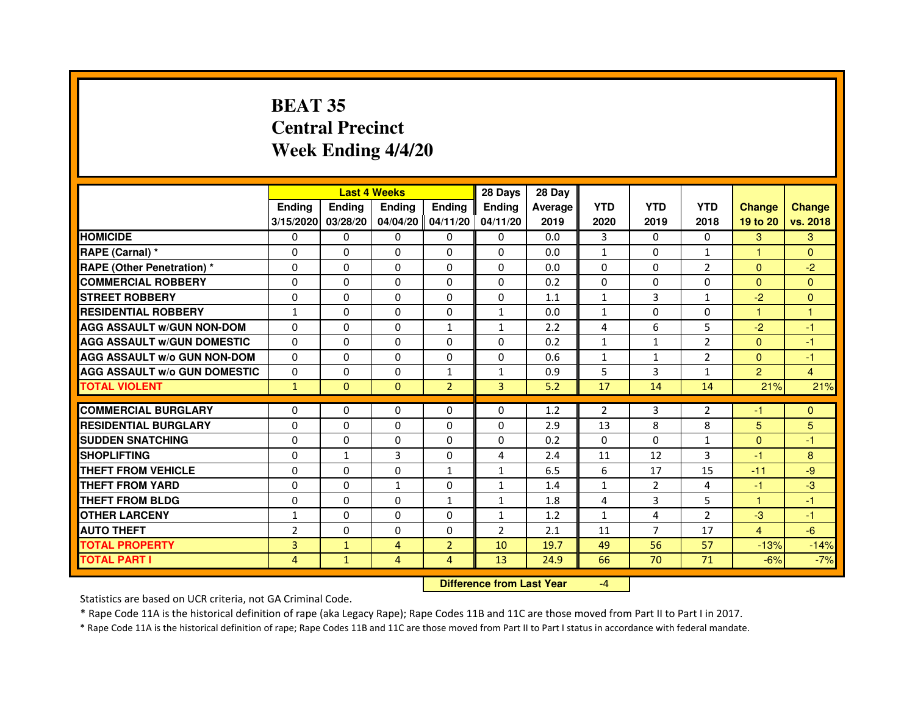# **BEAT 35 Central PrecinctWeek Ending 4/4/20**

|                                     |                |              | <b>Last 4 Weeks</b> |                     | 28 Days        | 28 Day  |                |                |                |                |               |
|-------------------------------------|----------------|--------------|---------------------|---------------------|----------------|---------|----------------|----------------|----------------|----------------|---------------|
|                                     | <b>Ending</b>  | Ending       | <b>Ending</b>       | <b>Ending</b>       | Ending         | Average | <b>YTD</b>     | <b>YTD</b>     | <b>YTD</b>     | <b>Change</b>  | <b>Change</b> |
|                                     | 3/15/2020      | 03/28/20     |                     | $04/04/20$ 04/11/20 | 04/11/20       | 2019    | 2020           | 2019           | 2018           | 19 to 20       | vs. 2018      |
| <b>HOMICIDE</b>                     | 0              | $\Omega$     | $\Omega$            | $\Omega$            | $\Omega$       | 0.0     | 3              | $\Omega$       | $\Omega$       | 3              | 3             |
| RAPE (Carnal) *                     | 0              | $\Omega$     | $\Omega$            | $\Omega$            | $\Omega$       | 0.0     | $\mathbf{1}$   | 0              | $\mathbf{1}$   | $\mathbf{1}$   | $\Omega$      |
| <b>RAPE (Other Penetration)*</b>    | 0              | 0            | 0                   | 0                   | 0              | 0.0     | 0              | 0              | 2              | $\Omega$       | $-2$          |
| <b>COMMERCIAL ROBBERY</b>           | $\Omega$       | $\Omega$     | $\Omega$            | $\Omega$            | 0              | 0.2     | $\Omega$       | $\Omega$       | $\Omega$       | $\Omega$       | $\Omega$      |
| <b>STREET ROBBERY</b>               | $\Omega$       | $\Omega$     | $\mathbf 0$         | $\Omega$            | $\Omega$       | 1.1     | $\mathbf{1}$   | 3              | $\mathbf{1}$   | $-2$           | $\Omega$      |
| <b>RESIDENTIAL ROBBERY</b>          | $\mathbf{1}$   | $\mathbf 0$  | $\Omega$            | 0                   | $\mathbf{1}$   | 0.0     | $\mathbf{1}$   | $\Omega$       | $\Omega$       | 1              | $\mathbf{1}$  |
| <b>AGG ASSAULT w/GUN NON-DOM</b>    | $\Omega$       | $\Omega$     | $\Omega$            | $\mathbf{1}$        | $\mathbf{1}$   | 2.2     | $\overline{a}$ | 6              | 5              | $-2$           | $-1$          |
| <b>AGG ASSAULT W/GUN DOMESTIC</b>   | $\Omega$       | 0            | $\Omega$            | 0                   | $\Omega$       | 0.2     | $\mathbf{1}$   | $\mathbf{1}$   | $\overline{2}$ | $\Omega$       | $-1$          |
| <b>AGG ASSAULT W/o GUN NON-DOM</b>  | $\Omega$       | 0            | $\Omega$            | $\Omega$            | 0              | 0.6     | 1              | 1              | $\overline{2}$ | $\Omega$       | $-1$          |
| <b>AGG ASSAULT W/o GUN DOMESTIC</b> | $\Omega$       | $\Omega$     | 0                   | $\mathbf{1}$        | $\mathbf{1}$   | 0.9     | 5              | 3              | $\mathbf{1}$   | $\overline{2}$ | 4             |
| <b>TOTAL VIOLENT</b>                | $\mathbf{1}$   | $\mathbf{0}$ | $\mathbf{0}$        | $\overline{2}$      | 3              | 5.2     | 17             | 14             | 14             | 21%            | 21%           |
|                                     |                |              |                     |                     |                |         |                |                |                |                |               |
| <b>COMMERCIAL BURGLARY</b>          | 0              | 0            | 0                   | 0                   | 0              | 1.2     | 2              | 3              | 2              | $-1$           | $\Omega$      |
| <b>RESIDENTIAL BURGLARY</b>         | 0              | 0            | 0                   | 0                   | 0              | 2.9     | 13             | 8              | 8              | 5              | 5             |
| <b>SUDDEN SNATCHING</b>             | 0              | $\mathbf 0$  | $\Omega$            | 0                   | $\Omega$       | 0.2     | $\Omega$       | $\Omega$       | $\mathbf{1}$   | $\Omega$       | $-1$          |
| <b>SHOPLIFTING</b>                  | $\Omega$       | $\mathbf{1}$ | 3                   | $\Omega$            | 4              | 2.4     | 11             | 12             | 3              | $-1$           | 8             |
| THEFT FROM VEHICLE                  | 0              | $\Omega$     | $\Omega$            | $\mathbf{1}$        | $\mathbf{1}$   | 6.5     | 6              | 17             | 15             | $-11$          | -9            |
| <b>THEFT FROM YARD</b>              | 0              | $\Omega$     | $\mathbf{1}$        | $\Omega$            | 1              | 1.4     | 1              | $\overline{2}$ | 4              | $-1$           | $-3$          |
| <b>THEFT FROM BLDG</b>              | $\Omega$       | $\Omega$     | $\Omega$            | $\mathbf{1}$        | 1              | 1.8     | 4              | 3              | 5              | $\mathbf{1}$   | $-1$          |
| <b>OTHER LARCENY</b>                | 1              | $\Omega$     | $\Omega$            | $\Omega$            | 1              | 1.2     | $\mathbf{1}$   | 4              | $\overline{2}$ | $-3$           | $-1$          |
| <b>AUTO THEFT</b>                   | $\overline{2}$ | $\Omega$     | $\mathbf 0$         | $\Omega$            | $\overline{2}$ | 2.1     | 11             | $\overline{7}$ | 17             | $\overline{4}$ | $-6$          |
| <b>TOTAL PROPERTY</b>               | 3              | $\mathbf{1}$ | $\overline{4}$      | $\overline{2}$      | 10             | 19.7    | 49             | 56             | 57             | $-13%$         | $-14%$        |
| <b>TOTAL PART I</b>                 | 4              | 1            | 4                   | 4                   | 13             | 24.9    | 66             | 70             | 71             | $-6%$          | $-7%$         |

 **Difference from Last Year**

-4

Statistics are based on UCR criteria, not GA Criminal Code.

\* Rape Code 11A is the historical definition of rape (aka Legacy Rape); Rape Codes 11B and 11C are those moved from Part II to Part I in 2017.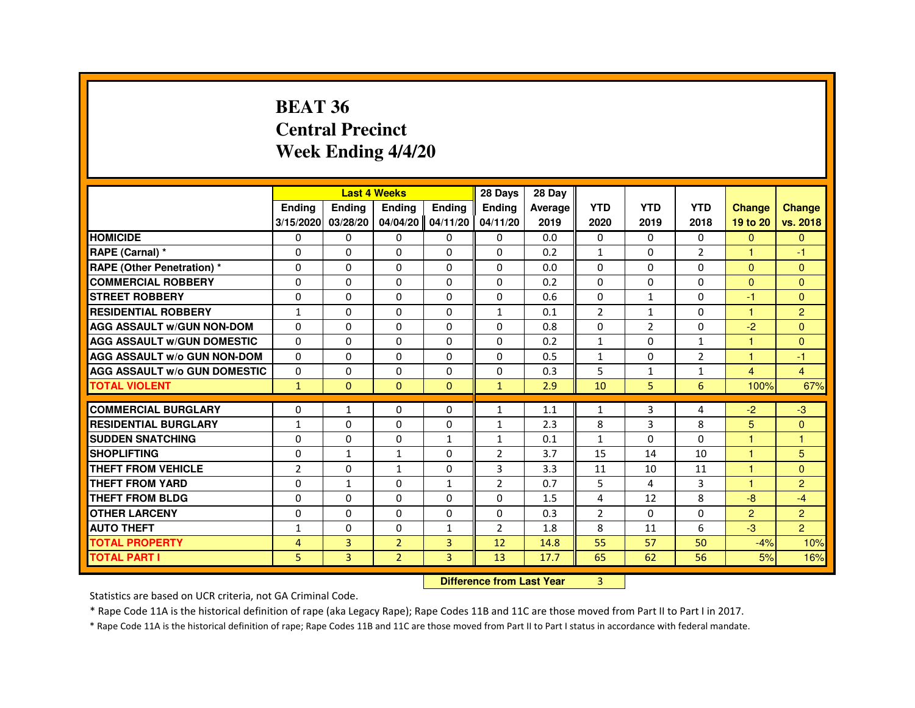#### **BEAT 36 Central PrecinctWeek Ending 4/4/20**

|                                     |                | <b>Last 4 Weeks</b> |                     |                | 28 Days        | 28 Day                           |                |                |                |                |                      |
|-------------------------------------|----------------|---------------------|---------------------|----------------|----------------|----------------------------------|----------------|----------------|----------------|----------------|----------------------|
|                                     | Ending         | Ending              | Ending              | Ending         | <b>Ending</b>  | Average                          | <b>YTD</b>     | <b>YTD</b>     | <b>YTD</b>     | <b>Change</b>  | <b>Change</b>        |
|                                     | 3/15/2020      | 03/28/20            | $04/04/20$ 04/11/20 |                | 04/11/20       | 2019                             | 2020           | 2019           | 2018           | 19 to 20       | vs. 2018             |
| <b>HOMICIDE</b>                     | 0              | 0                   | 0                   | $\Omega$       | $\Omega$       | 0.0                              | 0              | $\mathbf{0}$   | $\mathbf{0}$   | $\Omega$       | $\mathbf{0}$         |
| RAPE (Carnal) *                     | 0              | $\Omega$            | $\Omega$            | $\Omega$       | $\Omega$       | 0.2                              | $\mathbf{1}$   | $\Omega$       | $\overline{2}$ |                | -1                   |
| <b>RAPE (Other Penetration) *</b>   | $\Omega$       | 0                   | $\Omega$            | $\Omega$       | $\Omega$       | 0.0                              | $\Omega$       | $\Omega$       | $\Omega$       | $\Omega$       | $\Omega$             |
| <b>COMMERCIAL ROBBERY</b>           | $\Omega$       | $\Omega$            | $\Omega$            | $\Omega$       | $\Omega$       | 0.2                              | $\Omega$       | $\Omega$       | $\Omega$       | $\Omega$       | $\Omega$             |
| <b>STREET ROBBERY</b>               | $\Omega$       | $\Omega$            | $\Omega$            | $\Omega$       | $\Omega$       | 0.6                              | $\Omega$       | $\mathbf{1}$   | $\Omega$       | -1             | $\Omega$             |
| <b>RESIDENTIAL ROBBERY</b>          | $\mathbf{1}$   | 0                   | 0                   | 0              | $\mathbf{1}$   | 0.1                              | $\overline{2}$ | $\mathbf{1}$   | $\Omega$       | $\overline{1}$ | $\overline{2}$       |
| <b>AGG ASSAULT w/GUN NON-DOM</b>    | $\Omega$       | $\mathbf 0$         | $\Omega$            | $\Omega$       | 0              | 0.8                              | $\Omega$       | $\overline{2}$ | 0              | $-2$           | $\Omega$             |
| <b>AGG ASSAULT W/GUN DOMESTIC</b>   | $\Omega$       | $\Omega$            | $\Omega$            | $\Omega$       | $\Omega$       | 0.2                              | $\mathbf{1}$   | $\Omega$       | $\mathbf{1}$   | $\overline{1}$ | $\Omega$             |
| <b>AGG ASSAULT w/o GUN NON-DOM</b>  | $\Omega$       | 0                   | 0                   | 0              | 0              | 0.5                              | $\mathbf{1}$   | 0              | $\overline{2}$ | -1             | -1                   |
| <b>AGG ASSAULT W/o GUN DOMESTIC</b> | $\Omega$       | $\mathbf 0$         | $\Omega$            | 0              | 0              | 0.3                              | 5              | $\mathbf{1}$   | $\mathbf{1}$   | $\overline{4}$ | $\overline{4}$       |
| <b>TOTAL VIOLENT</b>                | $\mathbf{1}$   | $\mathbf{0}$        | $\mathbf{0}$        | $\mathbf{0}$   | $\mathbf{1}$   | 2.9                              | 10             | 5              | 6              | 100%           | 67%                  |
| <b>COMMERCIAL BURGLARY</b>          | $\Omega$       | $\mathbf{1}$        | 0                   | 0              | $\mathbf{1}$   | 1.1                              | $\mathbf{1}$   | 3              | 4              | $-2$           | $-3$                 |
| <b>RESIDENTIAL BURGLARY</b>         | $\mathbf{1}$   | $\mathbf 0$         | 0                   | 0              | $\mathbf{1}$   | 2.3                              | 8              | 3              | 8              | 5              | $\mathbf{0}$         |
| <b>SUDDEN SNATCHING</b>             | $\Omega$       | $\Omega$            | $\Omega$            | $\mathbf{1}$   | $\mathbf{1}$   | 0.1                              | $\mathbf{1}$   | $\Omega$       | $\Omega$       | 1              | $\blacktriangleleft$ |
| <b>SHOPLIFTING</b>                  | 0              | $\mathbf{1}$        | $\mathbf{1}$        | 0              | 2              | 3.7                              | 15             | 14             | 10             | 1              | 5                    |
| THEFT FROM VEHICLE                  | $\overline{2}$ | $\Omega$            | $\mathbf{1}$        | 0              | 3              | 3.3                              | 11             | 10             | 11             |                | $\Omega$             |
| <b>THEFT FROM YARD</b>              | $\Omega$       | $\mathbf{1}$        | $\Omega$            | $\mathbf{1}$   | $\overline{2}$ | 0.7                              | 5              | 4              | 3              | 4              | $\overline{2}$       |
| <b>THEFT FROM BLDG</b>              | 0              | $\mathbf{0}$        | 0                   | 0              | $\Omega$       | 1.5                              | 4              | 12             | 8              | $-8$           | $-4$                 |
| <b>OTHER LARCENY</b>                | 0              | $\Omega$            | $\Omega$            | 0              | $\Omega$       | 0.3                              | $\overline{2}$ | 0              | $\Omega$       | 2              | $\overline{2}$       |
| <b>AUTO THEFT</b>                   | $\mathbf{1}$   | 0                   | $\mathbf 0$         | $\mathbf{1}$   | $\overline{2}$ | 1.8                              | 8              | 11             | 6              | $-3$           | $\overline{2}$       |
| <b>TOTAL PROPERTY</b>               | 4              | 3                   | $\overline{2}$      | 3              | 12             | 14.8                             | 55             | 57             | 50             | $-4%$          | 10%                  |
| <b>TOTAL PART I</b>                 | 5              | $\overline{3}$      | $\overline{2}$      | $\overline{3}$ | 13             | 17.7                             | 65             | 62             | 56             | 5%             | 16%                  |
|                                     |                |                     |                     |                |                | <b>Difference from Last Year</b> | 3              |                |                |                |                      |

 **Difference from Last Year**

Statistics are based on UCR criteria, not GA Criminal Code.

\* Rape Code 11A is the historical definition of rape (aka Legacy Rape); Rape Codes 11B and 11C are those moved from Part II to Part I in 2017.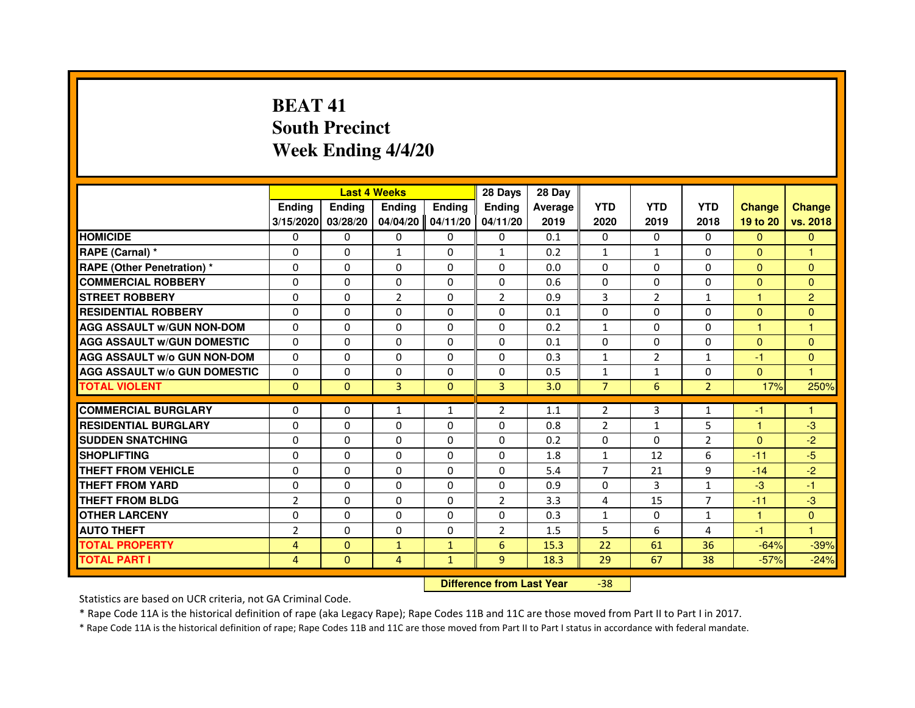# **BEAT 41 South PrecinctWeek Ending 4/4/20**

|                                     |                |               | <b>Last 4 Weeks</b> |               | 28 Days        | 28 Day  |                |                |                |               |                |
|-------------------------------------|----------------|---------------|---------------------|---------------|----------------|---------|----------------|----------------|----------------|---------------|----------------|
|                                     | <b>Ending</b>  | <b>Endina</b> | <b>Ending</b>       | <b>Ending</b> | <b>Endina</b>  | Average | <b>YTD</b>     | <b>YTD</b>     | <b>YTD</b>     | <b>Change</b> | <b>Change</b>  |
|                                     | 3/15/2020      | 03/28/20      | 04/04/20            | 04/11/20      | 04/11/20       | 2019    | 2020           | 2019           | 2018           | 19 to 20      | vs. 2018       |
| <b>HOMICIDE</b>                     | 0              | $\mathbf{0}$  | $\mathbf{0}$        | 0             | 0              | 0.1     | 0              | 0              | $\Omega$       | $\mathbf{0}$  | $\mathbf{0}$   |
| RAPE (Carnal) *                     | $\Omega$       | $\Omega$      | $\mathbf{1}$        | $\Omega$      | $\mathbf{1}$   | 0.2     | $\mathbf{1}$   | $\mathbf{1}$   | $\Omega$       | $\Omega$      | 1              |
| <b>RAPE (Other Penetration) *</b>   | 0              | $\mathbf{0}$  | $\mathbf{0}$        | 0             | 0              | 0.0     | 0              | 0              | 0              | $\Omega$      | $\Omega$       |
| <b>COMMERCIAL ROBBERY</b>           | 0              | $\Omega$      | $\Omega$            | $\Omega$      | $\Omega$       | 0.6     | $\Omega$       | $\Omega$       | $\Omega$       | $\Omega$      | $\Omega$       |
| <b>STREET ROBBERY</b>               | $\Omega$       | $\Omega$      | $\overline{2}$      | $\Omega$      | $\overline{2}$ | 0.9     | 3              | $\overline{2}$ | $\mathbf{1}$   | 1             | $\overline{2}$ |
| <b>RESIDENTIAL ROBBERY</b>          | $\Omega$       | $\Omega$      | $\Omega$            | $\Omega$      | $\Omega$       | 0.1     | $\Omega$       | $\Omega$       | $\Omega$       | $\Omega$      | $\mathbf{0}$   |
| <b>AGG ASSAULT w/GUN NON-DOM</b>    | $\Omega$       | $\Omega$      | $\Omega$            | $\Omega$      | $\Omega$       | 0.2     | $\mathbf{1}$   | $\Omega$       | $\Omega$       | 1             | 1              |
| <b>AGG ASSAULT W/GUN DOMESTIC</b>   | $\Omega$       | $\Omega$      | $\Omega$            | 0             | $\Omega$       | 0.1     | $\Omega$       | 0              | $\Omega$       | $\Omega$      | $\Omega$       |
| <b>AGG ASSAULT W/o GUN NON-DOM</b>  | 0              | $\Omega$      | 0                   | $\Omega$      | $\Omega$       | 0.3     | 1              | $\overline{2}$ | $\mathbf{1}$   | $-1$          | $\mathbf{0}$   |
| <b>AGG ASSAULT W/o GUN DOMESTIC</b> | $\Omega$       | $\Omega$      | $\Omega$            | $\Omega$      | $\Omega$       | 0.5     | $\mathbf{1}$   | $\mathbf{1}$   | 0              | $\Omega$      | 1              |
| <b>TOTAL VIOLENT</b>                | $\mathbf{0}$   | $\mathbf{0}$  | 3                   | $\Omega$      | 3              | 3.0     | $\overline{7}$ | 6              | $\overline{2}$ | 17%           | 250%           |
|                                     |                |               |                     |               |                |         |                |                |                |               |                |
| <b>COMMERCIAL BURGLARY</b>          | 0              | 0             | 1                   | 1             | 2              | 1.1     | 2              | 3              | 1              | $-1$          |                |
| <b>RESIDENTIAL BURGLARY</b>         | $\Omega$       | $\Omega$      | 0                   | $\Omega$      | $\Omega$       | 0.8     | $\overline{2}$ | $\mathbf{1}$   | 5              | 1             | $-3$           |
| <b>SUDDEN SNATCHING</b>             | 0              | $\Omega$      | 0                   | 0             | 0              | 0.2     | 0              | $\Omega$       | $\overline{2}$ | $\mathbf{0}$  | $-2$           |
| <b>SHOPLIFTING</b>                  | $\Omega$       | $\Omega$      | $\Omega$            | $\Omega$      | $\Omega$       | 1.8     | $\mathbf{1}$   | 12             | 6              | $-11$         | $-5$           |
| THEFT FROM VEHICLE                  | $\Omega$       | $\Omega$      | $\Omega$            | $\Omega$      | $\Omega$       | 5.4     | 7              | 21             | 9              | $-14$         | $-2$           |
| <b>THEFT FROM YARD</b>              | 0              | 0             | $\Omega$            | $\Omega$      | $\Omega$       | 0.9     | $\Omega$       | 3              | $\mathbf{1}$   | $-3$          | $-1$           |
| THEFT FROM BLDG                     | $\overline{2}$ | $\Omega$      | $\Omega$            | $\Omega$      | $\overline{2}$ | 3.3     | $\overline{4}$ | 15             | $\overline{7}$ | $-11$         | $-3$           |
| <b>OTHER LARCENY</b>                | 0              | $\Omega$      | $\Omega$            | $\Omega$      | $\Omega$       | 0.3     | $\mathbf{1}$   | $\mathbf{0}$   | $\mathbf{1}$   | $\mathbf{1}$  | $\Omega$       |
| <b>AUTO THEFT</b>                   | $\overline{2}$ | $\Omega$      | $\Omega$            | $\Omega$      | $\overline{2}$ | 1.5     | 5              | 6              | $\overline{a}$ | $-1$          | 1              |
| <b>TOTAL PROPERTY</b>               | 4              | $\mathbf{0}$  | $\mathbf{1}$        | $\mathbf{1}$  | 6              | 15.3    | 22             | 61             | 36             | $-64%$        | $-39%$         |
| <b>TOTAL PART I</b>                 | 4              | $\mathbf{0}$  | 4                   | $\mathbf{1}$  | 9              | 18.3    | 29             | 67             | 38             | $-57%$        | $-24%$         |

 **Difference from Last Year**-38

Statistics are based on UCR criteria, not GA Criminal Code.

\* Rape Code 11A is the historical definition of rape (aka Legacy Rape); Rape Codes 11B and 11C are those moved from Part II to Part I in 2017.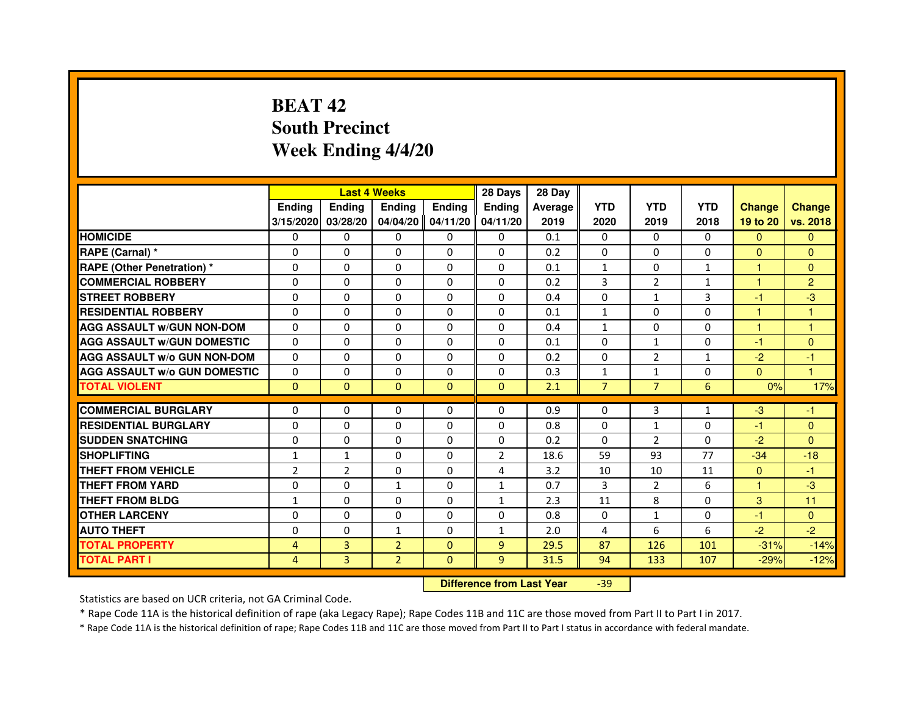# **BEAT 42 South PrecinctWeek Ending 4/4/20**

|                                     |                |                | <b>Last 4 Weeks</b> |               | 28 Days                          | 28 Day  |                |                |              |               |                |
|-------------------------------------|----------------|----------------|---------------------|---------------|----------------------------------|---------|----------------|----------------|--------------|---------------|----------------|
|                                     | <b>Ending</b>  | <b>Ending</b>  | <b>Ending</b>       | <b>Ending</b> | <b>Ending</b>                    | Average | <b>YTD</b>     | <b>YTD</b>     | <b>YTD</b>   | <b>Change</b> | <b>Change</b>  |
|                                     | 3/15/2020      | 03/28/20       | 04/04/20            | 04/11/20      | 04/11/20                         | 2019    | 2020           | 2019           | 2018         | 19 to 20      | vs. 2018       |
| <b>HOMICIDE</b>                     | $\Omega$       | $\Omega$       | $\Omega$            | $\Omega$      | 0                                | 0.1     | $\Omega$       | $\Omega$       | $\Omega$     | $\Omega$      | $\mathbf{0}$   |
| RAPE (Carnal) *                     | 0              | 0              | 0                   | 0             | 0                                | 0.2     | $\Omega$       | 0              | 0            | $\mathbf{0}$  | $\mathbf{0}$   |
| <b>RAPE (Other Penetration) *</b>   | $\Omega$       | $\Omega$       | $\Omega$            | $\Omega$      | $\Omega$                         | 0.1     | $\mathbf{1}$   | $\Omega$       | $\mathbf{1}$ | $\mathbf{1}$  | $\Omega$       |
| <b>COMMERCIAL ROBBERY</b>           | $\Omega$       | $\Omega$       | $\Omega$            | $\Omega$      | $\Omega$                         | 0.2     | 3              | 2              | $\mathbf{1}$ | $\mathbf{1}$  | $\overline{2}$ |
| <b>STREET ROBBERY</b>               | $\Omega$       | $\Omega$       | $\Omega$            | $\Omega$      | $\Omega$                         | 0.4     | $\Omega$       | $\mathbf{1}$   | 3            | $-1$          | $-3$           |
| <b>RESIDENTIAL ROBBERY</b>          | $\Omega$       | $\Omega$       | $\Omega$            | $\Omega$      | $\Omega$                         | 0.1     | $\mathbf{1}$   | $\Omega$       | $\Omega$     | 1             | 1              |
| <b>AGG ASSAULT W/GUN NON-DOM</b>    | $\Omega$       | $\Omega$       | $\Omega$            | $\Omega$      | $\Omega$                         | 0.4     | $\mathbf{1}$   | $\Omega$       | $\Omega$     | $\mathbf{1}$  | $\mathbf{1}$   |
| <b>AGG ASSAULT W/GUN DOMESTIC</b>   | $\Omega$       | $\Omega$       | $\Omega$            | $\Omega$      | $\Omega$                         | 0.1     | $\Omega$       | $\mathbf{1}$   | $\Omega$     | $-1$          | $\Omega$       |
| <b>AGG ASSAULT W/o GUN NON-DOM</b>  | $\Omega$       | 0              | 0                   | 0             | 0                                | 0.2     | $\Omega$       | $\overline{2}$ | $\mathbf{1}$ | $-2$          | $-1$           |
| <b>AGG ASSAULT W/o GUN DOMESTIC</b> | $\Omega$       | 0              | 0                   | $\Omega$      | $\Omega$                         | 0.3     | $\mathbf{1}$   | $\mathbf{1}$   | $\Omega$     | $\Omega$      | 1              |
| <b>TOTAL VIOLENT</b>                | $\mathbf{0}$   | $\mathbf{0}$   | $\mathbf{0}$        | $\mathbf{0}$  | $\mathbf{0}$                     | 2.1     | $\overline{7}$ | $\overline{7}$ | 6            | 0%            | 17%            |
| <b>COMMERCIAL BURGLARY</b>          | 0              | 0              | 0                   | 0             | 0                                | 0.9     | $\Omega$       | 3              | 1            | $-3$          | $-1$           |
| <b>RESIDENTIAL BURGLARY</b>         | $\Omega$       | $\Omega$       | $\Omega$            | $\Omega$      | $\Omega$                         | 0.8     | $\Omega$       | $\mathbf{1}$   | $\Omega$     | $-1$          | $\mathbf{0}$   |
| <b>SUDDEN SNATCHING</b>             | $\Omega$       | $\Omega$       | $\Omega$            | $\Omega$      | $\Omega$                         | 0.2     | $\Omega$       | $\mathcal{P}$  | $\Omega$     | $-2$          | $\Omega$       |
| <b>SHOPLIFTING</b>                  | $\mathbf{1}$   | 1              | 0                   | 0             | 2                                | 18.6    | 59             | 93             | 77           | $-34$         | $-18$          |
| <b>THEFT FROM VEHICLE</b>           | $\overline{2}$ | $\overline{2}$ | 0                   | $\Omega$      | 4                                | 3.2     | 10             | 10             | 11           | $\Omega$      | $-1$           |
| THEFT FROM YARD                     | 0              | 0              | $\mathbf{1}$        | 0             | $\mathbf{1}$                     | 0.7     | 3              | $\overline{2}$ | 6            | $\mathbf{1}$  | $-3$           |
| <b>THEFT FROM BLDG</b>              | $\mathbf{1}$   | $\Omega$       | $\Omega$            | $\Omega$      | $\mathbf{1}$                     | 2.3     | 11             | 8              | $\Omega$     | 3             | 11             |
| <b>OTHER LARCENY</b>                | $\Omega$       | $\Omega$       | $\Omega$            | $\Omega$      | $\Omega$                         | 0.8     | $\Omega$       | $\mathbf{1}$   | $\Omega$     | $-1$          | $\Omega$       |
| <b>AUTO THEFT</b>                   | $\Omega$       | $\Omega$       | $\mathbf{1}$        | $\Omega$      | $\mathbf{1}$                     | 2.0     | 4              | 6              | 6            | $-2$          | $-2$           |
| <b>TOTAL PROPERTY</b>               | 4              | 3              | $\overline{2}$      | $\Omega$      | $\overline{9}$                   | 29.5    | 87             | 126            | 101          | $-31%$        | $-14%$         |
| <b>TOTAL PART I</b>                 | 4              | 3              | $\overline{2}$      | $\mathbf{0}$  | 9                                | 31.5    | 94             | 133            | 107          | $-29%$        | $-12%$         |
|                                     |                |                |                     |               | <b>Difference from Last Year</b> |         | $-39$          |                |              |               |                |

 **Difference from Last Year**

Statistics are based on UCR criteria, not GA Criminal Code.

\* Rape Code 11A is the historical definition of rape (aka Legacy Rape); Rape Codes 11B and 11C are those moved from Part II to Part I in 2017.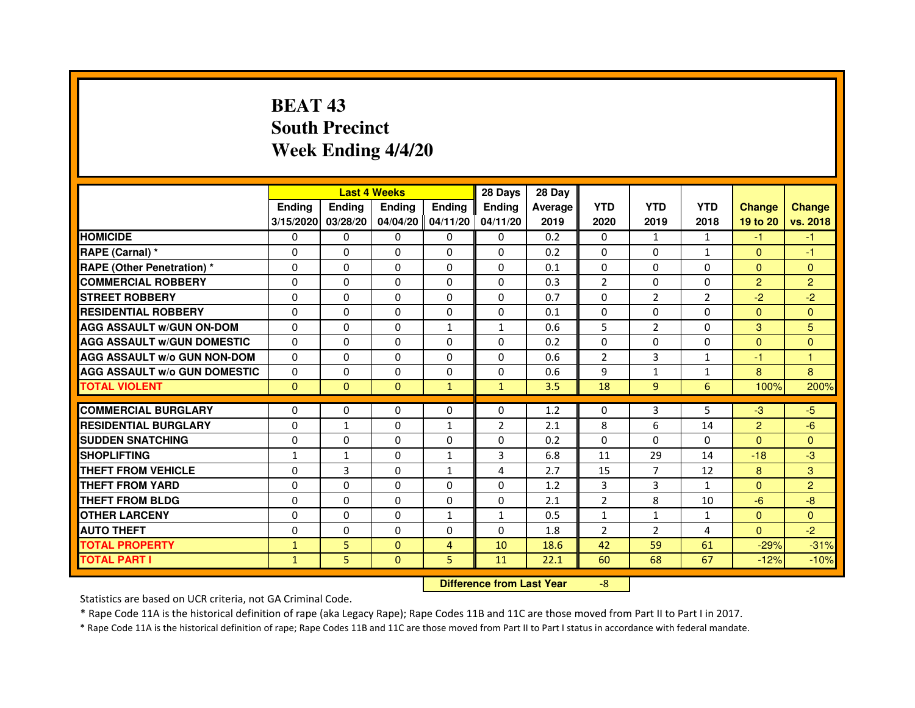# **BEAT 43 South PrecinctWeek Ending 4/4/20**

|                                     |               | <b>Last 4 Weeks</b> |                                  |                | 28 Days        | 28 Day  |                |                |                |                |                |
|-------------------------------------|---------------|---------------------|----------------------------------|----------------|----------------|---------|----------------|----------------|----------------|----------------|----------------|
|                                     | <b>Ending</b> | Ending              | <b>Ending</b>                    | <b>Ending</b>  | <b>Ending</b>  | Average | <b>YTD</b>     | <b>YTD</b>     | <b>YTD</b>     | <b>Change</b>  | <b>Change</b>  |
|                                     | 3/15/2020     | 03/28/20            | 04/04/20 04/11/20                |                | 04/11/20       | 2019    | 2020           | 2019           | 2018           | 19 to 20       | vs. 2018       |
| <b>HOMICIDE</b>                     | $\Omega$      | $\Omega$            | $\Omega$                         | $\Omega$       | 0              | 0.2     | $\Omega$       | $\mathbf{1}$   | $\mathbf{1}$   | $-1$           | $-1$           |
| RAPE (Carnal) *                     | 0             | 0                   | 0                                | 0              | 0              | 0.2     | $\mathbf{0}$   | $\mathbf{0}$   | $\mathbf{1}$   | $\mathbf{0}$   | $-1$           |
| <b>RAPE (Other Penetration)*</b>    | 0             | 0                   | $\Omega$                         | 0              | $\Omega$       | 0.1     | $\Omega$       | $\mathbf{0}$   | 0              | $\mathbf{0}$   | $\Omega$       |
| <b>COMMERCIAL ROBBERY</b>           | $\Omega$      | $\Omega$            | $\Omega$                         | $\Omega$       | $\Omega$       | 0.3     | $\overline{2}$ | $\mathbf{0}$   | $\Omega$       | $\overline{2}$ | $\overline{2}$ |
| <b>STREET ROBBERY</b>               | $\Omega$      | $\Omega$            | $\Omega$                         | $\Omega$       | $\Omega$       | 0.7     | $\Omega$       | $\overline{2}$ | $\overline{2}$ | $-2$           | $-2$           |
| <b>RESIDENTIAL ROBBERY</b>          | $\Omega$      | $\Omega$            | $\Omega$                         | $\Omega$       | 0              | 0.1     | $\Omega$       | $\Omega$       | 0              | $\mathbf{0}$   | $\Omega$       |
| <b>AGG ASSAULT w/GUN ON-DOM</b>     | $\Omega$      | $\Omega$            | $\mathbf 0$                      | $\mathbf{1}$   | $\mathbf{1}$   | 0.6     | 5              | $\overline{2}$ | $\Omega$       | 3              | 5              |
| <b>AGG ASSAULT w/GUN DOMESTIC</b>   | $\Omega$      | $\Omega$            | $\Omega$                         | $\Omega$       | $\Omega$       | 0.2     | $\Omega$       | $\Omega$       | $\Omega$       | $\Omega$       | $\Omega$       |
| <b>AGG ASSAULT W/o GUN NON-DOM</b>  | 0             | 0                   | 0                                | 0              | 0              | 0.6     | 2              | 3              | $\mathbf{1}$   | $-1$           | 1              |
| <b>AGG ASSAULT w/o GUN DOMESTIC</b> | $\Omega$      | $\mathbf 0$         | $\Omega$                         | 0              | 0              | 0.6     | 9              | $\mathbf{1}$   | $\mathbf{1}$   | 8              | 8              |
| <b>TOTAL VIOLENT</b>                | $\mathbf 0$   | $\mathbf 0$         | $\mathbf 0$                      | $\mathbf{1}$   | $\mathbf{1}$   | 3.5     | 18             | 9              | 6              | 100%           | 200%           |
| <b>COMMERCIAL BURGLARY</b>          | $\Omega$      | $\Omega$            | 0                                | $\Omega$       | 0              | 1.2     | 0              | 3              | 5              | $-3$           | $-5$           |
| <b>RESIDENTIAL BURGLARY</b>         | $\Omega$      | $\mathbf{1}$        | $\Omega$                         | $\mathbf{1}$   | $\overline{2}$ | 2.1     | 8              | 6              | 14             | $\overline{2}$ | $-6$           |
| <b>SUDDEN SNATCHING</b>             | $\Omega$      | $\Omega$            | $\Omega$                         | $\Omega$       | $\Omega$       | 0.2     | $\Omega$       | $\Omega$       | $\Omega$       | $\Omega$       | $\Omega$       |
| <b>SHOPLIFTING</b>                  | 1             | $\mathbf{1}$        | 0                                | $\mathbf{1}$   | 3              | 6.8     | 11             | 29             | 14             | $-18$          | $-3$           |
| <b>THEFT FROM VEHICLE</b>           | $\Omega$      | 3                   | $\Omega$                         | $\mathbf{1}$   | 4              | 2.7     | 15             | $\overline{7}$ | 12             | 8              | 3              |
| <b>THEFT FROM YARD</b>              | $\mathbf 0$   | 0                   | $\mathbf 0$                      | 0              | $\mathbf 0$    | 1.2     | 3              | 3              | $\mathbf{1}$   | $\Omega$       | $\overline{2}$ |
| <b>THEFT FROM BLDG</b>              | $\Omega$      | $\Omega$            | $\Omega$                         | $\Omega$       | 0              | 2.1     | $\overline{2}$ | 8              | 10             | $-6$           | $-8$           |
| <b>OTHER LARCENY</b>                | $\mathbf 0$   | $\Omega$            | $\mathbf 0$                      | $\mathbf{1}$   | $\mathbf{1}$   | 0.5     | $\mathbf{1}$   | $\mathbf{1}$   | $\mathbf{1}$   | $\mathbf{0}$   | $\Omega$       |
| <b>AUTO THEFT</b>                   | $\Omega$      | $\Omega$            | $\Omega$                         | $\Omega$       | $\Omega$       | 1.8     | $\overline{2}$ | $\overline{2}$ | 4              | $\Omega$       | $-2$           |
| <b>TOTAL PROPERTY</b>               |               | 5                   | $\Omega$                         | $\overline{4}$ | 10             | 18.6    | 42             | 59             | 61             | $-29%$         | $-31%$         |
|                                     | $\mathbf{1}$  |                     |                                  |                |                |         |                |                |                |                |                |
| <b>TOTAL PART I</b>                 | $\mathbf{1}$  | 5                   | $\mathbf{0}$                     | 5              | 11             | 22.1    | 60             | 68             | 67             | $-12%$         | $-10%$         |
|                                     |               |                     | <b>Difference from Last Year</b> |                | $-8$           |         |                |                |                |                |                |

 **Difference from Last Year**

Statistics are based on UCR criteria, not GA Criminal Code.

\* Rape Code 11A is the historical definition of rape (aka Legacy Rape); Rape Codes 11B and 11C are those moved from Part II to Part I in 2017.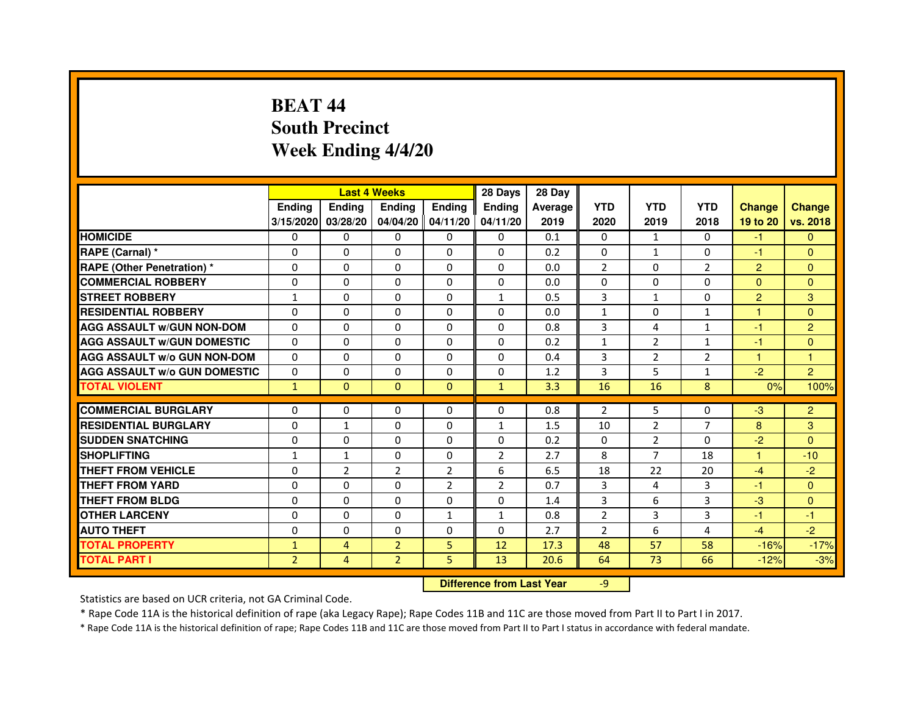# **BEAT 44 South PrecinctWeek Ending 4/4/20**

|                                     |                | <b>Last 4 Weeks</b> |                                  |                | 28 Days        | 28 Day  |                |                |                |                |                |
|-------------------------------------|----------------|---------------------|----------------------------------|----------------|----------------|---------|----------------|----------------|----------------|----------------|----------------|
|                                     | <b>Ending</b>  | Ending              | <b>Ending</b>                    | <b>Ending</b>  | <b>Ending</b>  | Average | <b>YTD</b>     | <b>YTD</b>     | <b>YTD</b>     | <b>Change</b>  | <b>Change</b>  |
|                                     | 3/15/2020      | 03/28/20            | 04/04/20 04/11/20                |                | 04/11/20       | 2019    | 2020           | 2019           | 2018           | 19 to 20       | vs. 2018       |
| <b>HOMICIDE</b>                     | $\Omega$       | $\Omega$            | $\Omega$                         | $\Omega$       | 0              | 0.1     | $\Omega$       | $\mathbf{1}$   | $\Omega$       | $-1$           | $\mathbf{0}$   |
| RAPE (Carnal) *                     | 0              | 0                   | 0                                | 0              | 0              | 0.2     | $\mathbf{0}$   | $\mathbf{1}$   | 0              | $-1$           | $\mathbf{0}$   |
| <b>RAPE (Other Penetration)*</b>    | 0              | 0                   | $\Omega$                         | 0              | $\Omega$       | 0.0     | $\overline{2}$ | $\Omega$       | $\overline{2}$ | $\overline{2}$ | $\Omega$       |
| <b>COMMERCIAL ROBBERY</b>           | $\Omega$       | $\Omega$            | $\Omega$                         | $\Omega$       | $\Omega$       | 0.0     | $\Omega$       | $\mathbf{0}$   | $\Omega$       | $\Omega$       | $\Omega$       |
| <b>STREET ROBBERY</b>               | $\mathbf{1}$   | $\Omega$            | $\Omega$                         | $\Omega$       | $\mathbf{1}$   | 0.5     | 3              | $\mathbf{1}$   | $\Omega$       | $\overline{2}$ | 3              |
| <b>RESIDENTIAL ROBBERY</b>          | $\Omega$       | $\Omega$            | $\Omega$                         | $\Omega$       | 0              | 0.0     | $\mathbf{1}$   | $\Omega$       | $\mathbf{1}$   | $\mathbf{1}$   | $\Omega$       |
| <b>AGG ASSAULT w/GUN NON-DOM</b>    | $\Omega$       | $\Omega$            | $\mathbf 0$                      | $\Omega$       | $\Omega$       | 0.8     | 3              | 4              | $\mathbf{1}$   | $-1$           | $\overline{2}$ |
| <b>AGG ASSAULT w/GUN DOMESTIC</b>   | $\Omega$       | $\Omega$            | $\Omega$                         | $\Omega$       | $\Omega$       | 0.2     | $\mathbf{1}$   | $\overline{2}$ | $\mathbf{1}$   | $-1$           | $\Omega$       |
| <b>AGG ASSAULT W/o GUN NON-DOM</b>  | 0              | 0                   | 0                                | 0              | 0              | 0.4     | 3              | $\overline{2}$ | 2              | $\mathbf{1}$   | 1              |
| <b>AGG ASSAULT w/o GUN DOMESTIC</b> | $\Omega$       | $\mathbf 0$         | $\Omega$                         | 0              | 0              | 1.2     | 3              | 5              | $\mathbf{1}$   | $-2$           | $\overline{2}$ |
| <b>TOTAL VIOLENT</b>                | $\mathbf{1}$   | $\mathbf{0}$        | $\mathbf 0$                      | $\mathbf{0}$   | $\mathbf{1}$   | 3.3     | 16             | 16             | 8              | 0%             | 100%           |
| <b>COMMERCIAL BURGLARY</b>          | $\Omega$       | $\Omega$            | 0                                | $\Omega$       | 0              | 0.8     | $\overline{2}$ | 5              | 0              | $-3$           | $\overline{2}$ |
| <b>RESIDENTIAL BURGLARY</b>         | $\Omega$       | $\mathbf{1}$        | $\Omega$                         | $\Omega$       | $\mathbf{1}$   | 1.5     | 10             | $\overline{2}$ | $\overline{7}$ | 8              | 3              |
| <b>SUDDEN SNATCHING</b>             | $\Omega$       | $\Omega$            | $\Omega$                         | $\Omega$       | $\Omega$       | 0.2     | $\Omega$       | $\overline{2}$ | $\Omega$       | $-2$           | $\Omega$       |
|                                     |                |                     |                                  |                |                |         |                |                |                |                |                |
| <b>SHOPLIFTING</b>                  | 1              | $\mathbf{1}$        | 0                                | 0              | $\overline{2}$ | 2.7     | 8              | $\overline{7}$ | 18             | $\mathbf{1}$   | $-10$          |
| <b>THEFT FROM VEHICLE</b>           | $\Omega$       | $\overline{2}$      | $\overline{2}$                   | $\overline{2}$ | 6              | 6.5     | 18             | 22             | 20             | $-4$           | $-2$           |
| <b>THEFT FROM YARD</b>              | $\mathbf 0$    | 0                   | $\mathbf 0$                      | $\overline{2}$ | $\overline{2}$ | 0.7     | 3              | 4              | 3              | $-1$           | $\mathbf{0}$   |
| <b>THEFT FROM BLDG</b>              | $\Omega$       | $\Omega$            | $\Omega$                         | $\Omega$       | 0              | 1.4     | 3              | 6              | 3              | $-3$           | $\Omega$       |
| <b>OTHER LARCENY</b>                | $\Omega$       | $\Omega$            | $\mathbf 0$                      | $\mathbf{1}$   | $\mathbf{1}$   | 0.8     | $\overline{2}$ | 3              | 3              | $-1$           | $-1$           |
| <b>AUTO THEFT</b>                   | $\Omega$       | $\Omega$            | $\mathbf 0$                      | $\Omega$       | $\Omega$       | 2.7     | $\overline{2}$ | 6              | 4              | $-4$           | $-2$           |
| <b>TOTAL PROPERTY</b>               | $\mathbf{1}$   | $\overline{4}$      | $\overline{2}$                   | 5              | 12             | 17.3    | 48             | 57             | 58             | $-16%$         | $-17%$         |
| <b>TOTAL PART I</b>                 | $\overline{2}$ | 4                   | $\overline{2}$                   | 5              | 13             | 20.6    | 64             | 73             | 66             | $-12%$         | $-3%$          |
|                                     |                |                     | <b>Difference from Last Year</b> |                | $-9$           |         |                |                |                |                |                |

 **Difference from Last Year**

Statistics are based on UCR criteria, not GA Criminal Code.

\* Rape Code 11A is the historical definition of rape (aka Legacy Rape); Rape Codes 11B and 11C are those moved from Part II to Part I in 2017.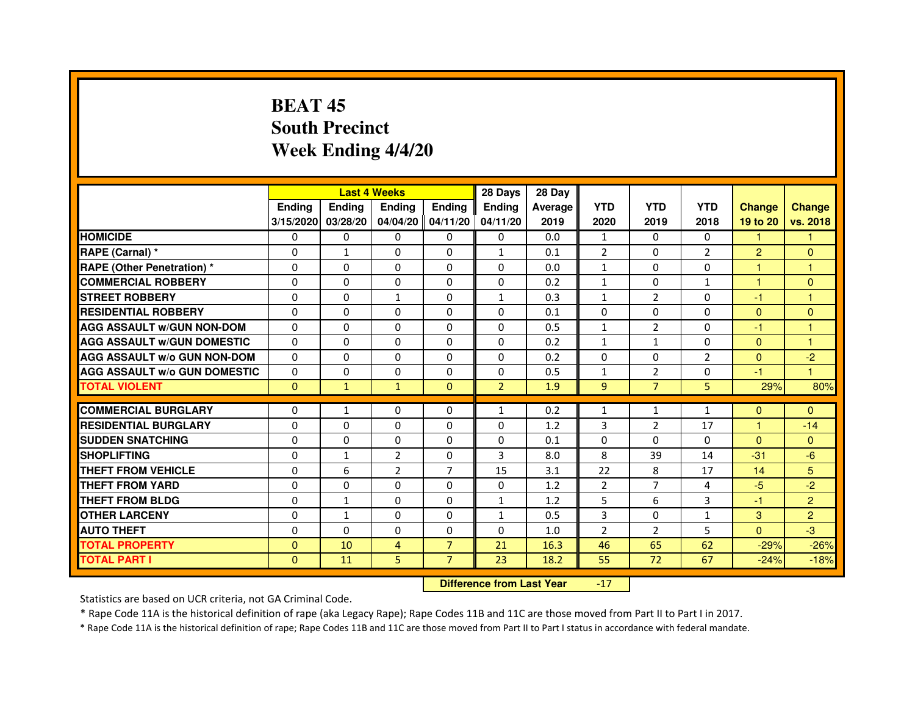# **BEAT 45 South PrecinctWeek Ending 4/4/20**

|                                     |               |               | <b>Last 4 Weeks</b> |                   | 28 Days        | 28 Day  |                |                |                |                |                |
|-------------------------------------|---------------|---------------|---------------------|-------------------|----------------|---------|----------------|----------------|----------------|----------------|----------------|
|                                     | <b>Ending</b> | <b>Endina</b> | <b>Ending</b>       | <b>Ending</b>     | <b>Endina</b>  | Average | <b>YTD</b>     | <b>YTD</b>     | <b>YTD</b>     | <b>Change</b>  | <b>Change</b>  |
|                                     | 3/15/2020     | 03/28/20      |                     | 04/04/20 04/11/20 | 04/11/20       | 2019    | 2020           | 2019           | 2018           | 19 to 20       | vs. 2018       |
| <b>HOMICIDE</b>                     | 0             | $\mathbf{0}$  | $\mathbf{0}$        | $\mathbf{0}$      | $\mathbf{0}$   | 0.0     | $\mathbf{1}$   | $\Omega$       | $\Omega$       | 1.             | 1.             |
| RAPE (Carnal) *                     | $\Omega$      | $\mathbf{1}$  | $\Omega$            | 0                 | $\mathbf{1}$   | 0.1     | $\overline{2}$ | $\Omega$       | $\overline{2}$ | $\overline{2}$ | $\Omega$       |
| <b>RAPE (Other Penetration) *</b>   | $\Omega$      | 0             | $\Omega$            | 0                 | 0              | 0.0     | $\mathbf{1}$   | $\mathbf{0}$   | $\Omega$       | 1              | 1              |
| <b>COMMERCIAL ROBBERY</b>           | $\Omega$      | $\Omega$      | $\Omega$            | $\Omega$          | $\Omega$       | 0.2     | $\mathbf{1}$   | $\Omega$       | $\mathbf{1}$   | 1              | $\Omega$       |
| <b>STREET ROBBERY</b>               | $\Omega$      | $\Omega$      | $\mathbf{1}$        | 0                 | $\mathbf{1}$   | 0.3     | $\mathbf{1}$   | $\overline{2}$ | $\Omega$       | $-1$           | 1              |
| <b>RESIDENTIAL ROBBERY</b>          | 0             | 0             | 0                   | 0                 | 0              | 0.1     | 0              | $\Omega$       | $\Omega$       | $\Omega$       | $\Omega$       |
| <b>AGG ASSAULT w/GUN NON-DOM</b>    | $\Omega$      | $\Omega$      | $\mathbf 0$         | $\Omega$          | $\Omega$       | 0.5     | $\mathbf{1}$   | $\overline{2}$ | $\Omega$       | $-1$           | 1              |
| <b>AGG ASSAULT W/GUN DOMESTIC</b>   | $\Omega$      | $\Omega$      | $\Omega$            | $\Omega$          | $\Omega$       | 0.2     | $\mathbf{1}$   | $\mathbf{1}$   | $\Omega$       | $\Omega$       | 1              |
| <b>AGG ASSAULT W/o GUN NON-DOM</b>  | $\Omega$      | $\Omega$      | 0                   | 0                 | 0              | 0.2     | 0              | 0              | 2              | $\mathbf{0}$   | $-2$           |
| <b>AGG ASSAULT W/o GUN DOMESTIC</b> | $\Omega$      | 0             | $\Omega$            | 0                 | 0              | 0.5     | $\mathbf{1}$   | 2              | 0              | $-1$           | 1              |
| <b>TOTAL VIOLENT</b>                | $\mathbf{0}$  | $\mathbf{1}$  | $\mathbf{1}$        | $\mathbf{0}$      | $\overline{2}$ | 1.9     | 9              | $\overline{7}$ | 5              | 29%            | 80%            |
|                                     |               |               |                     |                   |                |         |                |                |                |                |                |
| <b>COMMERCIAL BURGLARY</b>          | 0             | $\mathbf{1}$  | 0                   | $\Omega$          | 1              | 0.2     | $\mathbf{1}$   | $\mathbf{1}$   | 1              | $\Omega$       | $\mathbf{0}$   |
| <b>RESIDENTIAL BURGLARY</b>         | 0             | $\mathbf 0$   | $\Omega$            | 0                 | 0              | 1.2     | 3              | $\overline{2}$ | 17             | 1              | $-14$          |
| <b>SUDDEN SNATCHING</b>             | $\Omega$      | $\Omega$      | $\Omega$            | $\Omega$          | 0              | 0.1     | $\Omega$       | $\Omega$       | $\Omega$       | $\Omega$       | $\Omega$       |
| <b>SHOPLIFTING</b>                  | $\Omega$      | $\mathbf{1}$  | $\overline{2}$      | 0                 | 3              | 8.0     | 8              | 39             | 14             | $-31$          | $-6$           |
| THEFT FROM VEHICLE                  | $\Omega$      | 6             | $\overline{2}$      | $\overline{7}$    | 15             | 3.1     | 22             | 8              | 17             | 14             | 5              |
| <b>THEFT FROM YARD</b>              | $\Omega$      | $\Omega$      | 0                   | $\Omega$          | 0              | 1.2     | $\overline{2}$ | $\overline{7}$ | 4              | $-5$           | $-2$           |
| <b>THEFT FROM BLDG</b>              | $\Omega$      | $\mathbf{1}$  | $\Omega$            | 0                 | 1              | 1.2     | 5              | 6              | 3              | $-1$           | $\overline{2}$ |
| <b>OTHER LARCENY</b>                | 0             | $\mathbf{1}$  | $\Omega$            | 0                 | $\mathbf{1}$   | 0.5     | 3              | 0              | $\mathbf{1}$   | 3              | $\overline{2}$ |
| <b>AUTO THEFT</b>                   | $\mathbf 0$   | $\Omega$      | $\Omega$            | 0                 | $\Omega$       | 1.0     | $\overline{2}$ | $\overline{2}$ | 5              | $\Omega$       | $-3$           |
| <b>TOTAL PROPERTY</b>               | $\Omega$      | 10            | 4                   | $\overline{7}$    | 21             | 16.3    | 46             | 65             | 62             | $-29%$         | $-26%$         |
| <b>TOTAL PART I</b>                 | $\Omega$      | 11            | 5                   | $\overline{7}$    | 23             | 18.2    | 55             | 72             | 67             | $-24%$         | $-18%$         |

 **Difference from Last Year**-17

Statistics are based on UCR criteria, not GA Criminal Code.

\* Rape Code 11A is the historical definition of rape (aka Legacy Rape); Rape Codes 11B and 11C are those moved from Part II to Part I in 2017.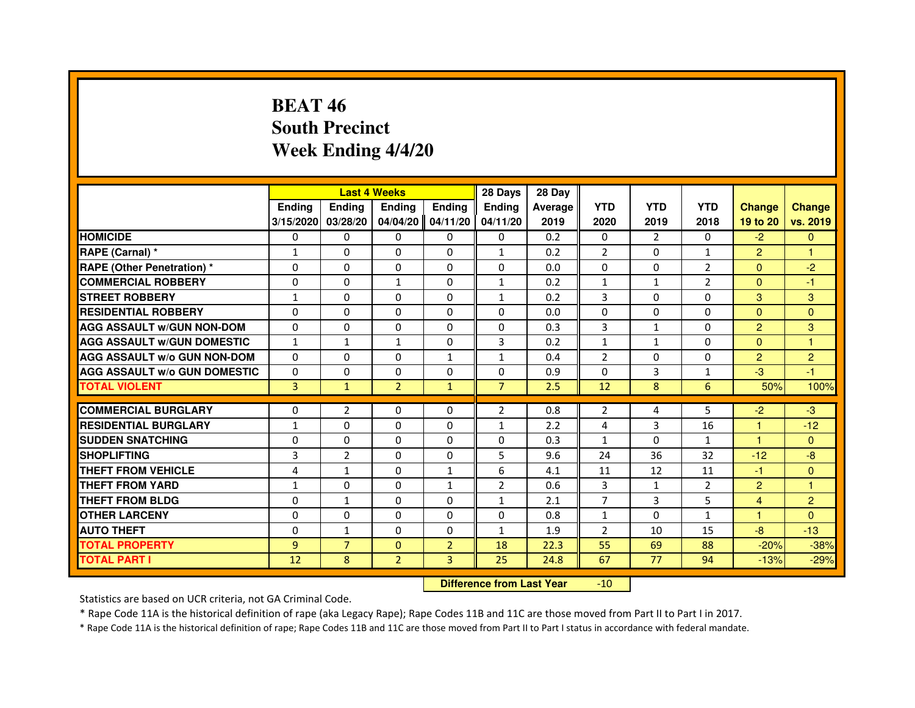# **BEAT 46 South PrecinctWeek Ending 4/4/20**

|                                     |                |                | <b>Last 4 Weeks</b> |                | 28 Days                          | 28 Day  |                |                |                |                |                |
|-------------------------------------|----------------|----------------|---------------------|----------------|----------------------------------|---------|----------------|----------------|----------------|----------------|----------------|
|                                     | <b>Ending</b>  | <b>Endina</b>  | <b>Ending</b>       | <b>Ending</b>  | <b>Ending</b>                    | Average | <b>YTD</b>     | <b>YTD</b>     | <b>YTD</b>     | <b>Change</b>  | <b>Change</b>  |
|                                     | 3/15/2020      | 03/28/20       | 04/04/20            | 04/11/20       | 04/11/20                         | 2019    | 2020           | 2019           | 2018           | 19 to 20       | vs. 2019       |
| <b>HOMICIDE</b>                     | 0              | $\Omega$       | $\Omega$            | 0              | 0                                | 0.2     | 0              | $\overline{2}$ | $\Omega$       | $-2$           | $\mathbf{0}$   |
| RAPE (Carnal) *                     | 1              | 0              | 0                   | 0              | $\mathbf{1}$                     | 0.2     | $\overline{2}$ | 0              | $\mathbf{1}$   | $\overline{2}$ | 1              |
| <b>RAPE (Other Penetration) *</b>   | 0              | $\Omega$       | $\Omega$            | $\Omega$       | $\Omega$                         | 0.0     | $\Omega$       | $\Omega$       | 2              | $\Omega$       | $-2$           |
| <b>COMMERCIAL ROBBERY</b>           | $\Omega$       | $\Omega$       | $\mathbf{1}$        | $\Omega$       | $\mathbf{1}$                     | 0.2     | $\mathbf{1}$   | $\mathbf{1}$   | $\overline{2}$ | $\Omega$       | $-1$           |
| <b>STREET ROBBERY</b>               | 1              | 0              | $\Omega$            | $\Omega$       | $\mathbf{1}$                     | 0.2     | 3              | $\Omega$       | 0              | 3              | 3              |
| <b>RESIDENTIAL ROBBERY</b>          | $\Omega$       | $\Omega$       | $\Omega$            | $\Omega$       | $\Omega$                         | 0.0     | $\Omega$       | $\Omega$       | $\Omega$       | $\Omega$       | $\Omega$       |
| <b>AGG ASSAULT W/GUN NON-DOM</b>    | $\Omega$       | $\Omega$       | 0                   | $\Omega$       | $\Omega$                         | 0.3     | 3              | $\mathbf{1}$   | 0              | $\overline{c}$ | 3              |
| <b>AGG ASSAULT W/GUN DOMESTIC</b>   | $\mathbf{1}$   | $\mathbf{1}$   | $\mathbf{1}$        | $\Omega$       | 3                                | 0.2     | $\mathbf{1}$   | $\mathbf{1}$   | $\Omega$       | $\Omega$       | $\mathbf{1}$   |
| <b>AGG ASSAULT W/o GUN NON-DOM</b>  | 0              | 0              | $\Omega$            | 1              | $\mathbf{1}$                     | 0.4     | $\overline{2}$ | $\Omega$       | 0              | $\overline{2}$ | $\overline{2}$ |
| <b>AGG ASSAULT W/o GUN DOMESTIC</b> | $\Omega$       | 0              | 0                   | $\Omega$       | $\Omega$                         | 0.9     | $\Omega$       | 3              | 1              | $-3$           | $-1$           |
| <b>TOTAL VIOLENT</b>                | 3              | $\mathbf{1}$   | $\overline{2}$      | $\mathbf{1}$   | $\overline{7}$                   | 2.5     | 12             | 8              | 6              | 50%            | 100%           |
| <b>COMMERCIAL BURGLARY</b>          | 0              | 2              | 0                   | 0              | 2                                | 0.8     | 2              | 4              | 5              | $-2$           | $-3$           |
| <b>RESIDENTIAL BURGLARY</b>         | $\mathbf{1}$   | $\Omega$       | $\Omega$            | $\Omega$       | $\mathbf{1}$                     | 2.2     | 4              | 3              | 16             | 1              | $-12$          |
| <b>SUDDEN SNATCHING</b>             | $\Omega$       | $\Omega$       | $\Omega$            | $\Omega$       | $\Omega$                         | 0.3     | $\mathbf{1}$   | $\Omega$       | $\mathbf{1}$   | $\mathbf{1}$   | $\Omega$       |
| <b>SHOPLIFTING</b>                  | 3              | $\overline{2}$ | 0                   | 0              | 5                                | 9.6     | 24             | 36             | 32             | $-12$          | $-8$           |
| THEFT FROM VEHICLE                  | 4              | $\mathbf{1}$   | $\Omega$            | $\mathbf{1}$   | 6                                | 4.1     | 11             | 12             | 11             | $-1$           | $\Omega$       |
| <b>THEFT FROM YARD</b>              | $\mathbf{1}$   | $\Omega$       | $\Omega$            | $\mathbf{1}$   | $\overline{2}$                   | 0.6     | 3              | $\mathbf{1}$   | $\overline{2}$ | $\overline{2}$ | $\mathbf{1}$   |
| <b>THEFT FROM BLDG</b>              | $\Omega$       | $\mathbf{1}$   | $\Omega$            | $\Omega$       | $\mathbf{1}$                     | 2.1     | $\overline{7}$ | 3              | 5              | $\overline{4}$ | $\overline{2}$ |
| <b>OTHER LARCENY</b>                | 0              | $\Omega$       | $\Omega$            | $\Omega$       | 0                                | 0.8     | $\mathbf{1}$   | $\Omega$       | 1              | 1              | $\Omega$       |
| <b>AUTO THEFT</b>                   | 0              | $\mathbf{1}$   | $\Omega$            | 0              | $\mathbf{1}$                     | 1.9     | 2              | 10             | 15             | $-8$           | $-13$          |
| <b>TOTAL PROPERTY</b>               | $\overline{9}$ | $\overline{7}$ | $\Omega$            | $\overline{2}$ | 18                               | 22.3    | 55             | 69             | 88             | $-20%$         | $-38%$         |
| <b>TOTAL PART I</b>                 | 12             | 8              | $\overline{2}$      | 3              | 25                               | 24.8    | 67             | 77             | 94             | $-13%$         | $-29%$         |
|                                     |                |                |                     |                | <b>Difference from Last Year</b> |         | $-10$          |                |                |                |                |

#### **Difference from Last Year**

Statistics are based on UCR criteria, not GA Criminal Code.

\* Rape Code 11A is the historical definition of rape (aka Legacy Rape); Rape Codes 11B and 11C are those moved from Part II to Part I in 2017.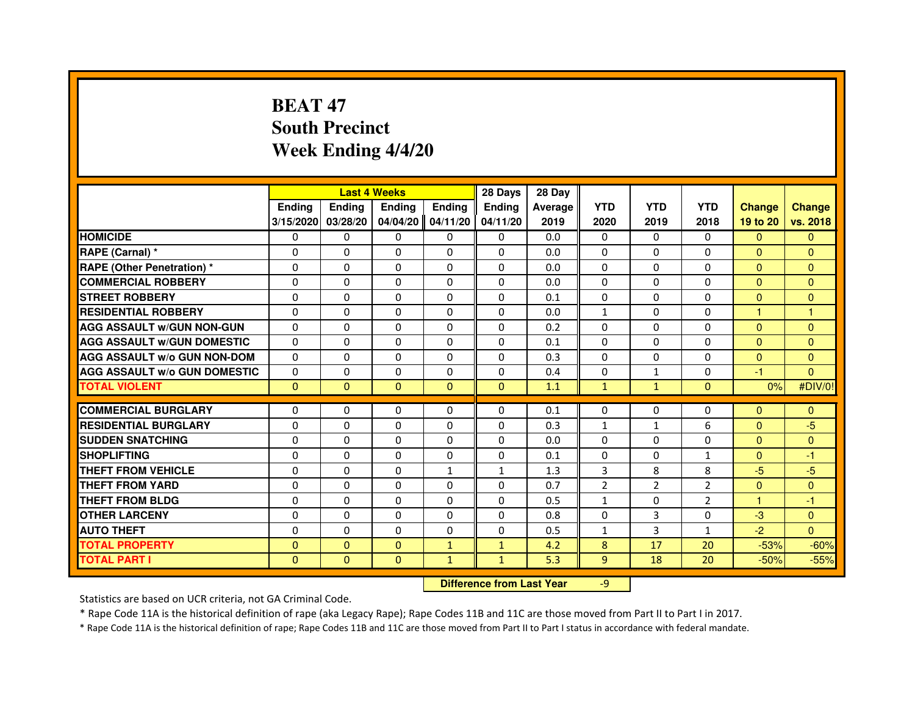# **BEAT 47 South PrecinctWeek Ending 4/4/20**

|                                     |               |               | <b>Last 4 Weeks</b> |               | 28 Days                          | 28 Day  |                |                |                |               |                |
|-------------------------------------|---------------|---------------|---------------------|---------------|----------------------------------|---------|----------------|----------------|----------------|---------------|----------------|
|                                     | <b>Ending</b> | <b>Ending</b> | <b>Ending</b>       | <b>Ending</b> | <b>Ending</b>                    | Average | <b>YTD</b>     | <b>YTD</b>     | <b>YTD</b>     | <b>Change</b> | <b>Change</b>  |
|                                     | 3/15/2020     | 03/28/20      | 04/04/20            | 04/11/20      | 04/11/20                         | 2019    | 2020           | 2019           | 2018           | 19 to 20      | vs. 2018       |
| <b>HOMICIDE</b>                     | $\Omega$      | $\Omega$      | $\Omega$            | $\Omega$      | 0                                | 0.0     | $\Omega$       | $\Omega$       | $\Omega$       | $\Omega$      | $\mathbf{0}$   |
| RAPE (Carnal) *                     | 0             | 0             | 0                   | 0             | 0                                | 0.0     | $\Omega$       | 0              | 0              | $\mathbf{0}$  | $\mathbf{0}$   |
| <b>RAPE (Other Penetration) *</b>   | $\Omega$      | $\Omega$      | $\Omega$            | $\Omega$      | $\Omega$                         | 0.0     | $\Omega$       | $\Omega$       | $\Omega$       | $\Omega$      | $\Omega$       |
| <b>COMMERCIAL ROBBERY</b>           | $\Omega$      | $\Omega$      | $\Omega$            | $\Omega$      | $\Omega$                         | 0.0     | $\Omega$       | $\Omega$       | $\Omega$       | $\Omega$      | $\Omega$       |
| <b>STREET ROBBERY</b>               | $\Omega$      | $\Omega$      | $\Omega$            | $\Omega$      | $\Omega$                         | 0.1     | $\Omega$       | $\Omega$       | $\Omega$       | $\Omega$      | $\mathbf{0}$   |
| <b>RESIDENTIAL ROBBERY</b>          | $\Omega$      | $\Omega$      | $\Omega$            | $\Omega$      | $\Omega$                         | 0.0     | $\mathbf{1}$   | $\Omega$       | $\Omega$       | 1             | 1              |
| <b>AGG ASSAULT W/GUN NON-GUN</b>    | $\Omega$      | $\Omega$      | $\Omega$            | $\Omega$      | $\Omega$                         | 0.2     | $\Omega$       | $\Omega$       | $\Omega$       | $\Omega$      | $\Omega$       |
| <b>AGG ASSAULT W/GUN DOMESTIC</b>   | $\Omega$      | $\Omega$      | $\Omega$            | $\Omega$      | $\Omega$                         | 0.1     | $\Omega$       | $\Omega$       | $\Omega$       | $\Omega$      | $\Omega$       |
| <b>AGG ASSAULT W/o GUN NON-DOM</b>  | $\Omega$      | 0             | 0                   | 0             | 0                                | 0.3     | $\Omega$       | 0              | 0              | $\Omega$      | $\Omega$       |
| <b>AGG ASSAULT W/o GUN DOMESTIC</b> | $\Omega$      | 0             | 0                   | $\Omega$      | $\Omega$                         | 0.4     | $\Omega$       | $\mathbf{1}$   | $\Omega$       | $-1$          | $\Omega$       |
| <b>TOTAL VIOLENT</b>                | $\mathbf{0}$  | $\mathbf{0}$  | $\mathbf{0}$        | $\mathbf{0}$  | $\mathbf{0}$                     | 1.1     | $\mathbf{1}$   | $\mathbf{1}$   | $\mathbf{0}$   | 0%            | #DIV/0!        |
| <b>COMMERCIAL BURGLARY</b>          | $\Omega$      | 0             | 0                   | 0             | 0                                | 0.1     | $\Omega$       | 0              | 0              | $\Omega$      | $\Omega$       |
| <b>RESIDENTIAL BURGLARY</b>         | $\Omega$      | $\Omega$      | $\Omega$            | $\Omega$      | $\Omega$                         | 0.3     | $\mathbf{1}$   | $\mathbf{1}$   | 6              | $\Omega$      | $-5$           |
| <b>SUDDEN SNATCHING</b>             | $\Omega$      | $\Omega$      | $\Omega$            | $\Omega$      | $\Omega$                         | 0.0     | $\Omega$       | $\Omega$       | $\Omega$       | $\Omega$      | $\Omega$       |
| <b>SHOPLIFTING</b>                  | 0             | 0             | 0                   | 0             | 0                                | 0.1     | 0              | 0              | 1              | $\Omega$      | $-1$           |
| THEFT FROM VEHICLE                  | $\Omega$      | $\Omega$      | $\Omega$            | $\mathbf{1}$  | $\mathbf{1}$                     | 1.3     | 3              | 8              | 8              | $-5$          | $-5$           |
| <b>THEFT FROM YARD</b>              | $\Omega$      | 0             | $\Omega$            | 0             | 0                                | 0.7     | $\overline{2}$ | $\overline{2}$ | $\overline{2}$ | $\mathbf{0}$  | $\overline{0}$ |
| <b>THEFT FROM BLDG</b>              | $\Omega$      | $\Omega$      | $\Omega$            | $\Omega$      | $\Omega$                         | 0.5     | $\mathbf{1}$   | $\Omega$       | 2              | $\mathbf{1}$  | $-1$           |
| <b>OTHER LARCENY</b>                | $\Omega$      | $\Omega$      | $\Omega$            | $\Omega$      | $\Omega$                         | 0.8     | $\Omega$       | 3              | $\Omega$       | $-3$          | $\Omega$       |
| <b>AUTO THEFT</b>                   | $\Omega$      | $\Omega$      | $\Omega$            | $\Omega$      | $\Omega$                         | 0.5     | $\mathbf{1}$   | 3              | $\mathbf{1}$   | $-2$          | $\Omega$       |
| <b>TOTAL PROPERTY</b>               | $\Omega$      | $\Omega$      | $\Omega$            | $\mathbf{1}$  | $\mathbf{1}$                     | 4.2     | 8              | 17             | 20             | $-53%$        | $-60%$         |
| <b>TOTAL PART I</b>                 | $\mathbf{0}$  | $\mathbf{0}$  | $\mathbf{0}$        | $\mathbf{1}$  | $\mathbf{1}$                     | 5.3     | 9              | 18             | 20             | $-50%$        | $-55%$         |
|                                     |               |               |                     |               | <b>Difference from Last Year</b> |         | $-9$           |                |                |               |                |

 **Difference from Last Year**

Statistics are based on UCR criteria, not GA Criminal Code.

\* Rape Code 11A is the historical definition of rape (aka Legacy Rape); Rape Codes 11B and 11C are those moved from Part II to Part I in 2017.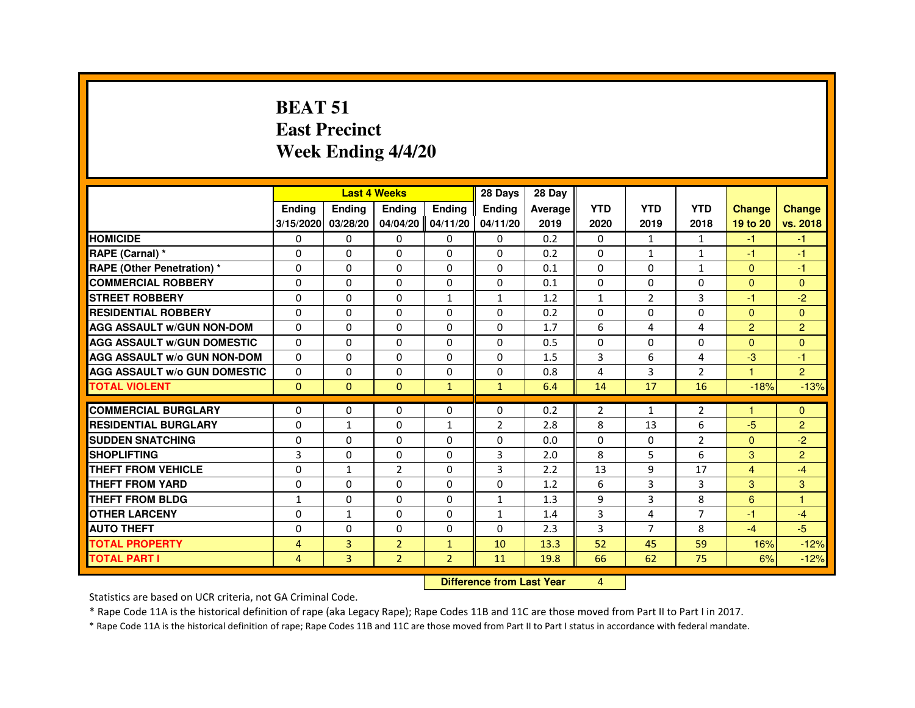#### **BEAT 51 East PrecinctWeek Ending 4/4/20**

|                                     |               |              | <b>Last 4 Weeks</b> |                   | 28 Days        | 28 Day                           |                |                |                |                      |                |
|-------------------------------------|---------------|--------------|---------------------|-------------------|----------------|----------------------------------|----------------|----------------|----------------|----------------------|----------------|
|                                     | <b>Endina</b> | Ending       | Ending              | <b>Ending</b>     | <b>Ending</b>  | Average                          | <b>YTD</b>     | <b>YTD</b>     | <b>YTD</b>     | <b>Change</b>        | <b>Change</b>  |
|                                     | 3/15/2020     | 03/28/20     |                     | 04/04/20 04/11/20 | 04/11/20       | 2019                             | 2020           | 2019           | 2018           | 19 to 20             | vs. 2018       |
| <b>HOMICIDE</b>                     | 0             | 0            | 0                   | $\Omega$          | 0              | 0.2                              | 0              | $\mathbf{1}$   | $\mathbf{1}$   | $-1$                 | $-1$           |
| RAPE (Carnal) *                     | 0             | 0            | 0                   | 0                 | 0              | 0.2                              | $\Omega$       | 1              | $\mathbf{1}$   | $-1$                 | $-1$           |
| <b>RAPE (Other Penetration) *</b>   | 0             | 0            | 0                   | 0                 | 0              | 0.1                              | $\Omega$       | 0              | $\mathbf{1}$   | $\mathbf{0}$         | -1             |
| <b>COMMERCIAL ROBBERY</b>           | 0             | $\Omega$     | 0                   | $\Omega$          | $\Omega$       | 0.1                              | $\Omega$       | $\Omega$       | $\Omega$       | $\Omega$             | $\Omega$       |
| <b>STREET ROBBERY</b>               | 0             | $\Omega$     | 0                   | $\mathbf{1}$      | $\mathbf{1}$   | 1.2                              | $\mathbf{1}$   | $\overline{2}$ | 3              | -1                   | $-2$           |
| <b>RESIDENTIAL ROBBERY</b>          | 0             | 0            | 0                   | 0                 | 0              | 0.2                              | 0              | $\Omega$       | $\Omega$       | $\mathbf{0}$         | $\overline{0}$ |
| <b>AGG ASSAULT w/GUN NON-DOM</b>    | $\Omega$      | $\Omega$     | $\Omega$            | $\Omega$          | $\Omega$       | 1.7                              | 6              | 4              | 4              | $\overline{2}$       | $\overline{2}$ |
| <b>AGG ASSAULT W/GUN DOMESTIC</b>   | $\Omega$      | $\Omega$     | $\Omega$            | $\Omega$          | $\Omega$       | 0.5                              | $\Omega$       | $\Omega$       | $\Omega$       | $\Omega$             | $\Omega$       |
| <b>AGG ASSAULT w/o GUN NON-DOM</b>  | $\Omega$      | 0            | 0                   | 0                 | 0              | 1.5                              | 3              | 6              | 4              | $-3$                 | $-1$           |
| <b>AGG ASSAULT W/o GUN DOMESTIC</b> | $\Omega$      | $\Omega$     | 0                   | $\Omega$          | $\Omega$       | 0.8                              | 4              | 3              | $\overline{2}$ | $\blacktriangleleft$ | $\overline{2}$ |
| <b>TOTAL VIOLENT</b>                | $\Omega$      | $\mathbf{0}$ | $\Omega$            | $\mathbf{1}$      | $\mathbf{1}$   | 6.4                              | 14             | 17             | 16             | $-18%$               | $-13%$         |
| <b>COMMERCIAL BURGLARY</b>          | 0             | 0            | 0                   | 0                 | 0              | 0.2                              | $\overline{2}$ | 1              | $\overline{2}$ | $\mathbf{1}$         | $\mathbf{0}$   |
| <b>RESIDENTIAL BURGLARY</b>         | 0             | $\mathbf{1}$ | $\Omega$            | $\mathbf{1}$      | $\overline{2}$ | 2.8                              | 8              | 13             | 6              | $-5$                 | $\overline{2}$ |
| <b>SUDDEN SNATCHING</b>             | 0             | $\Omega$     | $\Omega$            | $\Omega$          | $\Omega$       | 0.0                              | $\Omega$       | $\Omega$       | $\overline{2}$ | $\Omega$             | $-2$           |
| <b>SHOPLIFTING</b>                  | 3             | $\Omega$     | 0                   | $\Omega$          | 3              | 2.0                              | 8              | 5              | 6              | 3                    | $\overline{2}$ |
| <b>THEFT FROM VEHICLE</b>           | 0             | $\mathbf{1}$ | $\overline{2}$      | $\Omega$          | $\overline{3}$ | 2.2                              | 13             | 9              | 17             | $\overline{4}$       | $-4$           |
| <b>THEFT FROM YARD</b>              | $\Omega$      | $\Omega$     | $\Omega$            | $\Omega$          | $\Omega$       | 1.2                              | 6              | 3              | 3              | 3                    | 3              |
| THEFT FROM BLDG                     | $\mathbf{1}$  | 0            | $\Omega$            | 0                 | $\mathbf{1}$   | 1.3                              | 9              | 3              | 8              | 6                    | $\overline{1}$ |
| <b>OTHER LARCENY</b>                | $\Omega$      | $\mathbf{1}$ | $\Omega$            | $\Omega$          | $\mathbf{1}$   | 1.4                              | 3              | 4              | $\overline{7}$ | $-1$                 | $-4$           |
| <b>AUTO THEFT</b>                   | 0             | 0            | $\Omega$            | $\mathbf 0$       | 0              | 2.3                              | 3              | $\overline{7}$ | 8              | $-4$                 | $-5$           |
| <b>TOTAL PROPERTY</b>               | 4             | 3            | $\overline{2}$      | $\mathbf{1}$      | 10             | 13.3                             | 52             | 45             | 59             | 16%                  | $-12%$         |
| <b>TOTAL PART I</b>                 | 4             | 3            | $\overline{2}$      | $\overline{2}$    | 11             | 19.8                             | 66             | 62             | 75             | 6%                   | $-12%$         |
|                                     |               |              |                     |                   |                | <b>Difference from Last Year</b> | 4              |                |                |                      |                |

 **Difference from Last Year**

Statistics are based on UCR criteria, not GA Criminal Code.

\* Rape Code 11A is the historical definition of rape (aka Legacy Rape); Rape Codes 11B and 11C are those moved from Part II to Part I in 2017.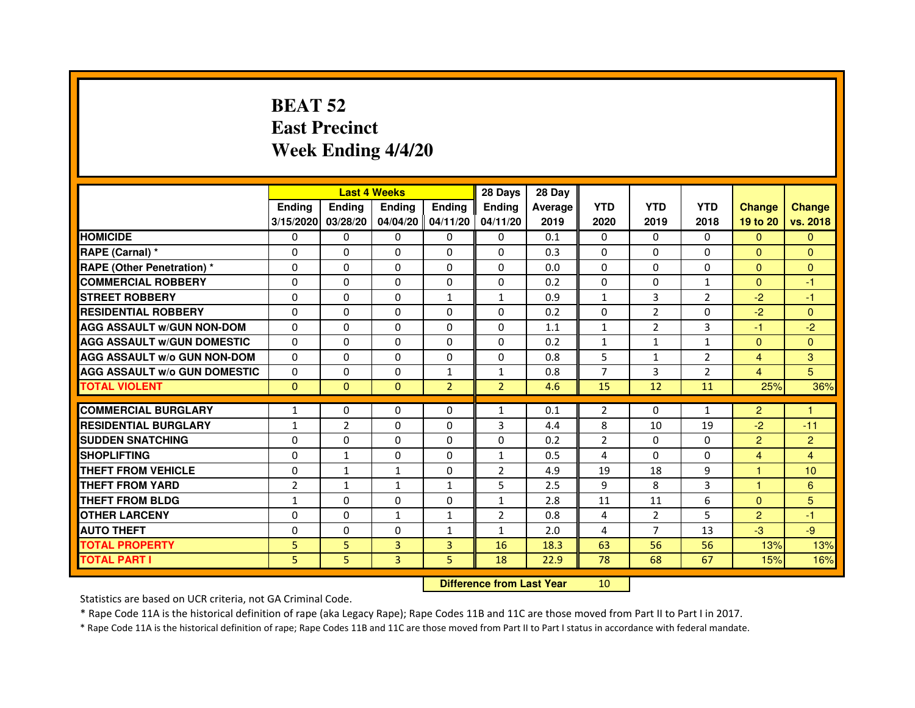# **BEAT 52 East PrecinctWeek Ending 4/4/20**

|                                     |                | <b>Last 4 Weeks</b> |                |                     | 28 Days        | 28 Day  |                |                |                |                |                |
|-------------------------------------|----------------|---------------------|----------------|---------------------|----------------|---------|----------------|----------------|----------------|----------------|----------------|
|                                     | <b>Endina</b>  | Ending              | <b>Endina</b>  | <b>Ending</b>       | <b>Endina</b>  | Average | <b>YTD</b>     | <b>YTD</b>     | <b>YTD</b>     | <b>Change</b>  | <b>Change</b>  |
|                                     | 3/15/2020      | 03/28/20            |                | $04/04/20$ 04/11/20 | 04/11/20       | 2019    | 2020           | 2019           | 2018           | 19 to 20       | vs. 2018       |
| <b>HOMICIDE</b>                     | 0              | 0                   | 0              | 0                   | 0              | 0.1     | $\mathbf{0}$   | $\Omega$       | $\Omega$       | $\mathbf{0}$   | $\Omega$       |
| RAPE (Carnal) *                     | $\Omega$       | $\Omega$            | $\Omega$       | $\Omega$            | $\Omega$       | 0.3     | $\Omega$       | $\Omega$       | $\Omega$       | $\Omega$       | $\Omega$       |
| <b>RAPE (Other Penetration) *</b>   | 0              | 0                   | $\Omega$       | $\Omega$            | $\Omega$       | 0.0     | $\Omega$       | $\Omega$       | $\Omega$       | $\Omega$       | $\Omega$       |
| <b>COMMERCIAL ROBBERY</b>           | 0              | 0                   | $\Omega$       | $\Omega$            | $\Omega$       | 0.2     | $\Omega$       | $\Omega$       | 1              | $\Omega$       | $-1$           |
| <b>STREET ROBBERY</b>               | 0              | $\Omega$            | 0              | $\mathbf{1}$        | $\mathbf{1}$   | 0.9     | $\mathbf{1}$   | 3              | $\overline{2}$ | $-2$           | $-1$           |
| <b>RESIDENTIAL ROBBERY</b>          | 0              | $\Omega$            | 0              | $\Omega$            | 0              | 0.2     | 0              | 2              | $\Omega$       | $-2$           | $\Omega$       |
| <b>AGG ASSAULT W/GUN NON-DOM</b>    | $\Omega$       | $\mathbf 0$         | $\Omega$       | $\Omega$            | $\Omega$       | 1.1     | $\mathbf{1}$   | $\overline{2}$ | 3              | $-1$           | $-2$           |
| <b>AGG ASSAULT W/GUN DOMESTIC</b>   | $\Omega$       | $\Omega$            | 0              | 0                   | $\Omega$       | 0.2     | $\mathbf{1}$   | $\mathbf{1}$   | $\mathbf{1}$   | $\Omega$       | $\Omega$       |
| <b>AGG ASSAULT W/o GUN NON-DOM</b>  | $\Omega$       | 0                   | $\Omega$       | 0                   | $\Omega$       | 0.8     | 5              | $\mathbf{1}$   | $\overline{2}$ | $\overline{4}$ | 3              |
| <b>AGG ASSAULT W/o GUN DOMESTIC</b> | $\Omega$       | 0                   | 0              | $\mathbf{1}$        | $\mathbf{1}$   | 0.8     | $\overline{7}$ | 3              | $\overline{2}$ | $\overline{4}$ | 5              |
| <b>TOTAL VIOLENT</b>                | $\Omega$       | $\Omega$            | $\Omega$       | $\overline{2}$      | $\overline{2}$ | 4.6     | 15             | 12             | 11             | 25%            | 36%            |
|                                     |                |                     |                |                     |                |         |                |                |                |                |                |
| <b>COMMERCIAL BURGLARY</b>          | 1              | 0                   | $\Omega$       | 0                   | $\mathbf{1}$   | 0.1     | $\overline{2}$ | $\Omega$       | 1              | $\overline{2}$ | 1              |
| <b>RESIDENTIAL BURGLARY</b>         | 1              | $\overline{2}$      | 0              | $\Omega$            | 3              | 4.4     | 8              | 10             | 19             | $-2$           | $-11$          |
| <b>SUDDEN SNATCHING</b>             | 0              | 0                   | $\Omega$       | $\Omega$            | $\Omega$       | 0.2     | $\overline{2}$ | $\Omega$       | $\Omega$       | $\overline{2}$ | $\overline{2}$ |
| <b>SHOPLIFTING</b>                  | $\mathbf 0$    | $\mathbf{1}$        | 0              | $\Omega$            | $\mathbf{1}$   | 0.5     | 4              | $\Omega$       | 0              | $\overline{4}$ | 4              |
| <b>THEFT FROM VEHICLE</b>           | 0              | $\mathbf{1}$        | $\mathbf{1}$   | $\Omega$            | $\overline{2}$ | 4.9     | 19             | 18             | 9              | $\mathbf{1}$   | 10             |
| <b>THEFT FROM YARD</b>              | $\overline{2}$ | $\mathbf{1}$        | $\mathbf{1}$   | $\mathbf{1}$        | 5              | 2.5     | 9              | 8              | 3              | 1              | 6              |
| <b>THEFT FROM BLDG</b>              | 1              | 0                   | 0              | 0                   | 1              | 2.8     | 11             | 11             | 6              | $\mathbf{0}$   | 5              |
| <b>OTHER LARCENY</b>                | 0              | 0                   | 1              | $\mathbf{1}$        | $\overline{2}$ | 0.8     | 4              | $\overline{2}$ | 5              | $\overline{2}$ | $-1$           |
| <b>AUTO THEFT</b>                   | $\mathbf 0$    | 0                   | $\mathbf 0$    | $\mathbf{1}$        | $\mathbf{1}$   | 2.0     | 4              | 7              | 13             | $-3$           | $-9$           |
| <b>TOTAL PROPERTY</b>               | 5              | 5                   | 3              | 3                   | 16             | 18.3    | 63             | 56             | 56             | 13%            | 13%            |
| <b>TOTAL PART I</b>                 | 5              | 5                   | $\overline{3}$ | 5                   | 18             | 22.9    | 78             | 68             | 67             | 15%            | 16%            |

 **Difference from Last Year**

<sup>10</sup>

Statistics are based on UCR criteria, not GA Criminal Code.

\* Rape Code 11A is the historical definition of rape (aka Legacy Rape); Rape Codes 11B and 11C are those moved from Part II to Part I in 2017.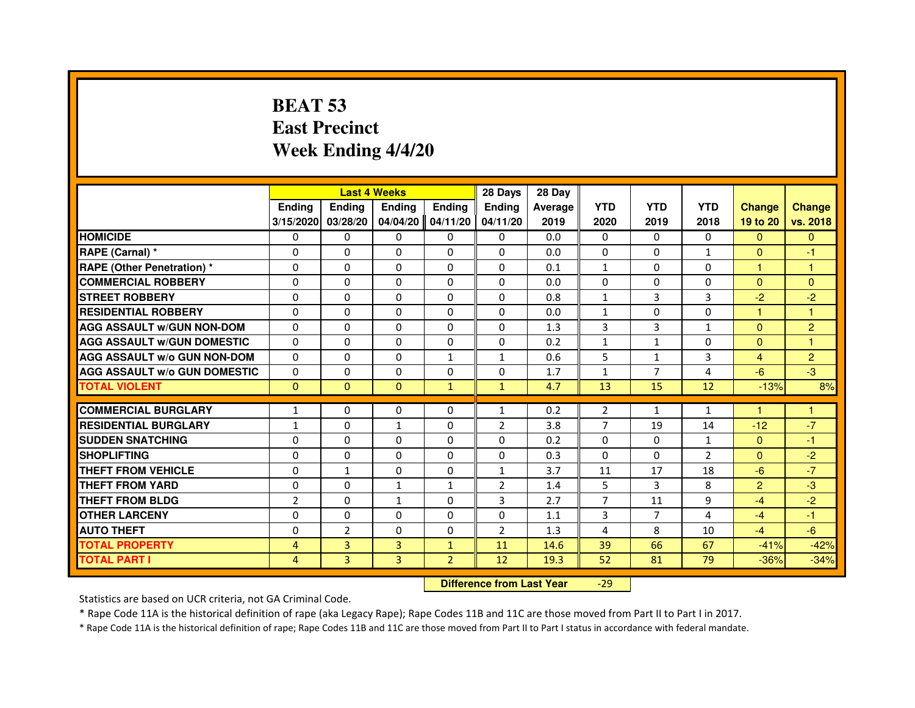# **BEAT 53 East PrecinctWeek Ending 4/4/20**

|                                     |                |                | <b>Last 4 Weeks</b> |                | 28 Days        | 28 Day  |                |                |                |                |                |
|-------------------------------------|----------------|----------------|---------------------|----------------|----------------|---------|----------------|----------------|----------------|----------------|----------------|
|                                     | <b>Ending</b>  | <b>Endina</b>  | <b>Ending</b>       | <b>Ending</b>  | <b>Endina</b>  | Average | <b>YTD</b>     | <b>YTD</b>     | <b>YTD</b>     | <b>Change</b>  | <b>Change</b>  |
|                                     | 3/15/2020      | 03/28/20       | 04/04/20            | 04/11/20       | 04/11/20       | 2019    | 2020           | 2019           | 2018           | 19 to 20       | vs. 2018       |
| <b>HOMICIDE</b>                     | 0              | $\mathbf{0}$   | $\mathbf{0}$        | 0              | 0              | 0.0     | 0              | $\Omega$       | $\Omega$       | $\mathbf{0}$   | $\mathbf{0}$   |
| RAPE (Carnal) *                     | $\Omega$       | $\Omega$       | $\Omega$            | $\Omega$       | $\Omega$       | 0.0     | $\Omega$       | $\Omega$       | $\mathbf{1}$   | $\Omega$       | $-1$           |
| <b>RAPE (Other Penetration) *</b>   | 0              | $\mathbf{0}$   | $\mathbf{0}$        | 0              | 0              | 0.1     | $\mathbf{1}$   | 0              | 0              | $\mathbf{1}$   | 1              |
| <b>COMMERCIAL ROBBERY</b>           | 0              | $\Omega$       | $\Omega$            | $\Omega$       | $\Omega$       | 0.0     | $\Omega$       | $\Omega$       | $\Omega$       | $\Omega$       | $\Omega$       |
| <b>STREET ROBBERY</b>               | $\Omega$       | $\Omega$       | $\Omega$            | $\Omega$       | $\Omega$       | 0.8     | $\mathbf{1}$   | 3              | 3              | $-2$           | $-2$           |
| <b>RESIDENTIAL ROBBERY</b>          | $\Omega$       | $\Omega$       | $\Omega$            | $\Omega$       | $\Omega$       | 0.0     | $\mathbf{1}$   | $\Omega$       | 0              | $\mathbf{1}$   | 1              |
| <b>AGG ASSAULT w/GUN NON-DOM</b>    | $\Omega$       | $\Omega$       | $\Omega$            | $\Omega$       | $\Omega$       | 1.3     | 3              | 3              | $\mathbf{1}$   | $\Omega$       | $\overline{2}$ |
| <b>AGG ASSAULT W/GUN DOMESTIC</b>   | $\Omega$       | $\Omega$       | $\Omega$            | 0              | $\Omega$       | 0.2     | $\mathbf{1}$   | $\mathbf{1}$   | $\Omega$       | $\Omega$       | 1              |
| <b>AGG ASSAULT W/o GUN NON-DOM</b>  | 0              | $\Omega$       | 0                   | 1              | $\mathbf{1}$   | 0.6     | 5              | $\mathbf{1}$   | 3              | 4              | $\overline{2}$ |
| <b>AGG ASSAULT W/o GUN DOMESTIC</b> | $\Omega$       | $\Omega$       | $\Omega$            | $\Omega$       | $\Omega$       | 1.7     | $\mathbf{1}$   | $\overline{7}$ | 4              | $-6$           | $-3$           |
| <b>TOTAL VIOLENT</b>                | $\mathbf{0}$   | $\mathbf{0}$   | $\Omega$            | $\mathbf{1}$   | $\mathbf{1}$   | 4.7     | 13             | 15             | 12             | $-13%$         | 8%             |
|                                     |                |                |                     |                |                |         |                |                |                |                |                |
| <b>COMMERCIAL BURGLARY</b>          | 1              | 0              | 0                   | 0              | 1              | 0.2     | 2              | $\mathbf{1}$   | 1              |                |                |
| <b>RESIDENTIAL BURGLARY</b>         | $\mathbf{1}$   | $\mathbf{0}$   | $\mathbf{1}$        | 0              | $\overline{2}$ | 3.8     | $\overline{7}$ | 19             | 14             | $-12$          | $-7$           |
| <b>SUDDEN SNATCHING</b>             | 0              | $\Omega$       | 0                   | 0              | 0              | 0.2     | 0              | $\Omega$       | $\mathbf{1}$   | $\mathbf{0}$   | -1             |
| <b>SHOPLIFTING</b>                  | $\Omega$       | $\Omega$       | $\Omega$            | $\Omega$       | $\Omega$       | 0.3     | $\Omega$       | $\Omega$       | $\overline{2}$ | $\Omega$       | $-2$           |
| THEFT FROM VEHICLE                  | $\Omega$       | $\mathbf{1}$   | $\Omega$            | $\Omega$       | $\mathbf{1}$   | 3.7     | 11             | 17             | 18             | $-6$           | $-7$           |
| <b>THEFT FROM YARD</b>              | 0              | 0              | $\mathbf{1}$        | $\mathbf{1}$   | $\overline{2}$ | 1.4     | 5              | 3              | 8              | $\overline{2}$ | $-3$           |
| THEFT FROM BLDG                     | $\overline{2}$ | $\mathbf{0}$   | $\mathbf{1}$        | 0              | 3              | 2.7     | 7              | 11             | 9              | $-4$           | $-2$           |
| <b>OTHER LARCENY</b>                | $\Omega$       | $\Omega$       | $\Omega$            | $\Omega$       | $\Omega$       | 1.1     | 3              | $\overline{7}$ | 4              | $-4$           | $-1$           |
| <b>AUTO THEFT</b>                   | $\Omega$       | $\overline{2}$ | $\Omega$            | $\Omega$       | $\overline{2}$ | 1.3     | 4              | 8              | 10             | $-4$           | $-6$           |
| <b>TOTAL PROPERTY</b>               | 4              | 3              | 3                   | $\mathbf{1}$   | 11             | 14.6    | 39             | 66             | 67             | $-41%$         | $-42%$         |
| <b>TOTAL PART I</b>                 | 4              | 3              | 3                   | $\overline{2}$ | 12             | 19.3    | 52             | 81             | 79             | $-36%$         | $-34%$         |

 **Difference from Last Year**-29

Statistics are based on UCR criteria, not GA Criminal Code.

\* Rape Code 11A is the historical definition of rape (aka Legacy Rape); Rape Codes 11B and 11C are those moved from Part II to Part I in 2017.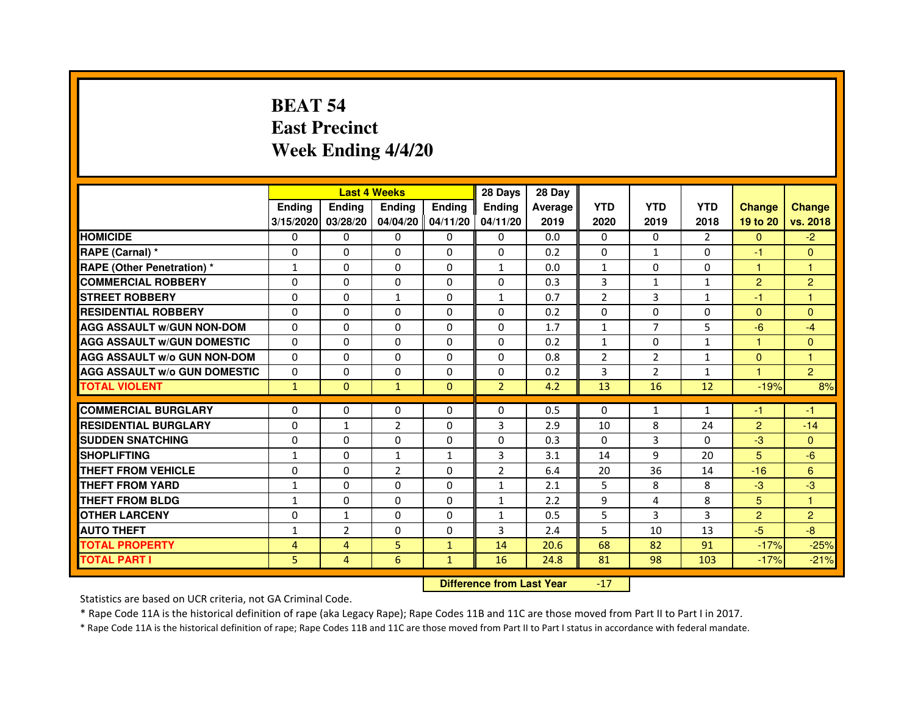# **BEAT 54 East PrecinctWeek Ending 4/4/20**

|                                     |               | <b>Last 4 Weeks</b> |                |                   | 28 Days        | 28 Day  |                |                |                |                |                |
|-------------------------------------|---------------|---------------------|----------------|-------------------|----------------|---------|----------------|----------------|----------------|----------------|----------------|
|                                     | <b>Ending</b> | <b>Endina</b>       | <b>Endina</b>  | <b>Ending</b>     | <b>Endina</b>  | Average | <b>YTD</b>     | <b>YTD</b>     | <b>YTD</b>     | <b>Change</b>  | <b>Change</b>  |
|                                     | 3/15/2020     | 03/28/20            |                | 04/04/20 04/11/20 | 04/11/20       | 2019    | 2020           | 2019           | 2018           | 19 to 20       | vs. 2018       |
| <b>HOMICIDE</b>                     | 0             | 0                   | $\mathbf{0}$   | 0                 | 0              | 0.0     | $\mathbf{0}$   | 0              | $\overline{2}$ | $\mathbf{0}$   | $-2$           |
| RAPE (Carnal) *                     | $\Omega$      | $\Omega$            | $\Omega$       | $\Omega$          | $\Omega$       | 0.2     | $\Omega$       | $\mathbf{1}$   | $\Omega$       | $-1$           | $\Omega$       |
| <b>RAPE (Other Penetration) *</b>   | 1             | $\Omega$            | 0              | $\mathbf{0}$      | $\mathbf{1}$   | 0.0     | $\mathbf{1}$   | $\Omega$       | $\Omega$       | $\mathbf{1}$   | $\mathbf{1}$   |
| <b>COMMERCIAL ROBBERY</b>           | 0             | 0                   | 0              | 0                 | $\Omega$       | 0.3     | 3              | 1              | 1              | 2              | $\overline{c}$ |
| <b>STREET ROBBERY</b>               | 0             | 0                   | $\mathbf{1}$   | 0                 | $\mathbf{1}$   | 0.7     | $\overline{2}$ | 3              | $\mathbf{1}$   | $-1$           | 1              |
| <b>RESIDENTIAL ROBBERY</b>          | 0             | $\Omega$            | 0              | $\Omega$          | $\Omega$       | 0.2     | $\Omega$       | $\Omega$       | $\Omega$       | $\Omega$       | $\Omega$       |
| <b>AGG ASSAULT W/GUN NON-DOM</b>    | $\Omega$      | $\Omega$            | $\Omega$       | $\Omega$          | $\Omega$       | 1.7     | $\mathbf{1}$   | $\overline{7}$ | 5              | $-6$           | $-4$           |
| <b>AGG ASSAULT W/GUN DOMESTIC</b>   | 0             | 0                   | 0              | 0                 | 0              | 0.2     | $\mathbf{1}$   | 0              | $\mathbf{1}$   | 1              | $\Omega$       |
| <b>AGG ASSAULT W/o GUN NON-DOM</b>  | $\Omega$      | 0                   | $\Omega$       | $\Omega$          | $\Omega$       | 0.8     | $\overline{2}$ | 2              | 1              | $\Omega$       | 1              |
| <b>AGG ASSAULT W/o GUN DOMESTIC</b> | $\Omega$      | $\Omega$            | 0              | $\Omega$          | 0              | 0.2     | 3              | $\overline{2}$ | $\mathbf{1}$   | 1.             | $\overline{2}$ |
| <b>TOTAL VIOLENT</b>                | $\mathbf{1}$  | $\Omega$            | $\mathbf{1}$   | $\Omega$          | $\overline{2}$ | 4.2     | 13             | 16             | 12             | $-19%$         | 8%             |
|                                     |               |                     |                |                   |                |         |                |                |                |                |                |
| <b>COMMERCIAL BURGLARY</b>          | 0             | 0                   | 0              | 0                 | $\Omega$       | 0.5     | $\Omega$       | $\mathbf{1}$   | $\mathbf{1}$   | -1             | -1             |
| <b>RESIDENTIAL BURGLARY</b>         | 0             | $\mathbf{1}$        | $\overline{2}$ | $\Omega$          | 3              | 2.9     | 10             | 8              | 24             | $\overline{2}$ | $-14$          |
| <b>SUDDEN SNATCHING</b>             | 0             | 0                   | 0              | 0                 | $\Omega$       | 0.3     | $\Omega$       | 3              | $\Omega$       | $-3$           | $\Omega$       |
| <b>SHOPLIFTING</b>                  | $\mathbf{1}$  | 0                   | $\mathbf{1}$   | $\mathbf{1}$      | 3              | 3.1     | 14             | 9              | 20             | 5              | $-6$           |
| <b>THEFT FROM VEHICLE</b>           | 0             | $\Omega$            | $\overline{2}$ | $\mathbf{0}$      | $\overline{2}$ | 6.4     | 20             | 36             | 14             | $-16$          | 6              |
| <b>THEFT FROM YARD</b>              | 1             | $\Omega$            | $\Omega$       | $\Omega$          | $\mathbf{1}$   | 2.1     | 5              | 8              | 8              | $-3$           | -3             |
| <b>THEFT FROM BLDG</b>              | 1             | 0                   | 0              | 0                 | 1              | 2.2     | 9              | 4              | 8              | 5              | 1              |
| <b>OTHER LARCENY</b>                | 0             | $\mathbf{1}$        | $\Omega$       | $\Omega$          | $\mathbf{1}$   | 0.5     | 5              | 3              | 3              | $\overline{2}$ | $\overline{2}$ |
| <b>AUTO THEFT</b>                   | $\mathbf{1}$  | $\overline{2}$      | $\Omega$       | $\Omega$          | 3              | 2.4     | 5              | 10             | 13             | $-5$           | -8             |
| <b>TOTAL PROPERTY</b>               | 4             | 4                   | 5              | $\mathbf{1}$      | 14             | 20.6    | 68             | 82             | 91             | $-17%$         | $-25%$         |
| <b>TOTAL PART I</b>                 | 5             | 4                   | 6              | $\mathbf{1}$      | 16             | 24.8    | 81             | 98             | 103            | $-17%$         | $-21%$         |

 **Difference from Last Year**-17

Statistics are based on UCR criteria, not GA Criminal Code.

\* Rape Code 11A is the historical definition of rape (aka Legacy Rape); Rape Codes 11B and 11C are those moved from Part II to Part I in 2017.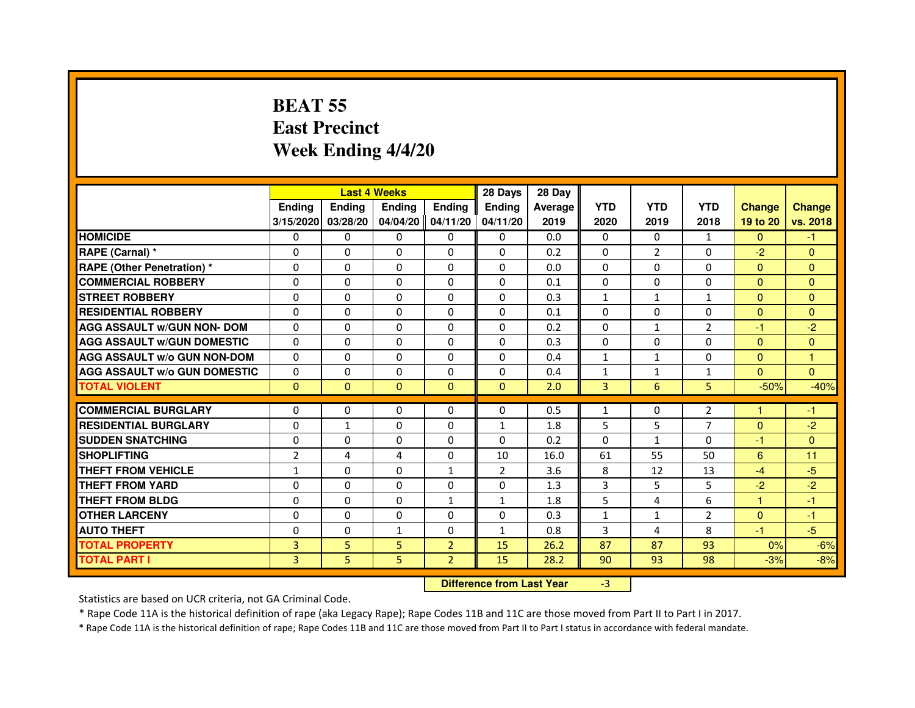# **BEAT 55 East PrecinctWeek Ending 4/4/20**

|                                     |                |               | <b>Last 4 Weeks</b>              |                | 28 Days        | 28 Day  |                   |                   |                |                      |                |
|-------------------------------------|----------------|---------------|----------------------------------|----------------|----------------|---------|-------------------|-------------------|----------------|----------------------|----------------|
|                                     | <b>Ending</b>  | <b>Ending</b> | <b>Ending</b>                    | <b>Ending</b>  | <b>Endina</b>  | Average | <b>YTD</b>        | <b>YTD</b>        | <b>YTD</b>     | <b>Change</b>        | <b>Change</b>  |
|                                     | 3/15/2020      | 03/28/20      | 04/04/20                         | 04/11/20       | 04/11/20       | 2019    | 2020              | 2019              | 2018           | 19 to 20             | vs. 2018       |
| <b>HOMICIDE</b>                     | $\Omega$       | $\Omega$      | $\Omega$                         | $\Omega$       | $\mathbf{0}$   | 0.0     | 0                 | $\Omega$          | $\mathbf{1}$   | $\Omega$             | $-1$           |
| RAPE (Carnal) *                     | $\mathbf{0}$   | $\Omega$      | $\Omega$                         | $\Omega$       | $\Omega$       | 0.2     | $\Omega$          | $\overline{2}$    | 0              | $-2$                 | $\Omega$       |
| RAPE (Other Penetration) *          | $\Omega$       | $\Omega$      | $\Omega$                         | $\Omega$       | $\Omega$       | 0.0     | $\Omega$          | $\Omega$          | $\Omega$       | $\Omega$             | $\overline{0}$ |
| <b>COMMERCIAL ROBBERY</b>           | $\Omega$       | $\Omega$      | $\Omega$                         | $\Omega$       | $\Omega$       | 0.1     | $\Omega$          | $\Omega$          | $\Omega$       | $\mathbf{0}$         | $\mathbf{0}$   |
| <b>STREET ROBBERY</b>               | $\Omega$       | 0             | 0                                | 0              | 0              | 0.3     | $\mathbf{1}$      | $\mathbf{1}$      | $\mathbf{1}$   | $\overline{0}$       | $\overline{0}$ |
| <b>RESIDENTIAL ROBBERY</b>          | $\Omega$       | $\Omega$      | $\Omega$                         | $\Omega$       | $\Omega$       | 0.1     | $\Omega$          | $\Omega$          | $\Omega$       | $\Omega$             | $\Omega$       |
| <b>AGG ASSAULT w/GUN NON- DOM</b>   | $\Omega$       | $\Omega$      | 0                                | 0              | 0              | 0.2     | $\Omega$          | $\mathbf{1}$      | 2              | $-1$                 | $-2$           |
| <b>AGG ASSAULT W/GUN DOMESTIC</b>   | $\Omega$       | $\Omega$      | $\Omega$                         | $\Omega$       | $\Omega$       | 0.3     | $\Omega$          | $\Omega$          | $\Omega$       | $\Omega$             | $\mathbf{0}$   |
| <b>AGG ASSAULT w/o GUN NON-DOM</b>  | $\Omega$       | 0             | 0                                | 0              | 0              | 0.4     | $\mathbf{1}$      | $\mathbf{1}$      | 0              | $\overline{0}$       | 1              |
| <b>AGG ASSAULT W/o GUN DOMESTIC</b> | $\Omega$       | 0             | $\Omega$                         | 0              | 0              | 0.4     | $\mathbf{1}$      | $\mathbf{1}$      | $\mathbf{1}$   | $\Omega$             | $\Omega$       |
| <b>TOTAL VIOLENT</b>                | $\mathbf{0}$   | $\mathbf{0}$  | $\mathbf{0}$                     | $\mathbf{0}$   | $\mathbf{0}$   | 2.0     | 3                 | 6                 | 5              | $-50%$               | $-40%$         |
| <b>COMMERCIAL BURGLARY</b>          | $\mathbf{0}$   | 0             | 0                                | 0              | 0              | 0.5     | $\mathbf{1}$      | 0                 | 2              | 1                    | -1             |
| <b>RESIDENTIAL BURGLARY</b>         | $\Omega$       | $\mathbf{1}$  | $\Omega$                         | $\Omega$       | 1              | 1.8     | 5                 | 5                 | $\overline{7}$ | $\Omega$             | $-2$           |
| <b>SUDDEN SNATCHING</b>             | $\Omega$       | $\Omega$      | $\Omega$                         | $\Omega$       | $\Omega$       | 0.2     | $\Omega$          | $\mathbf{1}$      | $\Omega$       | $-1$                 | $\overline{0}$ |
| <b>SHOPLIFTING</b>                  | $\overline{2}$ | 4             | 4                                | 0              | 10             | 16.0    | 61                | 55                | 50             | 6                    | 11             |
| <b>THEFT FROM VEHICLE</b>           | $\mathbf{1}$   | $\Omega$      | $\Omega$                         | $\mathbf{1}$   | $\overline{2}$ | 3.6     | 8                 | 12                | 13             | $-4$                 | $-5$           |
| <b>THEFT FROM YARD</b>              | $\Omega$       | $\Omega$      | $\Omega$                         | 0              | 0              | 1.3     | 3                 | 5                 | 5              | $-2$                 | $-2$           |
| <b>THEFT FROM BLDG</b>              | $\Omega$       | $\Omega$      | $\Omega$                         | $\mathbf{1}$   | $\mathbf{1}$   | 1.8     | 5                 | 4                 | 6              | 1                    | $-1$           |
| <b>OTHER LARCENY</b>                | 0              | 0             | $\Omega$                         | 0              | 0              | 0.3     |                   |                   | $\overline{2}$ |                      | $-1$           |
| <b>AUTO THEFT</b>                   | 0              | 0             | $\mathbf{1}$                     | 0              | $\mathbf{1}$   | 0.8     | $\mathbf{1}$<br>3 | $\mathbf{1}$<br>4 | 8              | $\mathbf{0}$<br>$-1$ | $-5$           |
|                                     | $\overline{3}$ |               | 5                                |                |                |         | 87                | 87                | 93             |                      | $-6%$          |
| <b>TOTAL PROPERTY</b>               |                | 5             |                                  | $\overline{2}$ | 15             | 26.2    |                   |                   |                | 0%                   |                |
| <b>TOTAL PART I</b>                 | $\overline{3}$ | 5             | 5                                | $\overline{2}$ | 15             | 28.2    | 90                | 93                | 98             | $-3%$                | $-8%$          |
|                                     |                |               | <b>Difference from Last Year</b> |                | $-3$           |         |                   |                   |                |                      |                |

 **Difference from Last Year**

Statistics are based on UCR criteria, not GA Criminal Code.

\* Rape Code 11A is the historical definition of rape (aka Legacy Rape); Rape Codes 11B and 11C are those moved from Part II to Part I in 2017.